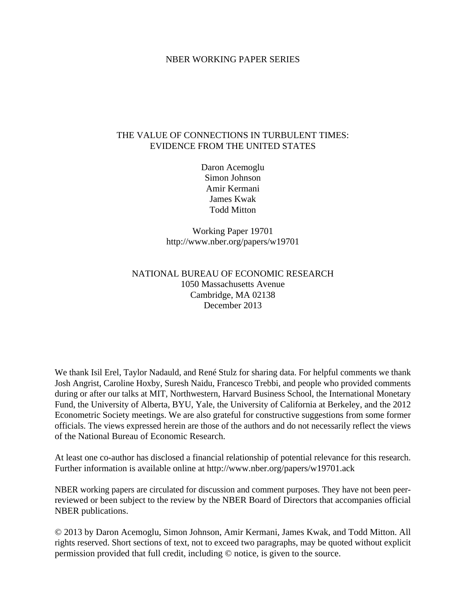# NBER WORKING PAPER SERIES

# THE VALUE OF CONNECTIONS IN TURBULENT TIMES: EVIDENCE FROM THE UNITED STATES

Daron Acemoglu Simon Johnson Amir Kermani James Kwak Todd Mitton

Working Paper 19701 http://www.nber.org/papers/w19701

# NATIONAL BUREAU OF ECONOMIC RESEARCH 1050 Massachusetts Avenue Cambridge, MA 02138 December 2013

We thank Isil Erel, Taylor Nadauld, and René Stulz for sharing data. For helpful comments we thank Josh Angrist, Caroline Hoxby, Suresh Naidu, Francesco Trebbi, and people who provided comments during or after our talks at MIT, Northwestern, Harvard Business School, the International Monetary Fund, the University of Alberta, BYU, Yale, the University of California at Berkeley, and the 2012 Econometric Society meetings. We are also grateful for constructive suggestions from some former officials. The views expressed herein are those of the authors and do not necessarily reflect the views of the National Bureau of Economic Research.

At least one co-author has disclosed a financial relationship of potential relevance for this research. Further information is available online at http://www.nber.org/papers/w19701.ack

NBER working papers are circulated for discussion and comment purposes. They have not been peerreviewed or been subject to the review by the NBER Board of Directors that accompanies official NBER publications.

© 2013 by Daron Acemoglu, Simon Johnson, Amir Kermani, James Kwak, and Todd Mitton. All rights reserved. Short sections of text, not to exceed two paragraphs, may be quoted without explicit permission provided that full credit, including © notice, is given to the source.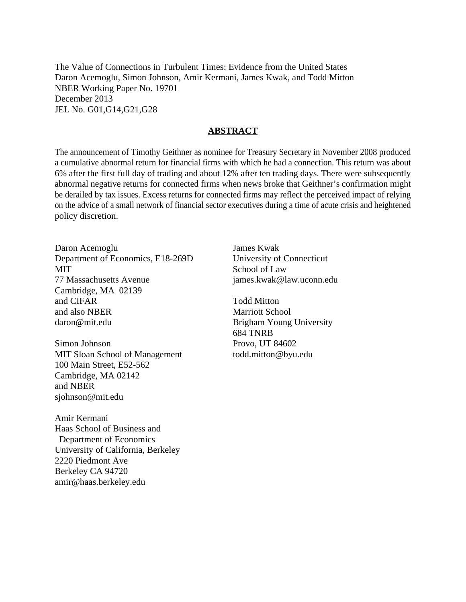The Value of Connections in Turbulent Times: Evidence from the United States Daron Acemoglu, Simon Johnson, Amir Kermani, James Kwak, and Todd Mitton NBER Working Paper No. 19701 December 2013 JEL No. G01,G14,G21,G28

# **ABSTRACT**

The announcement of Timothy Geithner as nominee for Treasury Secretary in November 2008 produced a cumulative abnormal return for financial firms with which he had a connection. This return was about 6% after the first full day of trading and about 12% after ten trading days. There were subsequently abnormal negative returns for connected firms when news broke that Geithner's confirmation might be derailed by tax issues. Excess returns for connected firms may reflect the perceived impact of relying on the advice of a small network of financial sector executives during a time of acute crisis and heightened policy discretion.

Daron Acemoglu Department of Economics, E18-269D **MIT** 77 Massachusetts Avenue Cambridge, MA 02139 and CIFAR and also NBER daron@mit.edu

Simon Johnson MIT Sloan School of Management 100 Main Street, E52-562 Cambridge, MA 02142 and NBER sjohnson@mit.edu

Amir Kermani Haas School of Business and Department of Economics University of California, Berkeley 2220 Piedmont Ave Berkeley CA 94720 amir@haas.berkeley.edu

James Kwak University of Connecticut School of Law james.kwak@law.uconn.edu

Todd Mitton Marriott School Brigham Young University 684 TNRB Provo, UT 84602 todd.mitton@byu.edu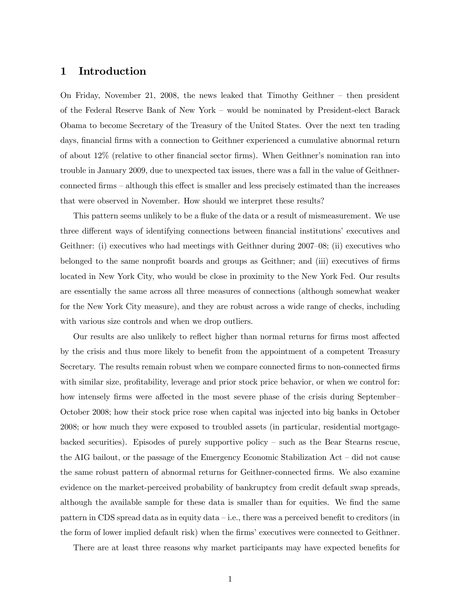# 1 Introduction

On Friday, November 21, 2008, the news leaked that Timothy Geithner — then president of the Federal Reserve Bank of New York — would be nominated by President-elect Barack Obama to become Secretary of the Treasury of the United States. Over the next ten trading days, financial firms with a connection to Geithner experienced a cumulative abnormal return of about 12% (relative to other financial sector firms). When Geithner's nomination ran into trouble in January 2009, due to unexpected tax issues, there was a fall in the value of Geithnerconnected firms — although this effect is smaller and less precisely estimated than the increases that were observed in November. How should we interpret these results?

This pattern seems unlikely to be a fluke of the data or a result of mismeasurement. We use three different ways of identifying connections between financial institutions' executives and Geithner: (i) executives who had meetings with Geithner during 2007—08; (ii) executives who belonged to the same nonprofit boards and groups as Geithner; and (iii) executives of firms located in New York City, who would be close in proximity to the New York Fed. Our results are essentially the same across all three measures of connections (although somewhat weaker for the New York City measure), and they are robust across a wide range of checks, including with various size controls and when we drop outliers.

Our results are also unlikely to reflect higher than normal returns for firms most affected by the crisis and thus more likely to benefit from the appointment of a competent Treasury Secretary. The results remain robust when we compare connected firms to non-connected firms with similar size, profitability, leverage and prior stock price behavior, or when we control for: how intensely firms were affected in the most severe phase of the crisis during September— October 2008; how their stock price rose when capital was injected into big banks in October 2008; or how much they were exposed to troubled assets (in particular, residential mortgagebacked securities). Episodes of purely supportive policy — such as the Bear Stearns rescue, the AIG bailout, or the passage of the Emergency Economic Stabilization Act — did not cause the same robust pattern of abnormal returns for Geithner-connected firms. We also examine evidence on the market-perceived probability of bankruptcy from credit default swap spreads, although the available sample for these data is smaller than for equities. We find the same pattern in CDS spread data as in equity data — i.e., there was a perceived benefit to creditors (in the form of lower implied default risk) when the firms' executives were connected to Geithner.

There are at least three reasons why market participants may have expected benefits for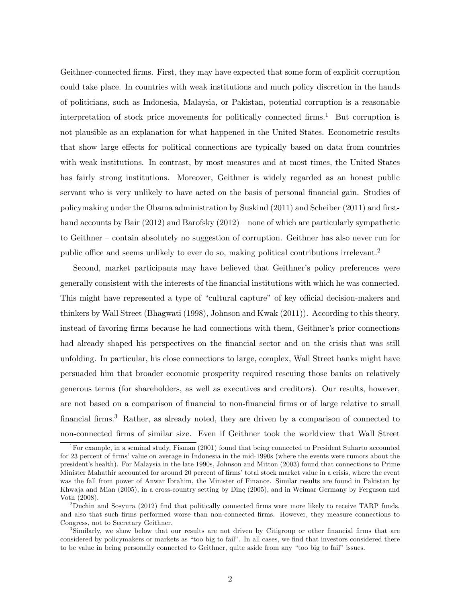Geithner-connected firms. First, they may have expected that some form of explicit corruption could take place. In countries with weak institutions and much policy discretion in the hands of politicians, such as Indonesia, Malaysia, or Pakistan, potential corruption is a reasonable interpretation of stock price movements for politically connected firms.<sup>1</sup> But corruption is not plausible as an explanation for what happened in the United States. Econometric results that show large effects for political connections are typically based on data from countries with weak institutions. In contrast, by most measures and at most times, the United States has fairly strong institutions. Moreover, Geithner is widely regarded as an honest public servant who is very unlikely to have acted on the basis of personal financial gain. Studies of policymaking under the Obama administration by Suskind (2011) and Scheiber (2011) and firsthand accounts by Bair (2012) and Barofsky (2012) – none of which are particularly sympathetic to Geithner — contain absolutely no suggestion of corruption. Geithner has also never run for public office and seems unlikely to ever do so, making political contributions irrelevant.<sup>2</sup>

Second, market participants may have believed that Geithner's policy preferences were generally consistent with the interests of the financial institutions with which he was connected. This might have represented a type of "cultural capture" of key official decision-makers and thinkers by Wall Street (Bhagwati (1998), Johnson and Kwak (2011)). According to this theory, instead of favoring firms because he had connections with them, Geithner's prior connections had already shaped his perspectives on the financial sector and on the crisis that was still unfolding. In particular, his close connections to large, complex, Wall Street banks might have persuaded him that broader economic prosperity required rescuing those banks on relatively generous terms (for shareholders, as well as executives and creditors). Our results, however, are not based on a comparison of financial to non-financial firms or of large relative to small financial firms.<sup>3</sup> Rather, as already noted, they are driven by a comparison of connected to non-connected firms of similar size. Even if Geithner took the worldview that Wall Street

<sup>&</sup>lt;sup>1</sup>For example, in a seminal study, Fisman (2001) found that being connected to President Suharto accounted for 23 percent of firms' value on average in Indonesia in the mid-1990s (where the events were rumors about the president's health). For Malaysia in the late 1990s, Johnson and Mitton (2003) found that connections to Prime Minister Mahathir accounted for around 20 percent of firms' total stock market value in a crisis, where the event was the fall from power of Anwar Ibrahim, the Minister of Finance. Similar results are found in Pakistan by Khwaja and Mian (2005), in a cross-country setting by Dinç (2005), and in Weimar Germany by Ferguson and Voth (2008).

<sup>&</sup>lt;sup>2</sup>Duchin and Sosyura (2012) find that politically connected firms were more likely to receive TARP funds, and also that such firms performed worse than non-connected firms. However, they measure connections to Congress, not to Secretary Geithner.

<sup>3</sup>Similarly, we show below that our results are not driven by Citigroup or other financial firms that are considered by policymakers or markets as "too big to fail". In all cases, we find that investors considered there to be value in being personally connected to Geithner, quite aside from any "too big to fail" issues.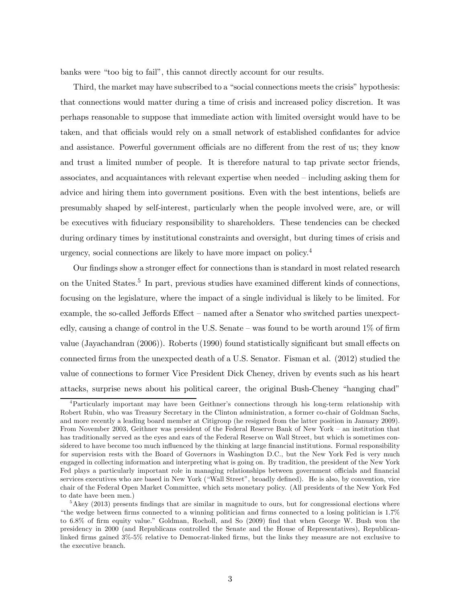banks were "too big to fail", this cannot directly account for our results.

Third, the market may have subscribed to a "social connections meets the crisis" hypothesis: that connections would matter during a time of crisis and increased policy discretion. It was perhaps reasonable to suppose that immediate action with limited oversight would have to be taken, and that officials would rely on a small network of established confidantes for advice and assistance. Powerful government officials are no different from the rest of us; they know and trust a limited number of people. It is therefore natural to tap private sector friends, associates, and acquaintances with relevant expertise when needed — including asking them for advice and hiring them into government positions. Even with the best intentions, beliefs are presumably shaped by self-interest, particularly when the people involved were, are, or will be executives with fiduciary responsibility to shareholders. These tendencies can be checked during ordinary times by institutional constraints and oversight, but during times of crisis and urgency, social connections are likely to have more impact on policy.<sup>4</sup>

Our findings show a stronger effect for connections than is standard in most related research on the United States.<sup>5</sup> In part, previous studies have examined different kinds of connections, focusing on the legislature, where the impact of a single individual is likely to be limited. For example, the so-called Jeffords Effect — named after a Senator who switched parties unexpectedly, causing a change of control in the U.S. Senate — was found to be worth around 1% of firm value (Jayachandran (2006)). Roberts (1990) found statistically significant but small effects on connected firms from the unexpected death of a U.S. Senator. Fisman et al. (2012) studied the value of connections to former Vice President Dick Cheney, driven by events such as his heart attacks, surprise news about his political career, the original Bush-Cheney "hanging chad"

<sup>4</sup>Particularly important may have been Geithner's connections through his long-term relationship with Robert Rubin, who was Treasury Secretary in the Clinton administration, a former co-chair of Goldman Sachs, and more recently a leading board member at Citigroup (he resigned from the latter position in January 2009). From November 2003, Geithner was president of the Federal Reserve Bank of New York — an institution that has traditionally served as the eyes and ears of the Federal Reserve on Wall Street, but which is sometimes considered to have become too much influenced by the thinking at large financial institutions. Formal responsibility for supervision rests with the Board of Governors in Washington D.C., but the New York Fed is very much engaged in collecting information and interpreting what is going on. By tradition, the president of the New York Fed plays a particularly important role in managing relationships between government officials and financial services executives who are based in New York ("Wall Street", broadly defined). He is also, by convention, vice chair of the Federal Open Market Committee, which sets monetary policy. (All presidents of the New York Fed to date have been men.)

 $5$ Akey (2013) presents findings that are similar in magnitude to ours, but for congressional elections where "the wedge between firms connected to a winning politician and firms connected to a losing politician is 1.7% to 6.8% of firm equity value." Goldman, Rocholl, and So (2009) find that when George W. Bush won the presidency in 2000 (and Republicans controlled the Senate and the House of Representatives), Republicanlinked firms gained 3%-5% relative to Democrat-linked firms, but the links they measure are not exclusive to the executive branch.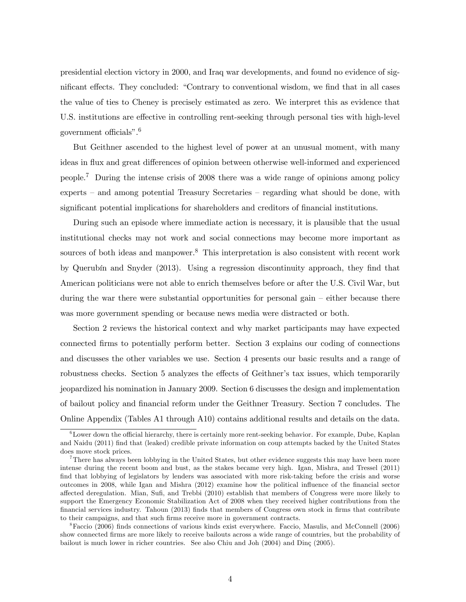presidential election victory in 2000, and Iraq war developments, and found no evidence of significant effects. They concluded: "Contrary to conventional wisdom, we find that in all cases the value of ties to Cheney is precisely estimated as zero. We interpret this as evidence that U.S. institutions are effective in controlling rent-seeking through personal ties with high-level government officials".6

But Geithner ascended to the highest level of power at an unusual moment, with many ideas in flux and great differences of opinion between otherwise well-informed and experienced people.7 During the intense crisis of 2008 there was a wide range of opinions among policy experts — and among potential Treasury Secretaries — regarding what should be done, with significant potential implications for shareholders and creditors of financial institutions.

During such an episode where immediate action is necessary, it is plausible that the usual institutional checks may not work and social connections may become more important as sources of both ideas and manpower.<sup>8</sup> This interpretation is also consistent with recent work by Querubín and Snyder (2013). Using a regression discontinuity approach, they find that American politicians were not able to enrich themselves before or after the U.S. Civil War, but during the war there were substantial opportunities for personal gain — either because there was more government spending or because news media were distracted or both.

Section 2 reviews the historical context and why market participants may have expected connected firms to potentially perform better. Section 3 explains our coding of connections and discusses the other variables we use. Section 4 presents our basic results and a range of robustness checks. Section 5 analyzes the effects of Geithner's tax issues, which temporarily jeopardized his nomination in January 2009. Section 6 discusses the design and implementation of bailout policy and financial reform under the Geithner Treasury. Section 7 concludes. The Online Appendix (Tables A1 through A10) contains additional results and details on the data.

 $6$ Lower down the official hierarchy, there is certainly more rent-seeking behavior. For example, Dube, Kaplan and Naidu (2011) find that (leaked) credible private information on coup attempts backed by the United States does move stock prices.

<sup>&</sup>lt;sup>7</sup>There has always been lobbying in the United States, but other evidence suggests this may have been more intense during the recent boom and bust, as the stakes became very high. Igan, Mishra, and Tressel (2011) find that lobbying of legislators by lenders was associated with more risk-taking before the crisis and worse outcomes in 2008, while Igan and Mishra (2012) examine how the political influence of the financial sector affected deregulation. Mian, Sufi, and Trebbi (2010) establish that members of Congress were more likely to support the Emergency Economic Stabilization Act of 2008 when they received higher contributions from the financial services industry. Tahoun (2013) finds that members of Congress own stock in firms that contribute to their campaigns, and that such firms receive more in government contracts.

<sup>8</sup>Faccio (2006) finds connections of various kinds exist everywhere. Faccio, Masulis, and McConnell (2006) show connected firms are more likely to receive bailouts across a wide range of countries, but the probability of bailout is much lower in richer countries. See also Chiu and Joh (2004) and Dinç (2005).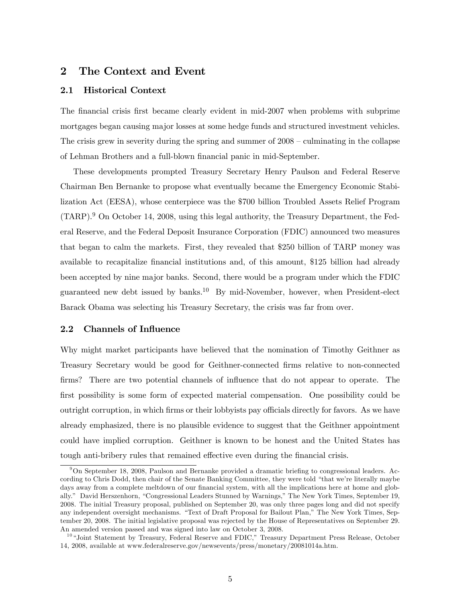# 2 The Context and Event

## 2.1 Historical Context

The financial crisis first became clearly evident in mid-2007 when problems with subprime mortgages began causing major losses at some hedge funds and structured investment vehicles. The crisis grew in severity during the spring and summer of 2008 — culminating in the collapse of Lehman Brothers and a full-blown financial panic in mid-September.

These developments prompted Treasury Secretary Henry Paulson and Federal Reserve Chairman Ben Bernanke to propose what eventually became the Emergency Economic Stabilization Act (EESA), whose centerpiece was the \$700 billion Troubled Assets Relief Program (TARP).<sup>9</sup> On October 14, 2008, using this legal authority, the Treasury Department, the Federal Reserve, and the Federal Deposit Insurance Corporation (FDIC) announced two measures that began to calm the markets. First, they revealed that \$250 billion of TARP money was available to recapitalize financial institutions and, of this amount, \$125 billion had already been accepted by nine major banks. Second, there would be a program under which the FDIC guaranteed new debt issued by banks.<sup>10</sup> By mid-November, however, when President-elect Barack Obama was selecting his Treasury Secretary, the crisis was far from over.

# 2.2 Channels of Influence

Why might market participants have believed that the nomination of Timothy Geithner as Treasury Secretary would be good for Geithner-connected firms relative to non-connected firms? There are two potential channels of influence that do not appear to operate. The first possibility is some form of expected material compensation. One possibility could be outright corruption, in which firms or their lobbyists pay officials directly for favors. As we have already emphasized, there is no plausible evidence to suggest that the Geithner appointment could have implied corruption. Geithner is known to be honest and the United States has tough anti-bribery rules that remained effective even during the financial crisis.

 $9$ On September 18, 2008, Paulson and Bernanke provided a dramatic briefing to congressional leaders. According to Chris Dodd, then chair of the Senate Banking Committee, they were told "that we're literally maybe days away from a complete meltdown of our financial system, with all the implications here at home and globally." David Herszenhorn, "Congressional Leaders Stunned by Warnings," The New York Times, September 19, 2008. The initial Treasury proposal, published on September 20, was only three pages long and did not specify any independent oversight mechanisms. "Text of Draft Proposal for Bailout Plan," The New York Times, September 20, 2008. The initial legislative proposal was rejected by the House of Representatives on September 29. An amended version passed and was signed into law on October 3, 2008.

<sup>&</sup>lt;sup>10</sup> "Joint Statement by Treasury, Federal Reserve and FDIC," Treasury Department Press Release, October 14, 2008, available at www.federalreserve.gov/newsevents/press/monetary/20081014a.htm.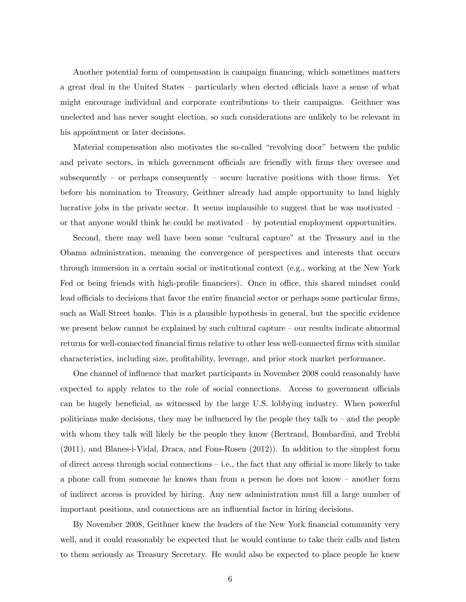Another potential form of compensation is campaign financing, which sometimes matters a great deal in the United States — particularly when elected officials have a sense of what might encourage individual and corporate contributions to their campaigns. Geithner was unelected and has never sought election, so such considerations are unlikely to be relevant in his appointment or later decisions.

Material compensation also motivates the so-called "revolving door" between the public and private sectors, in which government officials are friendly with firms they oversee and subsequently – or perhaps consequently – secure lucrative positions with those firms. Yet before his nomination to Treasury, Geithner already had ample opportunity to land highly lucrative jobs in the private sector. It seems implausible to suggest that he was motivated or that anyone would think he could be motivated — by potential employment opportunities.

Second, there may well have been some "cultural capture" at the Treasury and in the Obama administration, meaning the convergence of perspectives and interests that occurs through immersion in a certain social or institutional context (e.g., working at the New York Fed or being friends with high-profile financiers). Once in office, this shared mindset could lead officials to decisions that favor the entire financial sector or perhaps some particular firms, such as Wall Street banks. This is a plausible hypothesis in general, but the specific evidence we present below cannot be explained by such cultural capture — our results indicate abnormal returns for well-connected financial firms relative to other less well-connected firms with similar characteristics, including size, profitability, leverage, and prior stock market performance.

One channel of influence that market participants in November 2008 could reasonably have expected to apply relates to the role of social connections. Access to government officials can be hugely beneficial, as witnessed by the large U.S. lobbying industry. When powerful politicians make decisions, they may be influenced by the people they talk to  $-$  and the people with whom they talk will likely be the people they know (Bertrand, Bombardini, and Trebbi (2011), and Blanes-i-Vidal, Draca, and Fons-Rosen (2012)). In addition to the simplest form of direct access through social connections — i.e., the fact that any official is more likely to take a phone call from someone he knows than from a person he does not know — another form of indirect access is provided by hiring. Any new administration must fill a large number of important positions, and connections are an influential factor in hiring decisions.

By November 2008, Geithner knew the leaders of the New York financial community very well, and it could reasonably be expected that he would continue to take their calls and listen to them seriously as Treasury Secretary. He would also be expected to place people he knew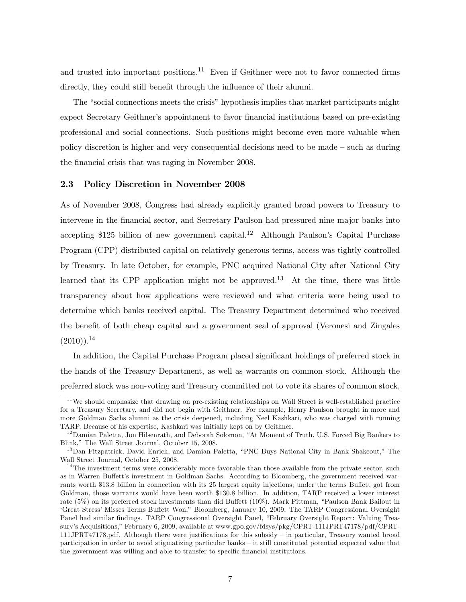and trusted into important positions.<sup>11</sup> Even if Geithner were not to favor connected firms directly, they could still benefit through the influence of their alumni.

The "social connections meets the crisis" hypothesis implies that market participants might expect Secretary Geithner's appointment to favor financial institutions based on pre-existing professional and social connections. Such positions might become even more valuable when policy discretion is higher and very consequential decisions need to be made — such as during the financial crisis that was raging in November 2008.

### 2.3 Policy Discretion in November 2008

As of November 2008, Congress had already explicitly granted broad powers to Treasury to intervene in the financial sector, and Secretary Paulson had pressured nine major banks into accepting \$125 billion of new government capital.<sup>12</sup> Although Paulson's Capital Purchase Program (CPP) distributed capital on relatively generous terms, access was tightly controlled by Treasury. In late October, for example, PNC acquired National City after National City learned that its CPP application might not be approved.<sup>13</sup> At the time, there was little transparency about how applications were reviewed and what criteria were being used to determine which banks received capital. The Treasury Department determined who received the benefit of both cheap capital and a government seal of approval (Veronesi and Zingales  $(2010)$ ).<sup>14</sup>

In addition, the Capital Purchase Program placed significant holdings of preferred stock in the hands of the Treasury Department, as well as warrants on common stock. Although the preferred stock was non-voting and Treasury committed not to vote its shares of common stock,

<sup>&</sup>lt;sup>11</sup> We should emphasize that drawing on pre-existing relationships on Wall Street is well-established practice for a Treasury Secretary, and did not begin with Geithner. For example, Henry Paulson brought in more and more Goldman Sachs alumni as the crisis deepened, including Neel Kashkari, who was charged with running TARP. Because of his expertise, Kashkari was initially kept on by Geithner.

<sup>&</sup>lt;sup>12</sup> Damian Paletta, Jon Hilsenrath, and Deborah Solomon, "At Moment of Truth, U.S. Forced Big Bankers to Blink," The Wall Street Journal, October 15, 2008.

<sup>&</sup>lt;sup>13</sup>Dan Fitzpatrick, David Enrich, and Damian Paletta, "PNC Buys National City in Bank Shakeout," The Wall Street Journal, October 25, 2008.

 $14$ The investment terms were considerably more favorable than those available from the private sector, such as in Warren Buffett's investment in Goldman Sachs. According to Bloomberg, the government received warrants worth \$13.8 billion in connection with its 25 largest equity injections; under the terms Buffett got from Goldman, those warrants would have been worth \$130.8 billion. In addition, TARP received a lower interest rate (5%) on its preferred stock investments than did Buffett (10%). Mark Pittman, "Paulson Bank Bailout in 'Great Stress' Misses Terms Buffett Won," Bloomberg, January 10, 2009. The TARP Congressional Oversight Panel had similar findings. TARP Congressional Oversight Panel, "February Oversight Report: Valuing Treasury's Acquisitions," February 6, 2009, available at www.gpo.gov/fdsys/pkg/CPRT-111JPRT47178/pdf/CPRT-111JPRT47178.pdf. Although there were justifications for this subsidy — in particular, Treasury wanted broad participation in order to avoid stigmatizing particular banks — it still constituted potential expected value that the government was willing and able to transfer to specific financial institutions.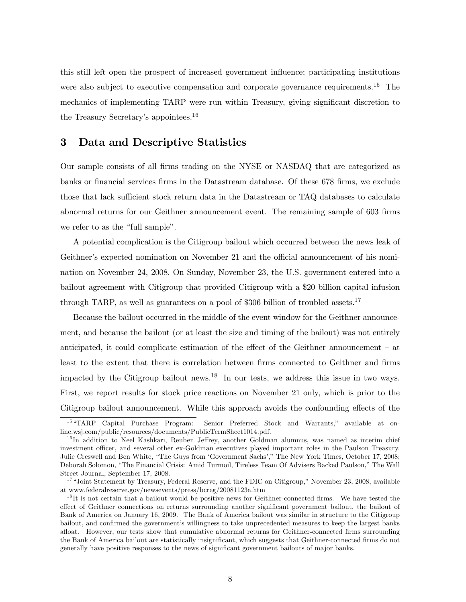this still left open the prospect of increased government influence; participating institutions were also subject to executive compensation and corporate governance requirements.<sup>15</sup> The mechanics of implementing TARP were run within Treasury, giving significant discretion to the Treasury Secretary's appointees.<sup>16</sup>

# 3 Data and Descriptive Statistics

Our sample consists of all firms trading on the NYSE or NASDAQ that are categorized as banks or financial services firms in the Datastream database. Of these 678 firms, we exclude those that lack sufficient stock return data in the Datastream or TAQ databases to calculate abnormal returns for our Geithner announcement event. The remaining sample of 603 firms we refer to as the "full sample".

A potential complication is the Citigroup bailout which occurred between the news leak of Geithner's expected nomination on November 21 and the official announcement of his nomination on November 24, 2008. On Sunday, November 23, the U.S. government entered into a bailout agreement with Citigroup that provided Citigroup with a \$20 billion capital infusion through TARP, as well as guarantees on a pool of \$306 billion of troubled assets.<sup>17</sup>

Because the bailout occurred in the middle of the event window for the Geithner announcement, and because the bailout (or at least the size and timing of the bailout) was not entirely anticipated, it could complicate estimation of the effect of the Geithner announcement — at least to the extent that there is correlation between firms connected to Geithner and firms impacted by the Citigroup bailout news.<sup>18</sup> In our tests, we address this issue in two ways. First, we report results for stock price reactions on November 21 only, which is prior to the Citigroup bailout announcement. While this approach avoids the confounding effects of the

<sup>&</sup>lt;sup>15</sup> "TARP Capital Purchase Program: Senior Preferred Stock and Warrants," available at online.wsj.com/public/resources/documents/PublicTermSheet1014.pdf.

<sup>&</sup>lt;sup>16</sup> In addition to Neel Kashkari, Reuben Jeffrey, another Goldman alumnus, was named as interim chief investment officer, and several other ex-Goldman executives played important roles in the Paulson Treasury. Julie Creswell and Ben White, "The Guys from 'Government Sachs'," The New York Times, October 17, 2008; Deborah Solomon, "The Financial Crisis: Amid Turmoil, Tireless Team Of Advisers Backed Paulson," The Wall Street Journal, September 17, 2008.

<sup>&</sup>lt;sup>17</sup> "Joint Statement by Treasury, Federal Reserve, and the FDIC on Citigroup," November 23, 2008, available at www.federalreserve.gov/newsevents/press/bcreg/20081123a.htm

<sup>&</sup>lt;sup>18</sup>It is not certain that a bailout would be positive news for Geithner-connected firms. We have tested the effect of Geithner connections on returns surrounding another significant government bailout, the bailout of Bank of America on January 16, 2009. The Bank of America bailout was similar in structure to the Citigroup bailout, and confirmed the government's willingness to take unprecedented measures to keep the largest banks afloat. However, our tests show that cumulative abnormal returns for Geithner-connected firms surrounding the Bank of America bailout are statistically insignificant, which suggests that Geithner-connected firms do not generally have positive responses to the news of significant government bailouts of major banks.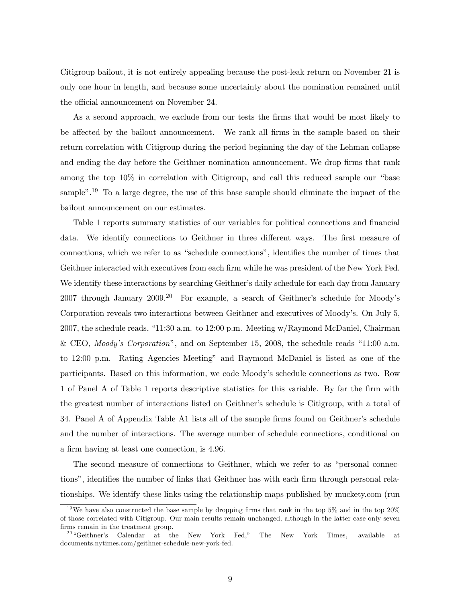Citigroup bailout, it is not entirely appealing because the post-leak return on November 21 is only one hour in length, and because some uncertainty about the nomination remained until the official announcement on November 24.

As a second approach, we exclude from our tests the firms that would be most likely to be affected by the bailout announcement. We rank all firms in the sample based on their return correlation with Citigroup during the period beginning the day of the Lehman collapse and ending the day before the Geithner nomination announcement. We drop firms that rank among the top 10% in correlation with Citigroup, and call this reduced sample our "base sample".<sup>19</sup> To a large degree, the use of this base sample should eliminate the impact of the bailout announcement on our estimates.

Table 1 reports summary statistics of our variables for political connections and financial data. We identify connections to Geithner in three different ways. The first measure of connections, which we refer to as "schedule connections", identifies the number of times that Geithner interacted with executives from each firm while he was president of the New York Fed. We identify these interactions by searching Geithner's daily schedule for each day from January 2007 through January  $2009<sup>20</sup>$  For example, a search of Geithner's schedule for Moody's Corporation reveals two interactions between Geithner and executives of Moody's. On July 5, 2007, the schedule reads, "11:30 a.m. to 12:00 p.m. Meeting w/Raymond McDaniel, Chairman & CEO, Moody's Corporation", and on September 15, 2008, the schedule reads "11:00 a.m. to 12:00 p.m. Rating Agencies Meeting" and Raymond McDaniel is listed as one of the participants. Based on this information, we code Moody's schedule connections as two. Row 1 of Panel A of Table 1 reports descriptive statistics for this variable. By far the firm with the greatest number of interactions listed on Geithner's schedule is Citigroup, with a total of 34. Panel A of Appendix Table A1 lists all of the sample firms found on Geithner's schedule and the number of interactions. The average number of schedule connections, conditional on a firm having at least one connection, is 4.96.

The second measure of connections to Geithner, which we refer to as "personal connections", identifies the number of links that Geithner has with each firm through personal relationships. We identify these links using the relationship maps published by muckety.com (run

<sup>&</sup>lt;sup>19</sup>We have also constructed the base sample by dropping firms that rank in the top 5% and in the top  $20\%$ of those correlated with Citigroup. Our main results remain unchanged, although in the latter case only seven firms remain in the treatment group.

<sup>&</sup>lt;sup>20</sup> "Geithner's Calendar at the New York Fed," The New York Times, available at documents.nytimes.com/geithner-schedule-new-york-fed.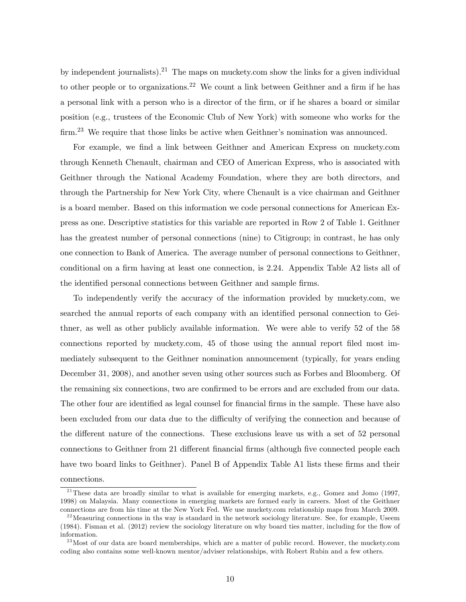by independent journalists).<sup>21</sup> The maps on muckety.com show the links for a given individual to other people or to organizations.<sup>22</sup> We count a link between Geithner and a firm if he has a personal link with a person who is a director of the firm, or if he shares a board or similar position (e.g., trustees of the Economic Club of New York) with someone who works for the firm.<sup>23</sup> We require that those links be active when Geithner's nomination was announced.

For example, we find a link between Geithner and American Express on muckety.com through Kenneth Chenault, chairman and CEO of American Express, who is associated with Geithner through the National Academy Foundation, where they are both directors, and through the Partnership for New York City, where Chenault is a vice chairman and Geithner is a board member. Based on this information we code personal connections for American Express as one. Descriptive statistics for this variable are reported in Row 2 of Table 1. Geithner has the greatest number of personal connections (nine) to Citigroup; in contrast, he has only one connection to Bank of America. The average number of personal connections to Geithner, conditional on a firm having at least one connection, is 2.24. Appendix Table A2 lists all of the identified personal connections between Geithner and sample firms.

To independently verify the accuracy of the information provided by muckety.com, we searched the annual reports of each company with an identified personal connection to Geithner, as well as other publicly available information. We were able to verify 52 of the 58 connections reported by muckety.com, 45 of those using the annual report filed most immediately subsequent to the Geithner nomination announcement (typically, for years ending December 31, 2008), and another seven using other sources such as Forbes and Bloomberg. Of the remaining six connections, two are confirmed to be errors and are excluded from our data. The other four are identified as legal counsel for financial firms in the sample. These have also been excluded from our data due to the difficulty of verifying the connection and because of the different nature of the connections. These exclusions leave us with a set of 52 personal connections to Geithner from 21 different financial firms (although five connected people each have two board links to Geithner). Panel B of Appendix Table A1 lists these firms and their connections.

<sup>&</sup>lt;sup>21</sup> These data are broadly similar to what is available for emerging markets, e.g., Gomez and Jomo (1997, 1998) on Malaysia. Many connections in emerging markets are formed early in careers. Most of the Geithner connections are from his time at the New York Fed. We use muckety.com relationship maps from March 2009.

 $^{22}$  Measuring connections in ths way is standard in the network sociology literature. See, for example, Useem (1984). Fisman et al. (2012) review the sociology literature on why board ties matter, including for the flow of information.

 $^{23}$  Most of our data are board memberships, which are a matter of public record. However, the muckety.com coding also contains some well-known mentor/adviser relationships, with Robert Rubin and a few others.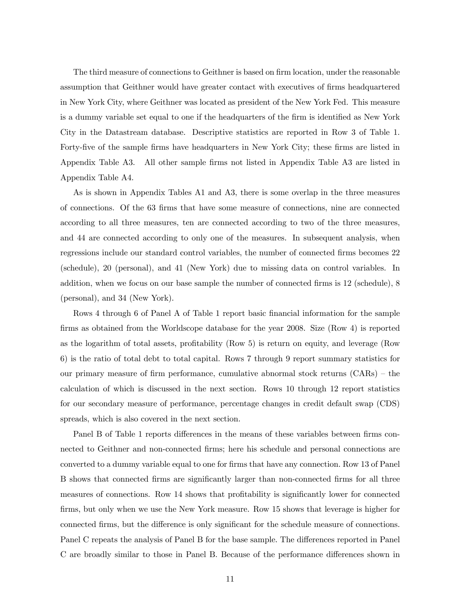The third measure of connections to Geithner is based on firm location, under the reasonable assumption that Geithner would have greater contact with executives of firms headquartered in New York City, where Geithner was located as president of the New York Fed. This measure is a dummy variable set equal to one if the headquarters of the firm is identified as New York City in the Datastream database. Descriptive statistics are reported in Row 3 of Table 1. Forty-five of the sample firms have headquarters in New York City; these firms are listed in Appendix Table A3. All other sample firms not listed in Appendix Table A3 are listed in Appendix Table A4.

As is shown in Appendix Tables A1 and A3, there is some overlap in the three measures of connections. Of the 63 firms that have some measure of connections, nine are connected according to all three measures, ten are connected according to two of the three measures, and 44 are connected according to only one of the measures. In subsequent analysis, when regressions include our standard control variables, the number of connected firms becomes 22 (schedule), 20 (personal), and 41 (New York) due to missing data on control variables. In addition, when we focus on our base sample the number of connected firms is 12 (schedule), 8 (personal), and 34 (New York).

Rows 4 through 6 of Panel A of Table 1 report basic financial information for the sample firms as obtained from the Worldscope database for the year 2008. Size (Row 4) is reported as the logarithm of total assets, profitability (Row 5) is return on equity, and leverage (Row 6) is the ratio of total debt to total capital. Rows 7 through 9 report summary statistics for our primary measure of firm performance, cumulative abnormal stock returns (CARs) — the calculation of which is discussed in the next section. Rows 10 through 12 report statistics for our secondary measure of performance, percentage changes in credit default swap (CDS) spreads, which is also covered in the next section.

Panel B of Table 1 reports differences in the means of these variables between firms connected to Geithner and non-connected firms; here his schedule and personal connections are converted to a dummy variable equal to one for firms that have any connection. Row 13 of Panel B shows that connected firms are significantly larger than non-connected firms for all three measures of connections. Row 14 shows that profitability is significantly lower for connected firms, but only when we use the New York measure. Row 15 shows that leverage is higher for connected firms, but the difference is only significant for the schedule measure of connections. Panel C repeats the analysis of Panel B for the base sample. The differences reported in Panel C are broadly similar to those in Panel B. Because of the performance differences shown in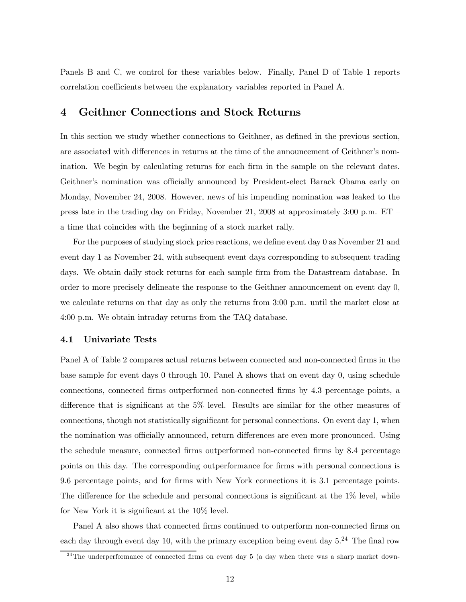Panels B and C, we control for these variables below. Finally, Panel D of Table 1 reports correlation coefficients between the explanatory variables reported in Panel A.

# 4 Geithner Connections and Stock Returns

In this section we study whether connections to Geithner, as defined in the previous section, are associated with differences in returns at the time of the announcement of Geithner's nomination. We begin by calculating returns for each firm in the sample on the relevant dates. Geithner's nomination was officially announced by President-elect Barack Obama early on Monday, November 24, 2008. However, news of his impending nomination was leaked to the press late in the trading day on Friday, November 21, 2008 at approximately 3:00 p.m.  $ET$ a time that coincides with the beginning of a stock market rally.

For the purposes of studying stock price reactions, we define event day 0 as November 21 and event day 1 as November 24, with subsequent event days corresponding to subsequent trading days. We obtain daily stock returns for each sample firm from the Datastream database. In order to more precisely delineate the response to the Geithner announcement on event day 0, we calculate returns on that day as only the returns from 3:00 p.m. until the market close at 4:00 p.m. We obtain intraday returns from the TAQ database.

## 4.1 Univariate Tests

Panel A of Table 2 compares actual returns between connected and non-connected firms in the base sample for event days 0 through 10. Panel A shows that on event day 0, using schedule connections, connected firms outperformed non-connected firms by 4.3 percentage points, a difference that is significant at the 5% level. Results are similar for the other measures of connections, though not statistically significant for personal connections. On event day 1, when the nomination was officially announced, return differences are even more pronounced. Using the schedule measure, connected firms outperformed non-connected firms by 8.4 percentage points on this day. The corresponding outperformance for firms with personal connections is 9.6 percentage points, and for firms with New York connections it is 3.1 percentage points. The difference for the schedule and personal connections is significant at the 1% level, while for New York it is significant at the 10% level.

Panel A also shows that connected firms continued to outperform non-connected firms on each day through event day 10, with the primary exception being event day  $5.^{24}$ . The final row

 $24$ The underperformance of connected firms on event day 5 (a day when there was a sharp market down-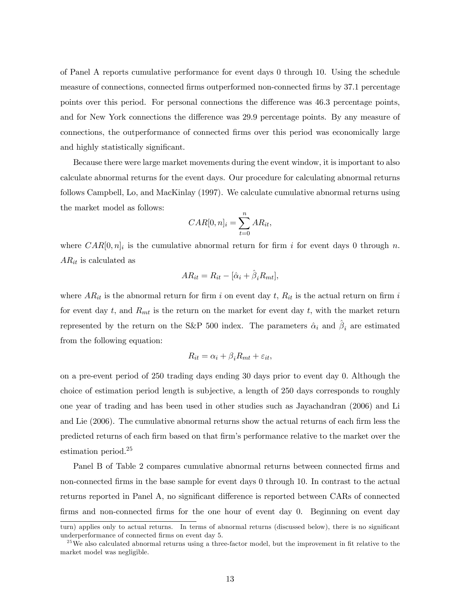of Panel A reports cumulative performance for event days 0 through 10. Using the schedule measure of connections, connected firms outperformed non-connected firms by 37.1 percentage points over this period. For personal connections the difference was 46.3 percentage points, and for New York connections the difference was 29.9 percentage points. By any measure of connections, the outperformance of connected firms over this period was economically large and highly statistically significant.

Because there were large market movements during the event window, it is important to also calculate abnormal returns for the event days. Our procedure for calculating abnormal returns follows Campbell, Lo, and MacKinlay (1997). We calculate cumulative abnormal returns using the market model as follows:

$$
CAR[0, n]_i = \sum_{t=0}^{n} AR_{it},
$$

where  $CAR[0, n]$  is the cumulative abnormal return for firm i for event days 0 through n.  $AR_{it}$  is calculated as

$$
AR_{it} = R_{it} - [\hat{\alpha}_i + \hat{\beta}_i R_{mt}],
$$

where  $AR_{it}$  is the abnormal return for firm i on event day t,  $R_{it}$  is the actual return on firm i for event day t, and  $R_{mt}$  is the return on the market for event day t, with the market return represented by the return on the S&P 500 index. The parameters  $\hat{\alpha}_i$  and  $\beta_i$  are estimated from the following equation:

$$
R_{it} = \alpha_i + \beta_i R_{mt} + \varepsilon_{it},
$$

on a pre-event period of 250 trading days ending 30 days prior to event day 0. Although the choice of estimation period length is subjective, a length of 250 days corresponds to roughly one year of trading and has been used in other studies such as Jayachandran (2006) and Li and Lie (2006). The cumulative abnormal returns show the actual returns of each firm less the predicted returns of each firm based on that firm's performance relative to the market over the estimation period.<sup>25</sup>

Panel B of Table 2 compares cumulative abnormal returns between connected firms and non-connected firms in the base sample for event days 0 through 10. In contrast to the actual returns reported in Panel A, no significant difference is reported between CARs of connected firms and non-connected firms for the one hour of event day 0. Beginning on event day

turn) applies only to actual returns. In terms of abnormal returns (discussed below), there is no significant underperformance of connected firms on event day 5.

 $^{25}$  We also calculated abnormal returns using a three-factor model, but the improvement in fit relative to the market model was negligible.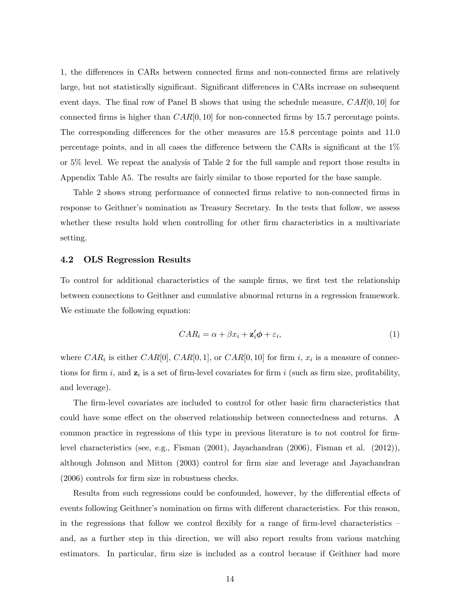1, the differences in CARs between connected firms and non-connected firms are relatively large, but not statistically significant. Significant differences in CARs increase on subsequent event days. The final row of Panel B shows that using the schedule measure,  $CAR[0, 10]$  for connected firms is higher than  $CAR[0, 10]$  for non-connected firms by 15.7 percentage points. The corresponding differences for the other measures are 15.8 percentage points and 11.0 percentage points, and in all cases the difference between the CARs is significant at the 1% or 5% level. We repeat the analysis of Table 2 for the full sample and report those results in Appendix Table A5. The results are fairly similar to those reported for the base sample.

Table 2 shows strong performance of connected firms relative to non-connected firms in response to Geithner's nomination as Treasury Secretary. In the tests that follow, we assess whether these results hold when controlling for other firm characteristics in a multivariate setting.

## 4.2 OLS Regression Results

To control for additional characteristics of the sample firms, we first test the relationship between connections to Geithner and cumulative abnormal returns in a regression framework. We estimate the following equation:

$$
CAR_i = \alpha + \beta x_i + \mathbf{z}'_i \phi + \varepsilon_i,
$$
\n(1)

where  $CAR_i$  is either  $CAR[0, \text{ }CAR[0, 1]$ , or  $CAR[0, 10]$  for firm i,  $x_i$  is a measure of connections for firm i, and  $z_i$  is a set of firm-level covariates for firm i (such as firm size, profitability, and leverage).

The firm-level covariates are included to control for other basic firm characteristics that could have some effect on the observed relationship between connectedness and returns. A common practice in regressions of this type in previous literature is to not control for firmlevel characteristics (see, e.g., Fisman (2001), Jayachandran (2006), Fisman et al. (2012)), although Johnson and Mitton (2003) control for firm size and leverage and Jayachandran (2006) controls for firm size in robustness checks.

Results from such regressions could be confounded, however, by the differential effects of events following Geithner's nomination on firms with different characteristics. For this reason, in the regressions that follow we control flexibly for a range of firm-level characteristics  $$ and, as a further step in this direction, we will also report results from various matching estimators. In particular, firm size is included as a control because if Geithner had more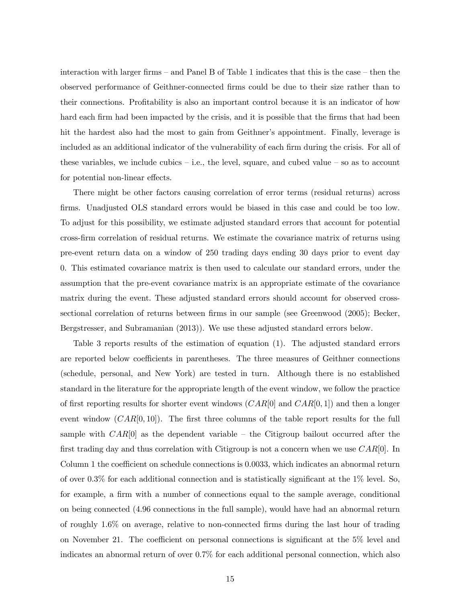interaction with larger firms — and Panel B of Table 1 indicates that this is the case — then the observed performance of Geithner-connected firms could be due to their size rather than to their connections. Profitability is also an important control because it is an indicator of how hard each firm had been impacted by the crisis, and it is possible that the firms that had been hit the hardest also had the most to gain from Geithner's appointment. Finally, leverage is included as an additional indicator of the vulnerability of each firm during the crisis. For all of these variables, we include cubics  $-$  i.e., the level, square, and cubed value  $-$  so as to account for potential non-linear effects.

There might be other factors causing correlation of error terms (residual returns) across firms. Unadjusted OLS standard errors would be biased in this case and could be too low. To adjust for this possibility, we estimate adjusted standard errors that account for potential cross-firm correlation of residual returns. We estimate the covariance matrix of returns using pre-event return data on a window of 250 trading days ending 30 days prior to event day 0. This estimated covariance matrix is then used to calculate our standard errors, under the assumption that the pre-event covariance matrix is an appropriate estimate of the covariance matrix during the event. These adjusted standard errors should account for observed crosssectional correlation of returns between firms in our sample (see Greenwood (2005); Becker, Bergstresser, and Subramanian (2013)). We use these adjusted standard errors below.

Table 3 reports results of the estimation of equation (1). The adjusted standard errors are reported below coefficients in parentheses. The three measures of Geithner connections (schedule, personal, and New York) are tested in turn. Although there is no established standard in the literature for the appropriate length of the event window, we follow the practice of first reporting results for shorter event windows  $(CAR[0]$  and  $CAR[0, 1]$  and then a longer event window  $(CAR[0, 10])$ . The first three columns of the table report results for the full sample with  $CAR[0]$  as the dependent variable – the Citigroup bailout occurred after the first trading day and thus correlation with Citigroup is not a concern when we use  $CAR[0]$ . In Column 1 the coefficient on schedule connections is 0.0033, which indicates an abnormal return of over 0.3% for each additional connection and is statistically significant at the 1% level. So, for example, a firm with a number of connections equal to the sample average, conditional on being connected (4.96 connections in the full sample), would have had an abnormal return of roughly 1.6% on average, relative to non-connected firms during the last hour of trading on November 21. The coefficient on personal connections is significant at the 5% level and indicates an abnormal return of over 0.7% for each additional personal connection, which also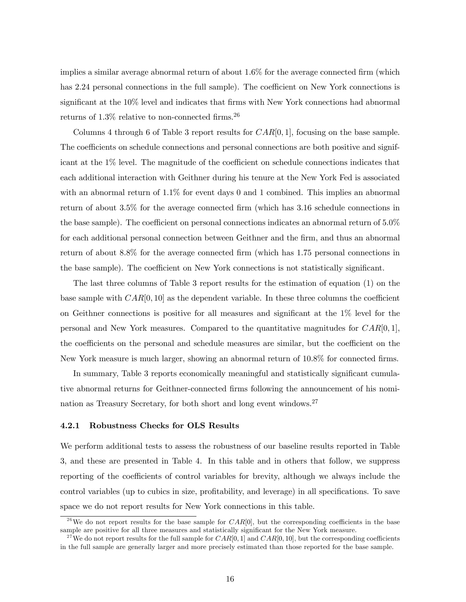implies a similar average abnormal return of about 1.6% for the average connected firm (which has 2.24 personal connections in the full sample). The coefficient on New York connections is significant at the 10% level and indicates that firms with New York connections had abnormal returns of  $1.3\%$  relative to non-connected firms.<sup>26</sup>

Columns 4 through 6 of Table 3 report results for  $CAR[0, 1]$ , focusing on the base sample. The coefficients on schedule connections and personal connections are both positive and significant at the 1% level. The magnitude of the coefficient on schedule connections indicates that each additional interaction with Geithner during his tenure at the New York Fed is associated with an abnormal return of  $1.1\%$  for event days 0 and 1 combined. This implies an abnormal return of about 3.5% for the average connected firm (which has 3.16 schedule connections in the base sample). The coefficient on personal connections indicates an abnormal return of 5.0% for each additional personal connection between Geithner and the firm, and thus an abnormal return of about 8.8% for the average connected firm (which has 1.75 personal connections in the base sample). The coefficient on New York connections is not statistically significant.

The last three columns of Table 3 report results for the estimation of equation (1) on the base sample with  $CAR[0, 10]$  as the dependent variable. In these three columns the coefficient on Geithner connections is positive for all measures and significant at the 1% level for the personal and New York measures. Compared to the quantitative magnitudes for  $CAR[0, 1]$ , the coefficients on the personal and schedule measures are similar, but the coefficient on the New York measure is much larger, showing an abnormal return of 10.8% for connected firms.

In summary, Table 3 reports economically meaningful and statistically significant cumulative abnormal returns for Geithner-connected firms following the announcement of his nomination as Treasury Secretary, for both short and long event windows.27

## 4.2.1 Robustness Checks for OLS Results

We perform additional tests to assess the robustness of our baseline results reported in Table 3, and these are presented in Table 4. In this table and in others that follow, we suppress reporting of the coefficients of control variables for brevity, although we always include the control variables (up to cubics in size, profitability, and leverage) in all specifications. To save space we do not report results for New York connections in this table.

<sup>&</sup>lt;sup>26</sup>We do not report results for the base sample for  $CAR[0]$ , but the corresponding coefficients in the base sample are positive for all three measures and statistically significant for the New York measure.

<sup>&</sup>lt;sup>27</sup> We do not report results for the full sample for  $CAR[0, 1]$  and  $CAR[0, 10]$ , but the corresponding coefficients in the full sample are generally larger and more precisely estimated than those reported for the base sample.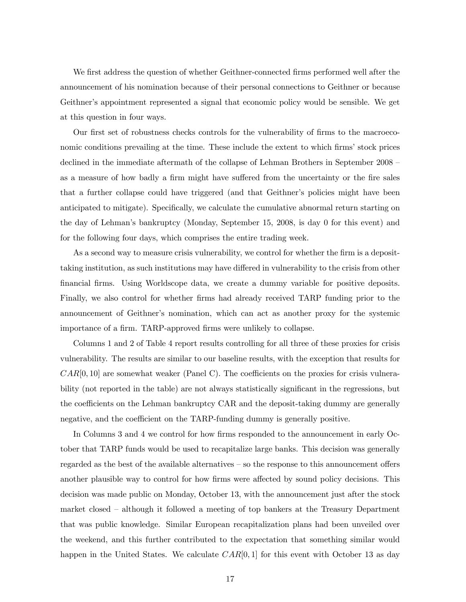We first address the question of whether Geithner-connected firms performed well after the announcement of his nomination because of their personal connections to Geithner or because Geithner's appointment represented a signal that economic policy would be sensible. We get at this question in four ways.

Our first set of robustness checks controls for the vulnerability of firms to the macroeconomic conditions prevailing at the time. These include the extent to which firms' stock prices declined in the immediate aftermath of the collapse of Lehman Brothers in September 2008 as a measure of how badly a firm might have suffered from the uncertainty or the fire sales that a further collapse could have triggered (and that Geithner's policies might have been anticipated to mitigate). Specifically, we calculate the cumulative abnormal return starting on the day of Lehman's bankruptcy (Monday, September 15, 2008, is day 0 for this event) and for the following four days, which comprises the entire trading week.

As a second way to measure crisis vulnerability, we control for whether the firm is a deposittaking institution, as such institutions may have differed in vulnerability to the crisis from other financial firms. Using Worldscope data, we create a dummy variable for positive deposits. Finally, we also control for whether firms had already received TARP funding prior to the announcement of Geithner's nomination, which can act as another proxy for the systemic importance of a firm. TARP-approved firms were unlikely to collapse.

Columns 1 and 2 of Table 4 report results controlling for all three of these proxies for crisis vulnerability. The results are similar to our baseline results, with the exception that results for  $CAR[0, 10]$  are somewhat weaker (Panel C). The coefficients on the proxies for crisis vulnerability (not reported in the table) are not always statistically significant in the regressions, but the coefficients on the Lehman bankruptcy CAR and the deposit-taking dummy are generally negative, and the coefficient on the TARP-funding dummy is generally positive.

In Columns 3 and 4 we control for how firms responded to the announcement in early October that TARP funds would be used to recapitalize large banks. This decision was generally regarded as the best of the available alternatives — so the response to this announcement offers another plausible way to control for how firms were affected by sound policy decisions. This decision was made public on Monday, October 13, with the announcement just after the stock market closed — although it followed a meeting of top bankers at the Treasury Department that was public knowledge. Similar European recapitalization plans had been unveiled over the weekend, and this further contributed to the expectation that something similar would happen in the United States. We calculate  $CAR[0, 1]$  for this event with October 13 as day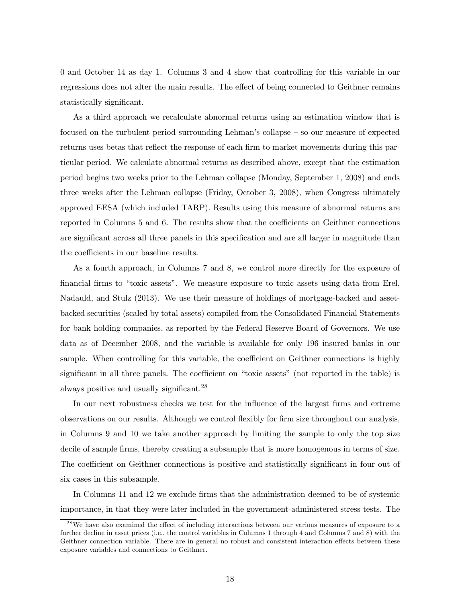0 and October 14 as day 1. Columns 3 and 4 show that controlling for this variable in our regressions does not alter the main results. The effect of being connected to Geithner remains statistically significant.

As a third approach we recalculate abnormal returns using an estimation window that is focused on the turbulent period surrounding Lehman's collapse — so our measure of expected returns uses betas that reflect the response of each firm to market movements during this particular period. We calculate abnormal returns as described above, except that the estimation period begins two weeks prior to the Lehman collapse (Monday, September 1, 2008) and ends three weeks after the Lehman collapse (Friday, October 3, 2008), when Congress ultimately approved EESA (which included TARP). Results using this measure of abnormal returns are reported in Columns 5 and 6. The results show that the coefficients on Geithner connections are significant across all three panels in this specification and are all larger in magnitude than the coefficients in our baseline results.

As a fourth approach, in Columns 7 and 8, we control more directly for the exposure of financial firms to "toxic assets". We measure exposure to toxic assets using data from Erel, Nadauld, and Stulz (2013). We use their measure of holdings of mortgage-backed and assetbacked securities (scaled by total assets) compiled from the Consolidated Financial Statements for bank holding companies, as reported by the Federal Reserve Board of Governors. We use data as of December 2008, and the variable is available for only 196 insured banks in our sample. When controlling for this variable, the coefficient on Geithner connections is highly significant in all three panels. The coefficient on "toxic assets" (not reported in the table) is always positive and usually significant.28

In our next robustness checks we test for the influence of the largest firms and extreme observations on our results. Although we control flexibly for firm size throughout our analysis, in Columns 9 and 10 we take another approach by limiting the sample to only the top size decile of sample firms, thereby creating a subsample that is more homogenous in terms of size. The coefficient on Geithner connections is positive and statistically significant in four out of six cases in this subsample.

In Columns 11 and 12 we exclude firms that the administration deemed to be of systemic importance, in that they were later included in the government-administered stress tests. The

<sup>&</sup>lt;sup>28</sup>We have also examined the effect of including interactions between our various measures of exposure to a further decline in asset prices (i.e., the control variables in Columns 1 through 4 and Columns 7 and 8) with the Geithner connection variable. There are in general no robust and consistent interaction effects between these exposure variables and connections to Geithner.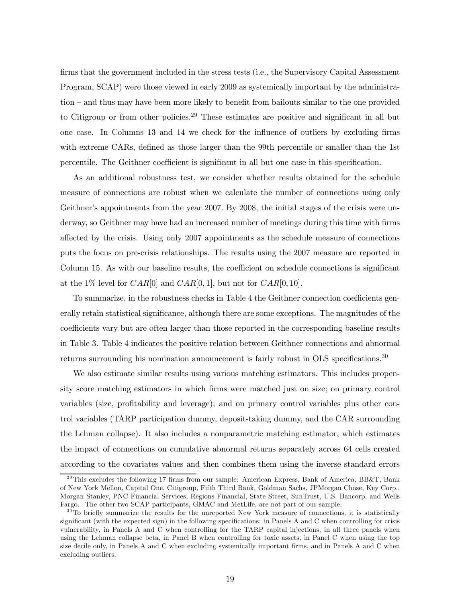firms that the government included in the stress tests (i.e., the Supervisory Capital Assessment Program, SCAP) were those viewed in early 2009 as systemically important by the administration — and thus may have been more likely to benefit from bailouts similar to the one provided to Citigroup or from other policies.<sup>29</sup> These estimates are positive and significant in all but one case. In Columns 13 and 14 we check for the influence of outliers by excluding firms with extreme CARs, defined as those larger than the 99th percentile or smaller than the 1st percentile. The Geithner coefficient is significant in all but one case in this specification.

As an additional robustness test, we consider whether results obtained for the schedule measure of connections are robust when we calculate the number of connections using only Geithner's appointments from the year 2007. By 2008, the initial stages of the crisis were underway, so Geithner may have had an increased number of meetings during this time with firms affected by the crisis. Using only 2007 appointments as the schedule measure of connections puts the focus on pre-crisis relationships. The results using the 2007 measure are reported in Column 15. As with our baseline results, the coefficient on schedule connections is significant at the 1% level for  $CAR[0]$  and  $CAR[0, 1]$ , but not for  $CAR[0, 10]$ .

To summarize, in the robustness checks in Table 4 the Geithner connection coefficients generally retain statistical significance, although there are some exceptions. The magnitudes of the coefficients vary but are often larger than those reported in the corresponding baseline results in Table 3. Table 4 indicates the positive relation between Geithner connections and abnormal returns surrounding his nomination announcement is fairly robust in OLS specifications.<sup>30</sup>

We also estimate similar results using various matching estimators. This includes propensity score matching estimators in which firms were matched just on size; on primary control variables (size, profitability and leverage); and on primary control variables plus other control variables (TARP participation dummy, deposit-taking dummy, and the CAR surrounding the Lehman collapse). It also includes a nonparametric matching estimator, which estimates the impact of connections on cumulative abnormal returns separately across 64 cells created according to the covariates values and then combines them using the inverse standard errors

 $^{29}$ This excludes the following 17 firms from our sample: American Express, Bank of America, BB&T, Bank of New York Mellon, Capital One, Citigroup, Fifth Third Bank, Goldman Sachs, JPMorgan Chase, Key Corp., Morgan Stanley, PNC Financial Services, Regions Financial, State Street, SunTrust, U.S. Bancorp, and Wells Fargo. The other two SCAP participants, GMAC and MetLife, are not part of our sample.

 $30$ To briefly summarize the results for the unreported New York measure of connections, it is statistically significant (with the expected sign) in the following specifications: in Panels A and C when controlling for crisis vulnerability, in Panels A and C when controlling for the TARP capital injections, in all three panels when using the Lehman collapse beta, in Panel B when controlling for toxic assets, in Panel C when using the top size decile only, in Panels A and C when excluding systemically important firms, and in Panels A and C when excluding outliers.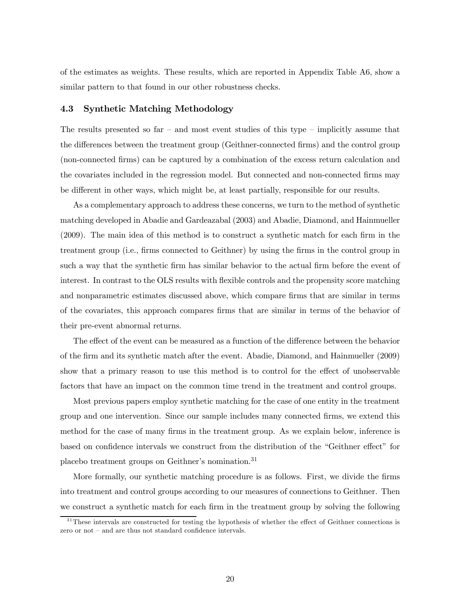of the estimates as weights. These results, which are reported in Appendix Table A6, show a similar pattern to that found in our other robustness checks.

## 4.3 Synthetic Matching Methodology

The results presented so far – and most event studies of this type – implicitly assume that the differences between the treatment group (Geithner-connected firms) and the control group (non-connected firms) can be captured by a combination of the excess return calculation and the covariates included in the regression model. But connected and non-connected firms may be different in other ways, which might be, at least partially, responsible for our results.

As a complementary approach to address these concerns, we turn to the method of synthetic matching developed in Abadie and Gardeazabal (2003) and Abadie, Diamond, and Hainmueller (2009). The main idea of this method is to construct a synthetic match for each firm in the treatment group (i.e., firms connected to Geithner) by using the firms in the control group in such a way that the synthetic firm has similar behavior to the actual firm before the event of interest. In contrast to the OLS results with flexible controls and the propensity score matching and nonparametric estimates discussed above, which compare firms that are similar in terms of the covariates, this approach compares firms that are similar in terms of the behavior of their pre-event abnormal returns.

The effect of the event can be measured as a function of the difference between the behavior of the firm and its synthetic match after the event. Abadie, Diamond, and Hainmueller (2009) show that a primary reason to use this method is to control for the effect of unobservable factors that have an impact on the common time trend in the treatment and control groups.

Most previous papers employ synthetic matching for the case of one entity in the treatment group and one intervention. Since our sample includes many connected firms, we extend this method for the case of many firms in the treatment group. As we explain below, inference is based on confidence intervals we construct from the distribution of the "Geithner effect" for placebo treatment groups on Geithner's nomination.<sup>31</sup>

More formally, our synthetic matching procedure is as follows. First, we divide the firms into treatment and control groups according to our measures of connections to Geithner. Then we construct a synthetic match for each firm in the treatment group by solving the following

<sup>&</sup>lt;sup>31</sup>These intervals are constructed for testing the hypothesis of whether the effect of Geithner connections is zero or not — and are thus not standard confidence intervals.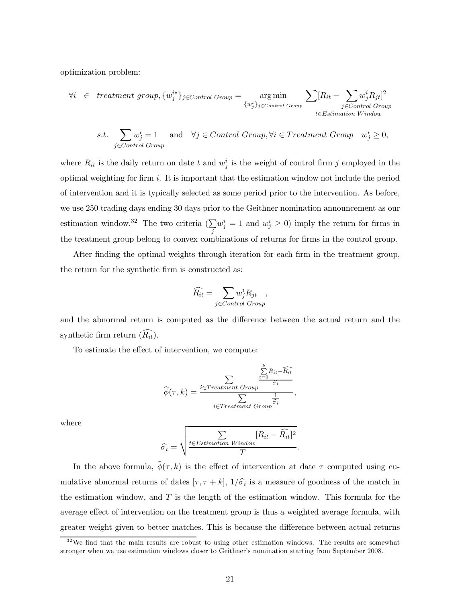optimization problem:

$$
\forall i \in treatment \ group, \{w_j^{i*}\}_{j \in Control \ Group} = \underset{\{w_j^{i}\}_{j \in Control \ Group}}{\arg \ min} \sum_{\{w_j^{i}\}_{j \in Control \ Group} \ E \in Estimation \ Window}
$$

s.t. 
$$
\sum_{j \in Control\ Group} w_j^i = 1 \quad \text{and} \quad \forall j \in Control\ Group, \forall i \in Treatment\ Group \quad w_j^i \ge 0,
$$

where  $R_{it}$  is the daily return on date t and  $w_j^i$  is the weight of control firm j employed in the optimal weighting for firm  $i$ . It is important that the estimation window not include the period of intervention and it is typically selected as some period prior to the intervention. As before, we use 250 trading days ending 30 days prior to the Geithner nomination announcement as our estimation window.<sup>32</sup> The two criteria  $(\sum)$ j  $w_j^i = 1$  and  $w_j^i \geq 0$ ) imply the return for firms in the treatment group belong to convex combinations of returns for firms in the control group.

After finding the optimal weights through iteration for each firm in the treatment group, the return for the synthetic firm is constructed as:

$$
\widehat{R_{it}} = \sum_{j \in Control\ Group},
$$

and the abnormal return is computed as the difference between the actual return and the synthetic firm return  $(R_{it})$ .

To estimate the effect of intervention, we compute:

$$
\widehat{\phi}(\tau,k) = \frac{\sum\limits_{i \in Treatment \; Group}^{k} \frac{R_{it} - \widehat{R_{it}}}{\widehat{\sigma_i}}}{\sum\limits_{i \in Treatment \; Group} \frac{1}{\widehat{\sigma_i}}},
$$

where

$$
\widehat{\sigma_i} = \sqrt{\frac{\sum\limits_{t \in Estimation \; Window} [R_{it} - \widehat{R_{it}}]^2}{T}}.
$$

In the above formula,  $\hat{\phi}(\tau, k)$  is the effect of intervention at date  $\tau$  computed using cumulative abnormal returns of dates  $[\tau, \tau + k]$ ,  $1/\hat{\sigma_i}$  is a measure of goodness of the match in the estimation window, and  $T$  is the length of the estimation window. This formula for the average effect of intervention on the treatment group is thus a weighted average formula, with greater weight given to better matches. This is because the difference between actual returns

 $3<sup>32</sup>$  We find that the main results are robust to using other estimation windows. The results are somewhat stronger when we use estimation windows closer to Geithner's nomination starting from September 2008.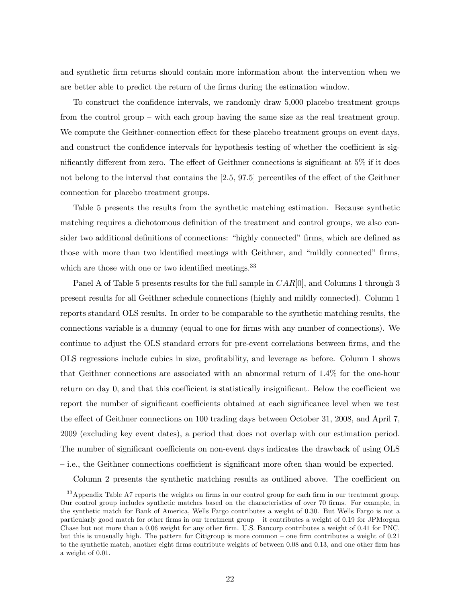and synthetic firm returns should contain more information about the intervention when we are better able to predict the return of the firms during the estimation window.

To construct the confidence intervals, we randomly draw 5,000 placebo treatment groups from the control group — with each group having the same size as the real treatment group. We compute the Geithner-connection effect for these placebo treatment groups on event days, and construct the confidence intervals for hypothesis testing of whether the coefficient is significantly different from zero. The effect of Geithner connections is significant at 5% if it does not belong to the interval that contains the [2.5, 97.5] percentiles of the effect of the Geithner connection for placebo treatment groups.

Table 5 presents the results from the synthetic matching estimation. Because synthetic matching requires a dichotomous definition of the treatment and control groups, we also consider two additional definitions of connections: "highly connected" firms, which are defined as those with more than two identified meetings with Geithner, and "mildly connected" firms, which are those with one or two identified meetings.<sup>33</sup>

Panel A of Table 5 presents results for the full sample in  $CAR[0]$ , and Columns 1 through 3 present results for all Geithner schedule connections (highly and mildly connected). Column 1 reports standard OLS results. In order to be comparable to the synthetic matching results, the connections variable is a dummy (equal to one for firms with any number of connections). We continue to adjust the OLS standard errors for pre-event correlations between firms, and the OLS regressions include cubics in size, profitability, and leverage as before. Column 1 shows that Geithner connections are associated with an abnormal return of 1.4% for the one-hour return on day 0, and that this coefficient is statistically insignificant. Below the coefficient we report the number of significant coefficients obtained at each significance level when we test the effect of Geithner connections on 100 trading days between October 31, 2008, and April 7, 2009 (excluding key event dates), a period that does not overlap with our estimation period. The number of significant coefficients on non-event days indicates the drawback of using OLS — i.e., the Geithner connections coefficient is significant more often than would be expected. Column 2 presents the synthetic matching results as outlined above. The coefficient on

<sup>&</sup>lt;sup>33</sup> Appendix Table A7 reports the weights on firms in our control group for each firm in our treatment group. Our control group includes synthetic matches based on the characteristics of over 70 firms. For example, in the synthetic match for Bank of America, Wells Fargo contributes a weight of 0.30. But Wells Fargo is not a particularly good match for other firms in our treatment group — it contributes a weight of 0.19 for JPMorgan Chase but not more than a 0.06 weight for any other firm. U.S. Bancorp contributes a weight of 0.41 for PNC, but this is unusually high. The pattern for Citigroup is more common — one firm contributes a weight of 0.21 to the synthetic match, another eight firms contribute weights of between 0.08 and 0.13, and one other firm has a weight of 0.01.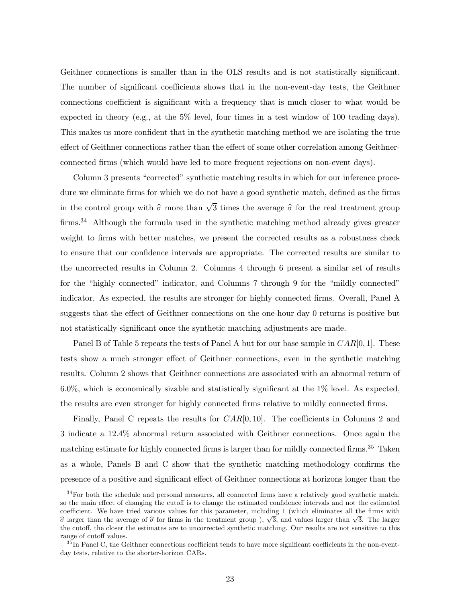Geithner connections is smaller than in the OLS results and is not statistically significant. The number of significant coefficients shows that in the non-event-day tests, the Geithner connections coefficient is significant with a frequency that is much closer to what would be expected in theory (e.g., at the 5% level, four times in a test window of 100 trading days). This makes us more confident that in the synthetic matching method we are isolating the true effect of Geithner connections rather than the effect of some other correlation among Geithnerconnected firms (which would have led to more frequent rejections on non-event days).

Column 3 presents "corrected" synthetic matching results in which for our inference procedure we eliminate firms for which we do not have a good synthetic match, defined as the firms in the control group with  $\hat{\sigma}$  more than  $\sqrt{3}$  times the average  $\hat{\sigma}$  for the real treatment group firms.<sup>34</sup> Although the formula used in the synthetic matching method already gives greater weight to firms with better matches, we present the corrected results as a robustness check to ensure that our confidence intervals are appropriate. The corrected results are similar to the uncorrected results in Column 2. Columns 4 through 6 present a similar set of results for the "highly connected" indicator, and Columns 7 through 9 for the "mildly connected" indicator. As expected, the results are stronger for highly connected firms. Overall, Panel A suggests that the effect of Geithner connections on the one-hour day 0 returns is positive but not statistically significant once the synthetic matching adjustments are made.

Panel B of Table 5 repeats the tests of Panel A but for our base sample in  $CAR[0, 1]$ . These tests show a much stronger effect of Geithner connections, even in the synthetic matching results. Column 2 shows that Geithner connections are associated with an abnormal return of  $6.0\%$ , which is economically sizable and statistically significant at the  $1\%$  level. As expected, the results are even stronger for highly connected firms relative to mildly connected firms.

Finally, Panel C repeats the results for  $CAR[0, 10]$ . The coefficients in Columns 2 and 3 indicate a 12.4% abnormal return associated with Geithner connections. Once again the matching estimate for highly connected firms is larger than for mildly connected firms.<sup>35</sup> Taken as a whole, Panels B and C show that the synthetic matching methodology confirms the presence of a positive and significant effect of Geithner connections at horizons longer than the

 $34$  For both the schedule and personal measures, all connected firms have a relatively good synthetic match, so the main effect of changing the cutoff is to change the estimated confidence intervals and not the estimated coefficient. We have tried various values for this parameter, including 1 (which eliminates all the firms with  $\hat{\sigma}$  larger than the average of  $\hat{\sigma}$  for firms in the treatment group),  $\sqrt{3}$ , and values larger than  $\sqrt{3}$ . The larger the cutoff, the closer the estimates are to uncorrected synthetic matching. Our results are not sensitive to this range of cutoff values.

 $35$  In Panel C, the Geithner connections coefficient tends to have more significant coefficients in the non-eventday tests, relative to the shorter-horizon CARs.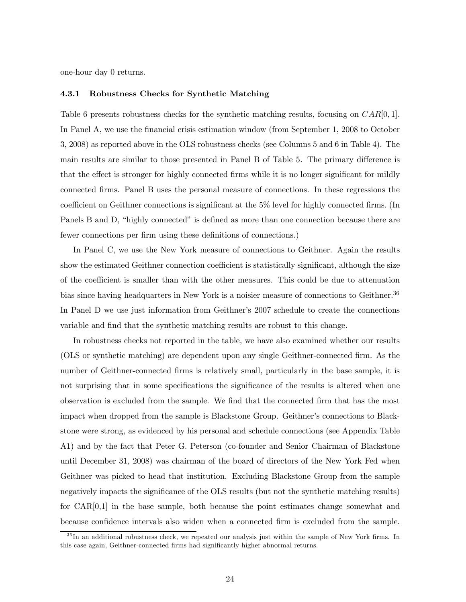one-hour day 0 returns.

### 4.3.1 Robustness Checks for Synthetic Matching

Table 6 presents robustness checks for the synthetic matching results, focusing on  $CAR[0, 1]$ . In Panel A, we use the financial crisis estimation window (from September 1, 2008 to October 3, 2008) as reported above in the OLS robustness checks (see Columns 5 and 6 in Table 4). The main results are similar to those presented in Panel B of Table 5. The primary difference is that the effect is stronger for highly connected firms while it is no longer significant for mildly connected firms. Panel B uses the personal measure of connections. In these regressions the coefficient on Geithner connections is significant at the 5% level for highly connected firms. (In Panels B and D, "highly connected" is defined as more than one connection because there are fewer connections per firm using these definitions of connections.)

In Panel C, we use the New York measure of connections to Geithner. Again the results show the estimated Geithner connection coefficient is statistically significant, although the size of the coefficient is smaller than with the other measures. This could be due to attenuation bias since having headquarters in New York is a noisier measure of connections to Geithner.<sup>36</sup> In Panel D we use just information from Geithner's 2007 schedule to create the connections variable and find that the synthetic matching results are robust to this change.

In robustness checks not reported in the table, we have also examined whether our results (OLS or synthetic matching) are dependent upon any single Geithner-connected firm. As the number of Geithner-connected firms is relatively small, particularly in the base sample, it is not surprising that in some specifications the significance of the results is altered when one observation is excluded from the sample. We find that the connected firm that has the most impact when dropped from the sample is Blackstone Group. Geithner's connections to Blackstone were strong, as evidenced by his personal and schedule connections (see Appendix Table A1) and by the fact that Peter G. Peterson (co-founder and Senior Chairman of Blackstone until December 31, 2008) was chairman of the board of directors of the New York Fed when Geithner was picked to head that institution. Excluding Blackstone Group from the sample negatively impacts the significance of the OLS results (but not the synthetic matching results) for CAR[0,1] in the base sample, both because the point estimates change somewhat and because confidence intervals also widen when a connected firm is excluded from the sample.

<sup>&</sup>lt;sup>36</sup>In an additional robustness check, we repeated our analysis just within the sample of New York firms. In this case again, Geithner-connected firms had significantly higher abnormal returns.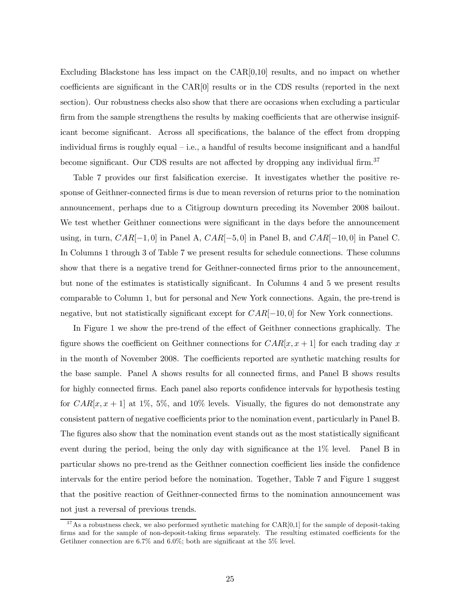Excluding Blackstone has less impact on the CAR[0,10] results, and no impact on whether coefficients are significant in the CAR[0] results or in the CDS results (reported in the next section). Our robustness checks also show that there are occasions when excluding a particular firm from the sample strengthens the results by making coefficients that are otherwise insignificant become significant. Across all specifications, the balance of the effect from dropping individual firms is roughly equal  $-$  i.e., a handful of results become insignificant and a handful become significant. Our CDS results are not affected by dropping any individual firm.<sup>37</sup>

Table 7 provides our first falsification exercise. It investigates whether the positive response of Geithner-connected firms is due to mean reversion of returns prior to the nomination announcement, perhaps due to a Citigroup downturn preceding its November 2008 bailout. We test whether Geithner connections were significant in the days before the announcement using, in turn,  $CAR[-1, 0]$  in Panel A,  $CAR[-5, 0]$  in Panel B, and  $CAR[-10, 0]$  in Panel C. In Columns 1 through 3 of Table 7 we present results for schedule connections. These columns show that there is a negative trend for Geithner-connected firms prior to the announcement, but none of the estimates is statistically significant. In Columns 4 and 5 we present results comparable to Column 1, but for personal and New York connections. Again, the pre-trend is negative, but not statistically significant except for  $CAR[-10, 0]$  for New York connections.

In Figure 1 we show the pre-trend of the effect of Geithner connections graphically. The figure shows the coefficient on Geithner connections for  $CAR[x, x + 1]$  for each trading day x in the month of November 2008. The coefficients reported are synthetic matching results for the base sample. Panel A shows results for all connected firms, and Panel B shows results for highly connected firms. Each panel also reports confidence intervals for hypothesis testing for  $CAR[x, x + 1]$  at 1%, 5%, and 10% levels. Visually, the figures do not demonstrate any consistent pattern of negative coefficients prior to the nomination event, particularly in Panel B. The figures also show that the nomination event stands out as the most statistically significant event during the period, being the only day with significance at the 1% level. Panel B in particular shows no pre-trend as the Geithner connection coefficient lies inside the confidence intervals for the entire period before the nomination. Together, Table 7 and Figure 1 suggest that the positive reaction of Geithner-connected firms to the nomination announcement was not just a reversal of previous trends.

 $37$ As a robustness check, we also performed synthetic matching for  $CAR[0,1]$  for the sample of deposit-taking firms and for the sample of non-deposit-taking firms separately. The resulting estimated coefficients for the Getihner connection are 6.7% and 6.0%; both are significant at the 5% level.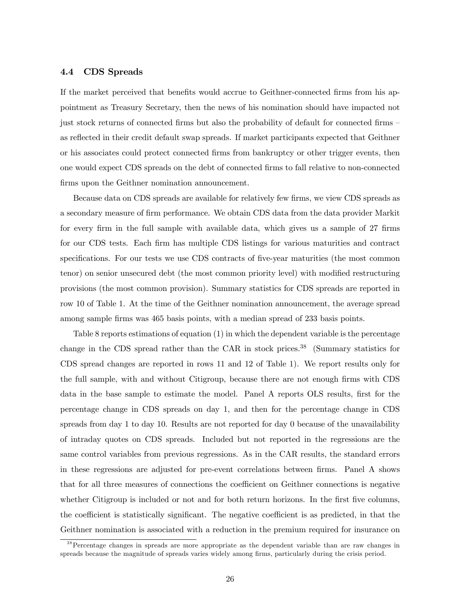## 4.4 CDS Spreads

If the market perceived that benefits would accrue to Geithner-connected firms from his appointment as Treasury Secretary, then the news of his nomination should have impacted not just stock returns of connected firms but also the probability of default for connected firms as reflected in their credit default swap spreads. If market participants expected that Geithner or his associates could protect connected firms from bankruptcy or other trigger events, then one would expect CDS spreads on the debt of connected firms to fall relative to non-connected firms upon the Geithner nomination announcement.

Because data on CDS spreads are available for relatively few firms, we view CDS spreads as a secondary measure of firm performance. We obtain CDS data from the data provider Markit for every firm in the full sample with available data, which gives us a sample of 27 firms for our CDS tests. Each firm has multiple CDS listings for various maturities and contract specifications. For our tests we use CDS contracts of five-year maturities (the most common tenor) on senior unsecured debt (the most common priority level) with modified restructuring provisions (the most common provision). Summary statistics for CDS spreads are reported in row 10 of Table 1. At the time of the Geithner nomination announcement, the average spread among sample firms was 465 basis points, with a median spread of 233 basis points.

Table 8 reports estimations of equation (1) in which the dependent variable is the percentage change in the CDS spread rather than the CAR in stock prices.38 (Summary statistics for CDS spread changes are reported in rows 11 and 12 of Table 1). We report results only for the full sample, with and without Citigroup, because there are not enough firms with CDS data in the base sample to estimate the model. Panel A reports OLS results, first for the percentage change in CDS spreads on day 1, and then for the percentage change in CDS spreads from day 1 to day 10. Results are not reported for day 0 because of the unavailability of intraday quotes on CDS spreads. Included but not reported in the regressions are the same control variables from previous regressions. As in the CAR results, the standard errors in these regressions are adjusted for pre-event correlations between firms. Panel A shows that for all three measures of connections the coefficient on Geithner connections is negative whether Citigroup is included or not and for both return horizons. In the first five columns, the coefficient is statistically significant. The negative coefficient is as predicted, in that the Geithner nomination is associated with a reduction in the premium required for insurance on

<sup>&</sup>lt;sup>38</sup> Percentage changes in spreads are more appropriate as the dependent variable than are raw changes in spreads because the magnitude of spreads varies widely among firms, particularly during the crisis period.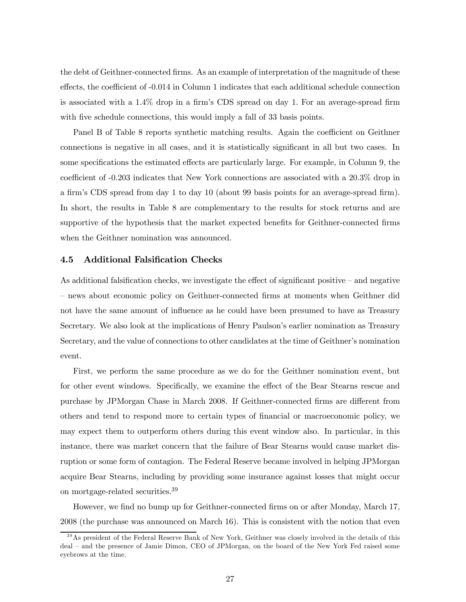the debt of Geithner-connected firms. As an example of interpretation of the magnitude of these effects, the coefficient of -0.014 in Column 1 indicates that each additional schedule connection is associated with a 1.4% drop in a firm's CDS spread on day 1. For an average-spread firm with five schedule connections, this would imply a fall of 33 basis points.

Panel B of Table 8 reports synthetic matching results. Again the coefficient on Geithner connections is negative in all cases, and it is statistically significant in all but two cases. In some specifications the estimated effects are particularly large. For example, in Column 9, the coefficient of -0.203 indicates that New York connections are associated with a 20.3% drop in a firm's CDS spread from day 1 to day 10 (about 99 basis points for an average-spread firm). In short, the results in Table 8 are complementary to the results for stock returns and are supportive of the hypothesis that the market expected benefits for Geithner-connected firms when the Geithner nomination was announced.

## 4.5 Additional Falsification Checks

As additional falsification checks, we investigate the effect of significant positive — and negative — news about economic policy on Geithner-connected firms at moments when Geithner did not have the same amount of influence as he could have been presumed to have as Treasury Secretary. We also look at the implications of Henry Paulson's earlier nomination as Treasury Secretary, and the value of connections to other candidates at the time of Geithner's nomination event.

First, we perform the same procedure as we do for the Geithner nomination event, but for other event windows. Specifically, we examine the effect of the Bear Stearns rescue and purchase by JPMorgan Chase in March 2008. If Geithner-connected firms are different from others and tend to respond more to certain types of financial or macroeconomic policy, we may expect them to outperform others during this event window also. In particular, in this instance, there was market concern that the failure of Bear Stearns would cause market disruption or some form of contagion. The Federal Reserve became involved in helping JPMorgan acquire Bear Stearns, including by providing some insurance against losses that might occur on mortgage-related securities.<sup>39</sup>

However, we find no bump up for Geithner-connected firms on or after Monday, March 17, 2008 (the purchase was announced on March 16). This is consistent with the notion that even

<sup>&</sup>lt;sup>39</sup>As president of the Federal Reserve Bank of New York, Geithner was closely involved in the details of this deal — and the presence of Jamie Dimon, CEO of JPMorgan, on the board of the New York Fed raised some eyebrows at the time.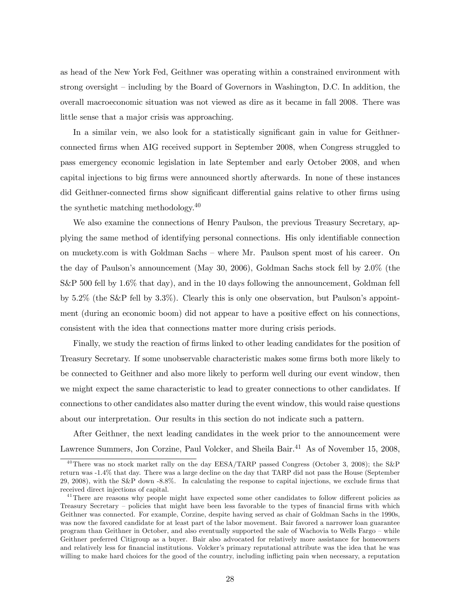as head of the New York Fed, Geithner was operating within a constrained environment with strong oversight — including by the Board of Governors in Washington, D.C. In addition, the overall macroeconomic situation was not viewed as dire as it became in fall 2008. There was little sense that a major crisis was approaching.

In a similar vein, we also look for a statistically significant gain in value for Geithnerconnected firms when AIG received support in September 2008, when Congress struggled to pass emergency economic legislation in late September and early October 2008, and when capital injections to big firms were announced shortly afterwards. In none of these instances did Geithner-connected firms show significant differential gains relative to other firms using the synthetic matching methodology.<sup>40</sup>

We also examine the connections of Henry Paulson, the previous Treasury Secretary, applying the same method of identifying personal connections. His only identifiable connection on muckety.com is with Goldman Sachs — where Mr. Paulson spent most of his career. On the day of Paulson's announcement (May 30, 2006), Goldman Sachs stock fell by 2.0% (the  $S\&P$  500 fell by 1.6% that day), and in the 10 days following the announcement, Goldman fell by 5.2% (the S&P fell by 3.3%). Clearly this is only one observation, but Paulson's appointment (during an economic boom) did not appear to have a positive effect on his connections, consistent with the idea that connections matter more during crisis periods.

Finally, we study the reaction of firms linked to other leading candidates for the position of Treasury Secretary. If some unobservable characteristic makes some firms both more likely to be connected to Geithner and also more likely to perform well during our event window, then we might expect the same characteristic to lead to greater connections to other candidates. If connections to other candidates also matter during the event window, this would raise questions about our interpretation. Our results in this section do not indicate such a pattern.

After Geithner, the next leading candidates in the week prior to the announcement were Lawrence Summers, Jon Corzine, Paul Volcker, and Sheila Bair.<sup>41</sup> As of November 15, 2008,

 $^{40}$ There was no stock market rally on the day EESA/TARP passed Congress (October 3, 2008); the S&P return was -1.4% that day. There was a large decline on the day that TARP did not pass the House (September 29, 2008), with the S&P down -8.8%. In calculating the response to capital injections, we exclude firms that received direct injections of capital.

<sup>&</sup>lt;sup>41</sup>There are reasons why people might have expected some other candidates to follow different policies as Treasury Secretary — policies that might have been less favorable to the types of financial firms with which Geithner was connected. For example, Corzine, despite having served as chair of Goldman Sachs in the 1990s, was now the favored candidate for at least part of the labor movement. Bair favored a narrower loan guarantee program than Geithner in October, and also eventually supported the sale of Wachovia to Wells Fargo — while Geithner preferred Citigroup as a buyer. Bair also advocated for relatively more assistance for homeowners and relatively less for financial institutions. Volcker's primary reputational attribute was the idea that he was willing to make hard choices for the good of the country, including inflicting pain when necessary, a reputation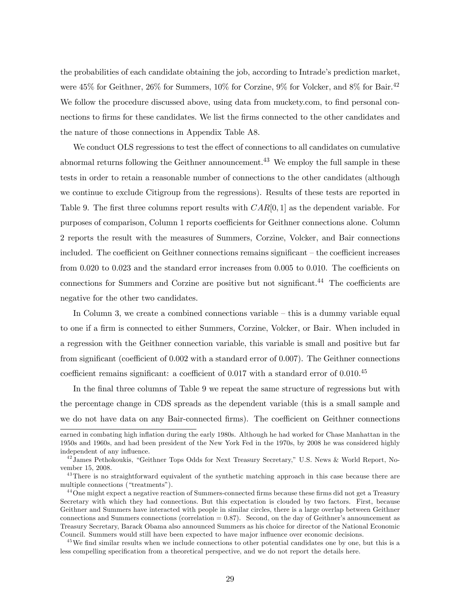the probabilities of each candidate obtaining the job, according to Intrade's prediction market, were  $45\%$  for Geithner,  $26\%$  for Summers,  $10\%$  for Corzine,  $9\%$  for Volcker, and  $8\%$  for Bair.<sup>42</sup> We follow the procedure discussed above, using data from muckety.com, to find personal connections to firms for these candidates. We list the firms connected to the other candidates and the nature of those connections in Appendix Table A8.

We conduct OLS regressions to test the effect of connections to all candidates on cumulative abnormal returns following the Geithner announcement.<sup>43</sup> We employ the full sample in these tests in order to retain a reasonable number of connections to the other candidates (although we continue to exclude Citigroup from the regressions). Results of these tests are reported in Table 9. The first three columns report results with  $CAR[0, 1]$  as the dependent variable. For purposes of comparison, Column 1 reports coefficients for Geithner connections alone. Column 2 reports the result with the measures of Summers, Corzine, Volcker, and Bair connections included. The coefficient on Geithner connections remains significant — the coefficient increases from 0.020 to 0.023 and the standard error increases from 0.005 to 0.010. The coefficients on connections for Summers and Corzine are positive but not significant.<sup>44</sup> The coefficients are negative for the other two candidates.

In Column 3, we create a combined connections variable  $-$  this is a dummy variable equal to one if a firm is connected to either Summers, Corzine, Volcker, or Bair. When included in a regression with the Geithner connection variable, this variable is small and positive but far from significant (coefficient of 0.002 with a standard error of 0.007). The Geithner connections coefficient remains significant: a coefficient of  $0.017$  with a standard error of  $0.010^{45}$ 

In the final three columns of Table 9 we repeat the same structure of regressions but with the percentage change in CDS spreads as the dependent variable (this is a small sample and we do not have data on any Bair-connected firms). The coefficient on Geithner connections

earned in combating high inflation during the early 1980s. Although he had worked for Chase Manhattan in the 1950s and 1960s, and had been president of the New York Fed in the 1970s, by 2008 he was considered highly independent of any influence.

 $^{42}$ James Pethokoukis, "Geithner Tops Odds for Next Treasury Secretary," U.S. News & World Report, November 15, 2008.

<sup>&</sup>lt;sup>43</sup>There is no straightforward equivalent of the synthetic matching approach in this case because there are multiple connections ("treatments").

<sup>&</sup>lt;sup>44</sup> One might expect a negative reaction of Summers-connected firms because these firms did not get a Treasury Secretary with which they had connections. But this expectation is clouded by two factors. First, because Geithner and Summers have interacted with people in similar circles, there is a large overlap between Geithner connections and Summers connections (correlation  $= 0.87$ ). Second, on the day of Geithner's announcement as Treasury Secretary, Barack Obama also announced Summers as his choice for director of the National Economic Council. Summers would still have been expected to have major influence over economic decisions.

<sup>&</sup>lt;sup>45</sup>We find similar results when we include connections to other potential candidates one by one, but this is a less compelling specification from a theoretical perspective, and we do not report the details here.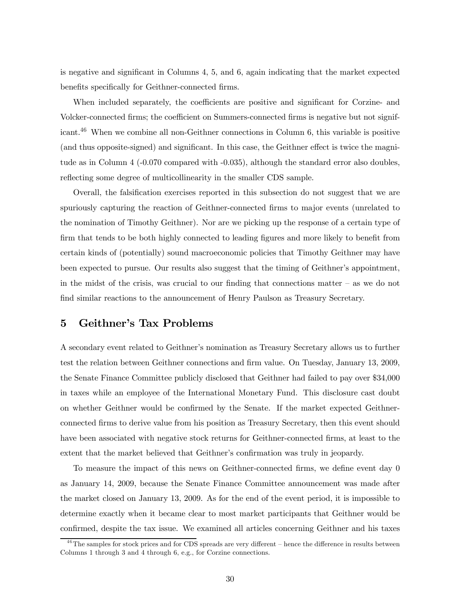is negative and significant in Columns 4, 5, and 6, again indicating that the market expected benefits specifically for Geithner-connected firms.

When included separately, the coefficients are positive and significant for Corzine- and Volcker-connected firms; the coefficient on Summers-connected firms is negative but not significant.46 When we combine all non-Geithner connections in Column 6, this variable is positive (and thus opposite-signed) and significant. In this case, the Geithner effect is twice the magnitude as in Column 4 (-0.070 compared with -0.035), although the standard error also doubles, reflecting some degree of multicollinearity in the smaller CDS sample.

Overall, the falsification exercises reported in this subsection do not suggest that we are spuriously capturing the reaction of Geithner-connected firms to major events (unrelated to the nomination of Timothy Geithner). Nor are we picking up the response of a certain type of firm that tends to be both highly connected to leading figures and more likely to benefit from certain kinds of (potentially) sound macroeconomic policies that Timothy Geithner may have been expected to pursue. Our results also suggest that the timing of Geithner's appointment, in the midst of the crisis, was crucial to our finding that connections matter  $-$  as we do not find similar reactions to the announcement of Henry Paulson as Treasury Secretary.

# 5 Geithner's Tax Problems

A secondary event related to Geithner's nomination as Treasury Secretary allows us to further test the relation between Geithner connections and firm value. On Tuesday, January 13, 2009, the Senate Finance Committee publicly disclosed that Geithner had failed to pay over \$34,000 in taxes while an employee of the International Monetary Fund. This disclosure cast doubt on whether Geithner would be confirmed by the Senate. If the market expected Geithnerconnected firms to derive value from his position as Treasury Secretary, then this event should have been associated with negative stock returns for Geithner-connected firms, at least to the extent that the market believed that Geithner's confirmation was truly in jeopardy.

To measure the impact of this news on Geithner-connected firms, we define event day 0 as January 14, 2009, because the Senate Finance Committee announcement was made after the market closed on January 13, 2009. As for the end of the event period, it is impossible to determine exactly when it became clear to most market participants that Geithner would be confirmed, despite the tax issue. We examined all articles concerning Geithner and his taxes

<sup>&</sup>lt;sup>46</sup>The samples for stock prices and for CDS spreads are very different – hence the difference in results between Columns 1 through 3 and 4 through 6, e.g., for Corzine connections.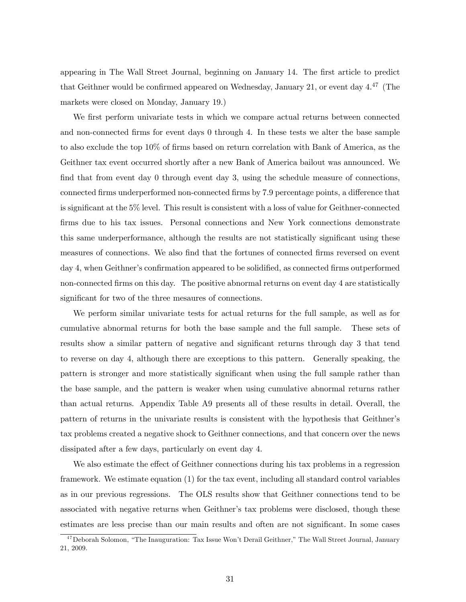appearing in The Wall Street Journal, beginning on January 14. The first article to predict that Geithner would be confirmed appeared on Wednesday, January 21, or event day  $4^{47}$  (The markets were closed on Monday, January 19.)

We first perform univariate tests in which we compare actual returns between connected and non-connected firms for event days 0 through 4. In these tests we alter the base sample to also exclude the top 10% of firms based on return correlation with Bank of America, as the Geithner tax event occurred shortly after a new Bank of America bailout was announced. We find that from event day 0 through event day 3, using the schedule measure of connections, connected firms underperformed non-connected firms by 7.9 percentage points, a difference that is significant at the 5% level. This result is consistent with a loss of value for Geithner-connected firms due to his tax issues. Personal connections and New York connections demonstrate this same underperformance, although the results are not statistically significant using these measures of connections. We also find that the fortunes of connected firms reversed on event day 4, when Geithner's confirmation appeared to be solidified, as connected firms outperformed non-connected firms on this day. The positive abnormal returns on event day 4 are statistically significant for two of the three mesaures of connections.

We perform similar univariate tests for actual returns for the full sample, as well as for cumulative abnormal returns for both the base sample and the full sample. These sets of results show a similar pattern of negative and significant returns through day 3 that tend to reverse on day 4, although there are exceptions to this pattern. Generally speaking, the pattern is stronger and more statistically significant when using the full sample rather than the base sample, and the pattern is weaker when using cumulative abnormal returns rather than actual returns. Appendix Table A9 presents all of these results in detail. Overall, the pattern of returns in the univariate results is consistent with the hypothesis that Geithner's tax problems created a negative shock to Geithner connections, and that concern over the news dissipated after a few days, particularly on event day 4.

We also estimate the effect of Geithner connections during his tax problems in a regression framework. We estimate equation (1) for the tax event, including all standard control variables as in our previous regressions. The OLS results show that Geithner connections tend to be associated with negative returns when Geithner's tax problems were disclosed, though these estimates are less precise than our main results and often are not significant. In some cases

<sup>&</sup>lt;sup>47</sup> Deborah Solomon, "The Inauguration: Tax Issue Won't Derail Geithner," The Wall Street Journal, January 21, 2009.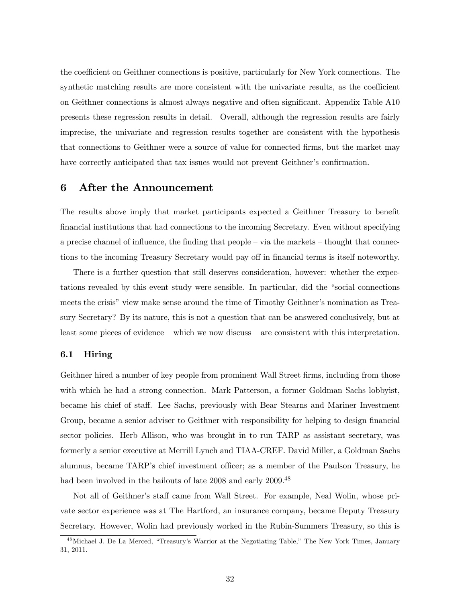the coefficient on Geithner connections is positive, particularly for New York connections. The synthetic matching results are more consistent with the univariate results, as the coefficient on Geithner connections is almost always negative and often significant. Appendix Table A10 presents these regression results in detail. Overall, although the regression results are fairly imprecise, the univariate and regression results together are consistent with the hypothesis that connections to Geithner were a source of value for connected firms, but the market may have correctly anticipated that tax issues would not prevent Geithner's confirmation.

# 6 After the Announcement

The results above imply that market participants expected a Geithner Treasury to benefit financial institutions that had connections to the incoming Secretary. Even without specifying a precise channel of influence, the finding that people — via the markets — thought that connections to the incoming Treasury Secretary would pay off in financial terms is itself noteworthy.

There is a further question that still deserves consideration, however: whether the expectations revealed by this event study were sensible. In particular, did the "social connections meets the crisis" view make sense around the time of Timothy Geithner's nomination as Treasury Secretary? By its nature, this is not a question that can be answered conclusively, but at least some pieces of evidence — which we now discuss — are consistent with this interpretation.

## 6.1 Hiring

Geithner hired a number of key people from prominent Wall Street firms, including from those with which he had a strong connection. Mark Patterson, a former Goldman Sachs lobbyist, became his chief of staff. Lee Sachs, previously with Bear Stearns and Mariner Investment Group, became a senior adviser to Geithner with responsibility for helping to design financial sector policies. Herb Allison, who was brought in to run TARP as assistant secretary, was formerly a senior executive at Merrill Lynch and TIAA-CREF. David Miller, a Goldman Sachs alumnus, became TARP's chief investment officer; as a member of the Paulson Treasury, he had been involved in the bailouts of late 2008 and early 2009.<sup>48</sup>

Not all of Geithner's staff came from Wall Street. For example, Neal Wolin, whose private sector experience was at The Hartford, an insurance company, became Deputy Treasury Secretary. However, Wolin had previously worked in the Rubin-Summers Treasury, so this is

<sup>&</sup>lt;sup>48</sup> Michael J. De La Merced, "Treasury's Warrior at the Negotiating Table," The New York Times, January 31, 2011.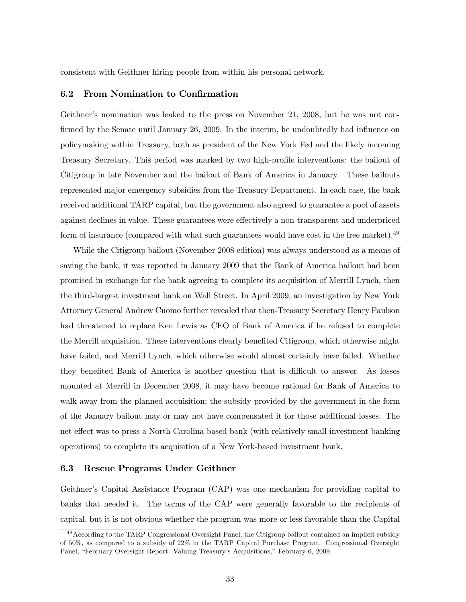consistent with Geithner hiring people from within his personal network.

## 6.2 From Nomination to Confirmation

Geithner's nomination was leaked to the press on November 21, 2008, but he was not confirmed by the Senate until January 26, 2009. In the interim, he undoubtedly had influence on policymaking within Treasury, both as president of the New York Fed and the likely incoming Treasury Secretary. This period was marked by two high-profile interventions: the bailout of Citigroup in late November and the bailout of Bank of America in January. These bailouts represented major emergency subsidies from the Treasury Department. In each case, the bank received additional TARP capital, but the government also agreed to guarantee a pool of assets against declines in value. These guarantees were effectively a non-transparent and underpriced form of insurance (compared with what such guarantees would have cost in the free market).<sup>49</sup>

While the Citigroup bailout (November 2008 edition) was always understood as a means of saving the bank, it was reported in January 2009 that the Bank of America bailout had been promised in exchange for the bank agreeing to complete its acquisition of Merrill Lynch, then the third-largest investment bank on Wall Street. In April 2009, an investigation by New York Attorney General Andrew Cuomo further revealed that then-Treasury Secretary Henry Paulson had threatened to replace Ken Lewis as CEO of Bank of America if he refused to complete the Merrill acquisition. These interventions clearly benefited Citigroup, which otherwise might have failed, and Merrill Lynch, which otherwise would almost certainly have failed. Whether they benefited Bank of America is another question that is difficult to answer. As losses mounted at Merrill in December 2008, it may have become rational for Bank of America to walk away from the planned acquisition; the subsidy provided by the government in the form of the January bailout may or may not have compensated it for those additional losses. The net effect was to press a North Carolina-based bank (with relatively small investment banking operations) to complete its acquisition of a New York-based investment bank.

# 6.3 Rescue Programs Under Geithner

Geithner's Capital Assistance Program (CAP) was one mechanism for providing capital to banks that needed it. The terms of the CAP were generally favorable to the recipients of capital, but it is not obvious whether the program was more or less favorable than the Capital

<sup>&</sup>lt;sup>49</sup> According to the TARP Congressional Oversight Panel, the Citigroup bailout contained an implicit subsidy of 50%, as compared to a subsidy of 22% in the TARP Capital Purchase Program. Congressional Oversight Panel, "February Oversight Report: Valuing Treasury's Acquisitions," February 6, 2009.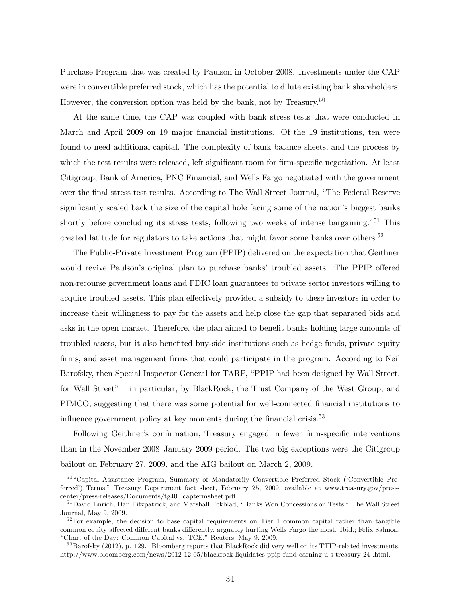Purchase Program that was created by Paulson in October 2008. Investments under the CAP were in convertible preferred stock, which has the potential to dilute existing bank shareholders. However, the conversion option was held by the bank, not by Treasury.<sup>50</sup>

At the same time, the CAP was coupled with bank stress tests that were conducted in March and April 2009 on 19 major financial institutions. Of the 19 institutions, ten were found to need additional capital. The complexity of bank balance sheets, and the process by which the test results were released, left significant room for firm-specific negotiation. At least Citigroup, Bank of America, PNC Financial, and Wells Fargo negotiated with the government over the final stress test results. According to The Wall Street Journal, "The Federal Reserve significantly scaled back the size of the capital hole facing some of the nation's biggest banks shortly before concluding its stress tests, following two weeks of intense bargaining."<sup>51</sup> This created latitude for regulators to take actions that might favor some banks over others.<sup>52</sup>

The Public-Private Investment Program (PPIP) delivered on the expectation that Geithner would revive Paulson's original plan to purchase banks' troubled assets. The PPIP offered non-recourse government loans and FDIC loan guarantees to private sector investors willing to acquire troubled assets. This plan effectively provided a subsidy to these investors in order to increase their willingness to pay for the assets and help close the gap that separated bids and asks in the open market. Therefore, the plan aimed to benefit banks holding large amounts of troubled assets, but it also benefited buy-side institutions such as hedge funds, private equity firms, and asset management firms that could participate in the program. According to Neil Barofsky, then Special Inspector General for TARP, "PPIP had been designed by Wall Street, for Wall Street" — in particular, by BlackRock, the Trust Company of the West Group, and PIMCO, suggesting that there was some potential for well-connected financial institutions to influence government policy at key moments during the financial crisis.<sup>53</sup>

Following Geithner's confirmation, Treasury engaged in fewer firm-specific interventions than in the November 2008—January 2009 period. The two big exceptions were the Citigroup bailout on February 27, 2009, and the AIG bailout on March 2, 2009.

<sup>&</sup>lt;sup>50</sup> "Capital Assistance Program, Summary of Mandatorily Convertible Preferred Stock ('Convertible Preferred') Terms," Treasury Department fact sheet, February 25, 2009, available at www.treasury.gov/presscenter/press-releases/Documents/tg40\_captermsheet.pdf.

<sup>&</sup>lt;sup>51</sup> David Enrich, Dan Fitzpatrick, and Marshall Eckblad, "Banks Won Concessions on Tests," The Wall Street Journal, May 9, 2009.

 $5<sup>2</sup>$  For example, the decision to base capital requirements on Tier 1 common capital rather than tangible common equity affected different banks differently, arguably hurting Wells Fargo the most. Ibid.; Felix Salmon, "Chart of the Day: Common Capital vs. TCE," Reuters, May 9, 2009.

 $53$ Barofsky (2012), p. 129. Bloomberg reports that BlackRock did very well on its TTIP-related investments, http://www.bloomberg.com/news/2012-12-05/blackrock-liquidates-ppip-fund-earning-u-s-treasury-24-.html.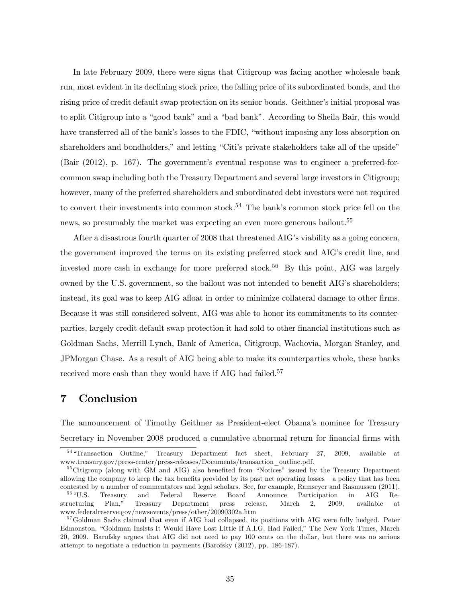In late February 2009, there were signs that Citigroup was facing another wholesale bank run, most evident in its declining stock price, the falling price of its subordinated bonds, and the rising price of credit default swap protection on its senior bonds. Geithner's initial proposal was to split Citigroup into a "good bank" and a "bad bank". According to Sheila Bair, this would have transferred all of the bank's losses to the FDIC, "without imposing any loss absorption on shareholders and bondholders," and letting "Citi's private stakeholders take all of the upside" (Bair (2012), p. 167). The government's eventual response was to engineer a preferred-forcommon swap including both the Treasury Department and several large investors in Citigroup; however, many of the preferred shareholders and subordinated debt investors were not required to convert their investments into common stock.<sup>54</sup> The bank's common stock price fell on the news, so presumably the market was expecting an even more generous bailout.<sup>55</sup>

After a disastrous fourth quarter of 2008 that threatened AIG's viability as a going concern, the government improved the terms on its existing preferred stock and AIG's credit line, and invested more cash in exchange for more preferred stock.<sup>56</sup> By this point, AIG was largely owned by the U.S. government, so the bailout was not intended to benefit AIG's shareholders; instead, its goal was to keep AIG afloat in order to minimize collateral damage to other firms. Because it was still considered solvent, AIG was able to honor its commitments to its counterparties, largely credit default swap protection it had sold to other financial institutions such as Goldman Sachs, Merrill Lynch, Bank of America, Citigroup, Wachovia, Morgan Stanley, and JPMorgan Chase. As a result of AIG being able to make its counterparties whole, these banks received more cash than they would have if AIG had failed.<sup>57</sup>

# 7 Conclusion

The announcement of Timothy Geithner as President-elect Obama's nominee for Treasury Secretary in November 2008 produced a cumulative abnormal return for financial firms with

<sup>5 4</sup> "Transaction Outline," Treasury Department fact sheet, February 27, 2009, available at www.treasury.gov/press-center/press-releases/Documents/transaction\_outline.pdf.

<sup>&</sup>lt;sup>55</sup>Citigroup (along with GM and AIG) also benefited from "Notices" issued by the Treasury Department allowing the company to keep the tax benefits provided by its past net operating losses — a policy that has been contested by a number of commentators and legal scholars. See, for example, Ramseyer and Rasmussen (2011).

<sup>&</sup>lt;sup>56</sup> "U.S. Treasury and Federal Reserve Board Announce Participation in AIG Restructuring Plan," Treasury Department press release, March 2, 2009, available at www.federalreserve.gov/newsevents/press/other/20090302a.htm

<sup>&</sup>lt;sup>57</sup> Goldman Sachs claimed that even if AIG had collapsed, its positions with AIG were fully hedged. Peter Edmonston, "Goldman Insists It Would Have Lost Little If A.I.G. Had Failed," The New York Times, March 20, 2009. Barofsky argues that AIG did not need to pay 100 cents on the dollar, but there was no serious attempt to negotiate a reduction in payments (Barofsky (2012), pp. 186-187).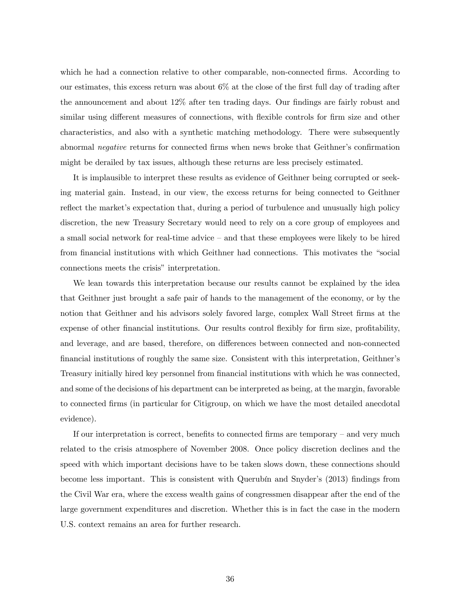which he had a connection relative to other comparable, non-connected firms. According to our estimates, this excess return was about 6% at the close of the first full day of trading after the announcement and about 12% after ten trading days. Our findings are fairly robust and similar using different measures of connections, with flexible controls for firm size and other characteristics, and also with a synthetic matching methodology. There were subsequently abnormal negative returns for connected firms when news broke that Geithner's confirmation might be derailed by tax issues, although these returns are less precisely estimated.

It is implausible to interpret these results as evidence of Geithner being corrupted or seeking material gain. Instead, in our view, the excess returns for being connected to Geithner reflect the market's expectation that, during a period of turbulence and unusually high policy discretion, the new Treasury Secretary would need to rely on a core group of employees and a small social network for real-time advice — and that these employees were likely to be hired from financial institutions with which Geithner had connections. This motivates the "social connections meets the crisis" interpretation.

We lean towards this interpretation because our results cannot be explained by the idea that Geithner just brought a safe pair of hands to the management of the economy, or by the notion that Geithner and his advisors solely favored large, complex Wall Street firms at the expense of other financial institutions. Our results control flexibly for firm size, profitability, and leverage, and are based, therefore, on differences between connected and non-connected financial institutions of roughly the same size. Consistent with this interpretation, Geithner's Treasury initially hired key personnel from financial institutions with which he was connected, and some of the decisions of his department can be interpreted as being, at the margin, favorable to connected firms (in particular for Citigroup, on which we have the most detailed anecdotal evidence).

If our interpretation is correct, benefits to connected firms are temporary — and very much related to the crisis atmosphere of November 2008. Once policy discretion declines and the speed with which important decisions have to be taken slows down, these connections should become less important. This is consistent with Querubín and Snyder's (2013) findings from the Civil War era, where the excess wealth gains of congressmen disappear after the end of the large government expenditures and discretion. Whether this is in fact the case in the modern U.S. context remains an area for further research.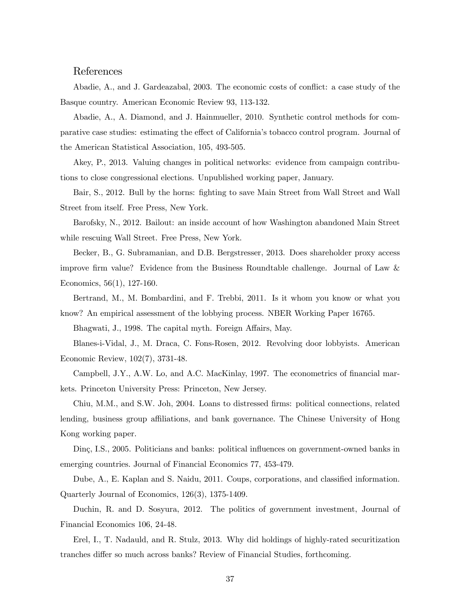# References

Abadie, A., and J. Gardeazabal, 2003. The economic costs of conflict: a case study of the Basque country. American Economic Review 93, 113-132.

Abadie, A., A. Diamond, and J. Hainmueller, 2010. Synthetic control methods for comparative case studies: estimating the effect of California's tobacco control program. Journal of the American Statistical Association, 105, 493-505.

Akey, P., 2013. Valuing changes in political networks: evidence from campaign contributions to close congressional elections. Unpublished working paper, January.

Bair, S., 2012. Bull by the horns: fighting to save Main Street from Wall Street and Wall Street from itself. Free Press, New York.

Barofsky, N., 2012. Bailout: an inside account of how Washington abandoned Main Street while rescuing Wall Street. Free Press, New York.

Becker, B., G. Subramanian, and D.B. Bergstresser, 2013. Does shareholder proxy access improve firm value? Evidence from the Business Roundtable challenge. Journal of Law & Economics, 56(1), 127-160.

Bertrand, M., M. Bombardini, and F. Trebbi, 2011. Is it whom you know or what you know? An empirical assessment of the lobbying process. NBER Working Paper 16765.

Bhagwati, J., 1998. The capital myth. Foreign Affairs, May.

Blanes-i-Vidal, J., M. Draca, C. Fons-Rosen, 2012. Revolving door lobbyists. American Economic Review, 102(7), 3731-48.

Campbell, J.Y., A.W. Lo, and A.C. MacKinlay, 1997. The econometrics of financial markets. Princeton University Press: Princeton, New Jersey.

Chiu, M.M., and S.W. Joh, 2004. Loans to distressed firms: political connections, related lending, business group affiliations, and bank governance. The Chinese University of Hong Kong working paper.

Dinç, I.S., 2005. Politicians and banks: political influences on government-owned banks in emerging countries. Journal of Financial Economics 77, 453-479.

Dube, A., E. Kaplan and S. Naidu, 2011. Coups, corporations, and classified information. Quarterly Journal of Economics, 126(3), 1375-1409.

Duchin, R. and D. Sosyura, 2012. The politics of government investment, Journal of Financial Economics 106, 24-48.

Erel, I., T. Nadauld, and R. Stulz, 2013. Why did holdings of highly-rated securitization tranches differ so much across banks? Review of Financial Studies, forthcoming.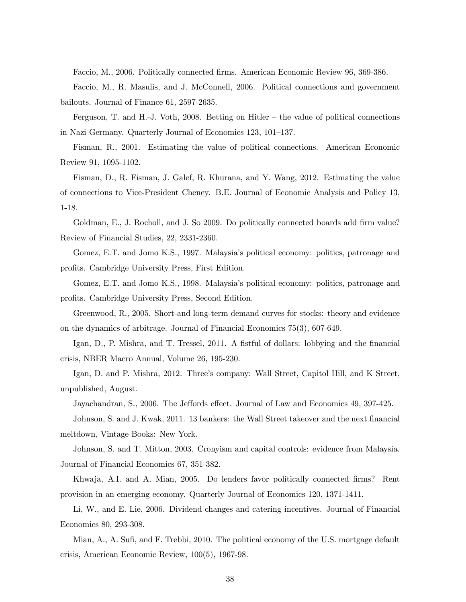Faccio, M., 2006. Politically connected firms. American Economic Review 96, 369-386.

Faccio, M., R. Masulis, and J. McConnell, 2006. Political connections and government bailouts. Journal of Finance 61, 2597-2635.

Ferguson, T. and H.-J. Voth, 2008. Betting on Hitler — the value of political connections in Nazi Germany. Quarterly Journal of Economics 123, 101—137.

Fisman, R., 2001. Estimating the value of political connections. American Economic Review 91, 1095-1102.

Fisman, D., R. Fisman, J. Galef, R. Khurana, and Y. Wang, 2012. Estimating the value of connections to Vice-President Cheney. B.E. Journal of Economic Analysis and Policy 13, 1-18.

Goldman, E., J. Rocholl, and J. So 2009. Do politically connected boards add firm value? Review of Financial Studies, 22, 2331-2360.

Gomez, E.T. and Jomo K.S., 1997. Malaysia's political economy: politics, patronage and profits. Cambridge University Press, First Edition.

Gomez, E.T. and Jomo K.S., 1998. Malaysia's political economy: politics, patronage and profits. Cambridge University Press, Second Edition.

Greenwood, R., 2005. Short-and long-term demand curves for stocks: theory and evidence on the dynamics of arbitrage. Journal of Financial Economics 75(3), 607-649.

Igan, D., P. Mishra, and T. Tressel, 2011. A fistful of dollars: lobbying and the financial crisis, NBER Macro Annual, Volume 26, 195-230.

Igan, D. and P. Mishra, 2012. Three's company: Wall Street, Capitol Hill, and K Street, unpublished, August.

Jayachandran, S., 2006. The Jeffords effect. Journal of Law and Economics 49, 397-425.

Johnson, S. and J. Kwak, 2011. 13 bankers: the Wall Street takeover and the next financial meltdown, Vintage Books: New York.

Johnson, S. and T. Mitton, 2003. Cronyism and capital controls: evidence from Malaysia. Journal of Financial Economics 67, 351-382.

Khwaja, A.I. and A. Mian, 2005. Do lenders favor politically connected firms? Rent provision in an emerging economy. Quarterly Journal of Economics 120, 1371-1411.

Li, W., and E. Lie, 2006. Dividend changes and catering incentives. Journal of Financial Economics 80, 293-308.

Mian, A., A. Sufi, and F. Trebbi, 2010. The political economy of the U.S. mortgage default crisis, American Economic Review, 100(5), 1967-98.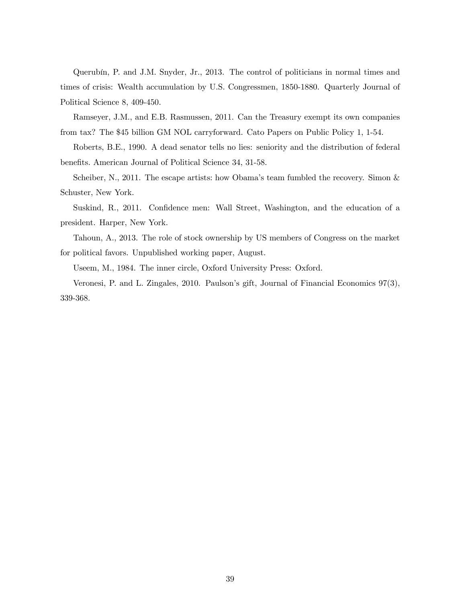Querubín, P. and J.M. Snyder, Jr., 2013. The control of politicians in normal times and times of crisis: Wealth accumulation by U.S. Congressmen, 1850-1880. Quarterly Journal of Political Science 8, 409-450.

Ramseyer, J.M., and E.B. Rasmussen, 2011. Can the Treasury exempt its own companies from tax? The \$45 billion GM NOL carryforward. Cato Papers on Public Policy 1, 1-54.

Roberts, B.E., 1990. A dead senator tells no lies: seniority and the distribution of federal benefits. American Journal of Political Science 34, 31-58.

Scheiber, N., 2011. The escape artists: how Obama's team fumbled the recovery. Simon  $\&$ Schuster, New York.

Suskind, R., 2011. Confidence men: Wall Street, Washington, and the education of a president. Harper, New York.

Tahoun, A., 2013. The role of stock ownership by US members of Congress on the market for political favors. Unpublished working paper, August.

Useem, M., 1984. The inner circle, Oxford University Press: Oxford.

Veronesi, P. and L. Zingales, 2010. Paulson's gift, Journal of Financial Economics 97(3), 339-368.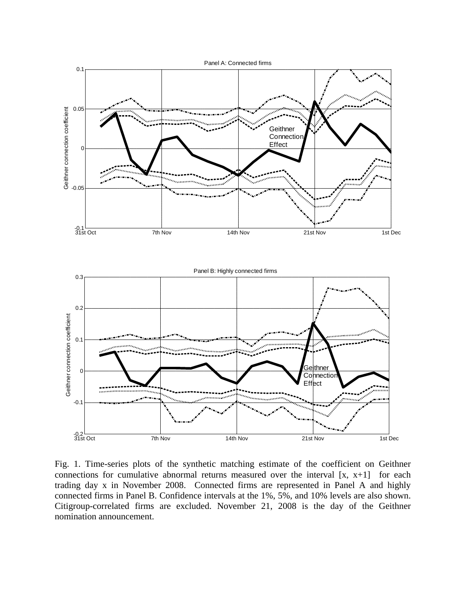

Fig. 1. Time-series plots of the synthetic matching estimate of the coefficient on Geithner connections for cumulative abnormal returns measured over the interval  $[x, x+1]$  for each trading day x in November 2008. Connected firms are represented in Panel A and highly connected firms in Panel B. Confidence intervals at the 1%, 5%, and 10% levels are also shown. Citigroup-correlated firms are excluded. November 21, 2008 is the day of the Geithner nomination announcement.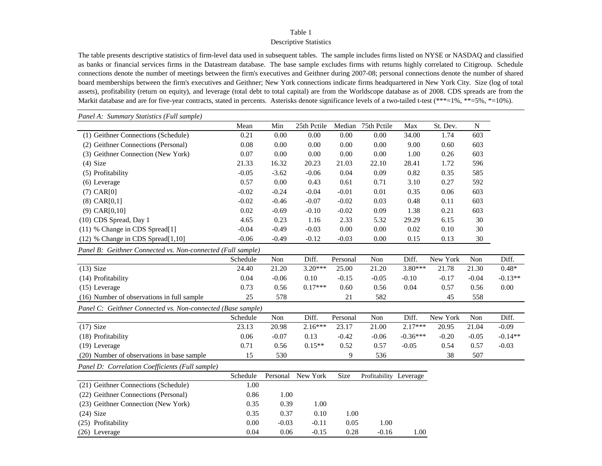### Descriptive Statistics

The table presents descriptive statistics of firm-level data used in subsequent tables. The sample includes firms listed on NYSE or NASDAQ and classified as banks or financial services firms in the Datastream database. The base sample excludes firms with returns highly correlated to Citigroup. Schedule connections denote the number of meetings between the firm's executives and Geithner during 2007-08; personal connections denote the number of shared board memberships between the firm's executives and Geithner; New York connections indicate firms headquartered in New York City. Size (log of total assets), profitability (return on equity), and leverage (total debt to total capital) are from the Worldscope database as of 2008. CDS spreads are from the Markit database and are for five-year contracts, stated in percents. Asterisks denote significance levels of a two-tailed t-test (\*\*\*=1%, \*\*=5%, \*=10%).

| Panel A: Summary Statistics (Full sample)                   |          |              |             |          |                        |            |          |           |           |
|-------------------------------------------------------------|----------|--------------|-------------|----------|------------------------|------------|----------|-----------|-----------|
|                                                             | Mean     | Min          | 25th Pctile | Median   | 75th Pctile            | Max        | St. Dev. | ${\bf N}$ |           |
| (1) Geithner Connections (Schedule)                         | 0.21     | 0.00         | 0.00        | 0.00     | 0.00                   | 34.00      | 1.74     | 603       |           |
| (2) Geithner Connections (Personal)                         | 0.08     | 0.00         | 0.00        | 0.00     | 0.00                   | 9.00       | 0.60     | 603       |           |
| (3) Geithner Connection (New York)                          | 0.07     | 0.00         | 0.00        | 0.00     | 0.00                   | 1.00       | 0.26     | 603       |           |
| $(4)$ Size                                                  | 21.33    | 16.32        | 20.23       | 21.03    | 22.10                  | 28.41      | 1.72     | 596       |           |
| (5) Profitability                                           | $-0.05$  | $-3.62$      | $-0.06$     | 0.04     | 0.09                   | 0.82       | 0.35     | 585       |           |
| (6) Leverage                                                | 0.57     | 0.00         | 0.43        | 0.61     | 0.71                   | 3.10       | 0.27     | 592       |           |
| $(7)$ CAR $[0]$                                             | $-0.02$  | $-0.24$      | $-0.04$     | $-0.01$  | 0.01                   | 0.35       | 0.06     | 603       |           |
| $(8)$ CAR $[0,1]$                                           | $-0.02$  | $-0.46$      | $-0.07$     | $-0.02$  | 0.03                   | 0.48       | 0.11     | 603       |           |
| $(9)$ CAR $[0,10]$                                          | 0.02     | $-0.69$      | $-0.10$     | $-0.02$  | 0.09                   | 1.38       | 0.21     | 603       |           |
| (10) CDS Spread, Day 1                                      | 4.65     | 0.23         | 1.16        | 2.33     | 5.32                   | 29.29      | 6.15     | 30        |           |
| (11) % Change in CDS Spread[1]                              | $-0.04$  | $-0.49$      | $-0.03$     | $0.00\,$ | 0.00                   | 0.02       | 0.10     | 30        |           |
| (12) % Change in CDS Spread[1,10]                           | $-0.06$  | $-0.49$      | $-0.12$     | $-0.03$  | 0.00                   | 0.15       | 0.13     | 30        |           |
| Panel B: Geithner Connected vs. Non-connected (Full sample) |          |              |             |          |                        |            |          |           |           |
|                                                             | Schedule | Non          | Diff.       | Personal | Non                    | Diff.      | New York | Non       | Diff.     |
| $(13)$ Size                                                 | 24.40    | 21.20        | $3.20***$   | 25.00    | 21.20                  | 3.80***    | 21.78    | 21.30     | $0.48*$   |
| (14) Profitability                                          | 0.04     | $-0.06$      | 0.10        | $-0.15$  | $-0.05$                | $-0.10$    | $-0.17$  | $-0.04$   | $-0.13**$ |
| $(15)$ Leverage                                             | 0.73     | 0.56         | $0.17***$   | 0.60     | 0.56                   | 0.04       | 0.57     | 0.56      | 0.00      |
| (16) Number of observations in full sample                  | 25       | 578          |             | 21       | 582                    |            | 45       | 558       |           |
| Panel C: Geithner Connected vs. Non-connected (Base sample) |          |              |             |          |                        |            |          |           |           |
|                                                             | Schedule | $\mbox{Non}$ | Diff.       | Personal | Non                    | Diff.      | New York | Non       | Diff.     |
| $(17)$ Size                                                 | 23.13    | 20.98        | $2.16***$   | 23.17    | 21.00                  | $2.17***$  | 20.95    | 21.04     | $-0.09$   |
| (18) Profitability                                          | 0.06     | $-0.07$      | 0.13        | $-0.42$  | $-0.06$                | $-0.36***$ | $-0.20$  | $-0.05$   | $-0.14**$ |
| $(19)$ Leverage                                             | 0.71     | 0.56         | $0.15**$    | 0.52     | 0.57                   | $-0.05$    | 0.54     | 0.57      | $-0.03$   |
| (20) Number of observations in base sample                  | 15       | 530          |             | 9        | 536                    |            | 38       | 507       |           |
| Panel D: Correlation Coefficients (Full sample)             |          |              |             |          |                        |            |          |           |           |
|                                                             | Schedule | Personal     | New York    | Size     | Profitability Leverage |            |          |           |           |
| (21) Geithner Connections (Schedule)                        | 1.00     |              |             |          |                        |            |          |           |           |
| (22) Geithner Connections (Personal)                        | 0.86     | 1.00         |             |          |                        |            |          |           |           |
| (23) Geithner Connection (New York)                         | 0.35     | 0.39         | 1.00        |          |                        |            |          |           |           |
| $(24)$ Size                                                 | 0.35     | 0.37         | 0.10        | 1.00     |                        |            |          |           |           |
| (25) Profitability                                          | 0.00     | $-0.03$      | $-0.11$     | 0.05     | 1.00                   |            |          |           |           |
| (26) Leverage                                               | 0.04     | 0.06         | $-0.15$     | 0.28     | $-0.16$                | 1.00       |          |           |           |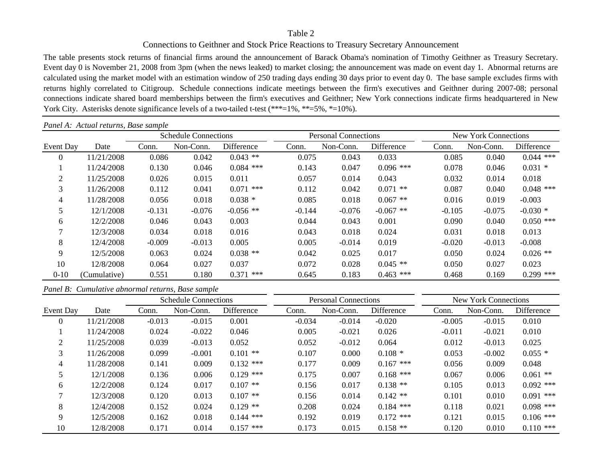# Connections to Geithner and Stock Price Reactions to Treasury Secretary Announcement

The table presents stock returns of financial firms around the announcement of Barack Obama's nomination of Timothy Geithner as Treasury Secretary. Event day 0 is November 21, 2008 from 3pm (when the news leaked) to market closing; the announcement was made on event day 1. Abnormal returns are calculated using the market model with an estimation window of 250 trading days ending 30 days prior to event day 0. The base sample excludes firms with returns highly correlated to Citigroup. Schedule connections indicate meetings between the firm's executives and Geithner during 2007-08; personal connections indicate shared board memberships between the firm's executives and Geithner; New York connections indicate firms headquartered in New York City. Asterisks denote significance levels of a two-tailed t-test (\*\*\*=1%, \*\*=5%, \*=10%).

|                | Panel A: Actual returns, Base sample |          |                             |                |          |                      |             |          |                             |             |  |  |
|----------------|--------------------------------------|----------|-----------------------------|----------------|----------|----------------------|-------------|----------|-----------------------------|-------------|--|--|
|                |                                      |          | <b>Schedule Connections</b> |                |          | Personal Connections |             |          | <b>New York Connections</b> |             |  |  |
| Event Day      | Date                                 | Conn.    | Non-Conn.                   | Difference     | Conn.    | Non-Conn.            | Difference  | Conn.    | Non-Conn.                   | Difference  |  |  |
| $\theta$       | 11/21/2008                           | 0.086    | 0.042                       | $0.043$ **     | 0.075    | 0.043                | 0.033       | 0.085    | 0.040                       | $0.044$ *** |  |  |
|                | 11/24/2008                           | 0.130    | 0.046                       | $0.084$ ***    | 0.143    | 0.047                | $0.096$ *** | 0.078    | 0.046                       | $0.031$ *   |  |  |
| 2              | 11/25/2008                           | 0.026    | 0.015                       | 0.011          | 0.057    | 0.014                | 0.043       | 0.032    | 0.014                       | 0.018       |  |  |
| 3              | 11/26/2008                           | 0.112    | 0.041                       | $0.071$ ***    | 0.112    | 0.042                | $0.071$ **  | 0.087    | 0.040                       | $0.048$ *** |  |  |
| 4              | 11/28/2008                           | 0.056    | 0.018                       | $0.038*$       | 0.085    | 0.018                | $0.067**$   | 0.016    | 0.019                       | $-0.003$    |  |  |
| 5              | 12/1/2008                            | $-0.131$ | $-0.076$                    | $-0.056$ **    | $-0.144$ | $-0.076$             | $-0.067$ ** | $-0.105$ | $-0.075$                    | $-0.030*$   |  |  |
| 6              | 12/2/2008                            | 0.046    | 0.043                       | 0.003          | 0.044    | 0.043                | 0.001       | 0.090    | 0.040                       | $0.050$ *** |  |  |
| $\overline{7}$ | 12/3/2008                            | 0.034    | 0.018                       | 0.016          | 0.043    | 0.018                | 0.024       | 0.031    | 0.018                       | 0.013       |  |  |
| 8              | 12/4/2008                            | $-0.009$ | $-0.013$                    | 0.005          | 0.005    | $-0.014$             | 0.019       | $-0.020$ | $-0.013$                    | $-0.008$    |  |  |
| 9              | 12/5/2008                            | 0.063    | 0.024                       | $0.038$ **     | 0.042    | 0.025                | 0.017       | 0.050    | 0.024                       | $0.026$ **  |  |  |
| 10             | 12/8/2008                            | 0.064    | 0.027                       | 0.037          | 0.072    | 0.028                | $0.045$ **  | 0.050    | 0.027                       | 0.023       |  |  |
| $0 - 10$       | (Cumulative)                         | 0.551    | 0.180                       | 0.371<br>$***$ | 0.645    | 0.183                | $0.463$ *** | 0.468    | 0.169                       | $0.299$ *** |  |  |

# *Panel B: Cumulative abnormal returns, Base sample*

|           |            |          | <b>Schedule Connections</b> |             |          | <b>Personal Connections</b> |             |          | New York Connections |             |
|-----------|------------|----------|-----------------------------|-------------|----------|-----------------------------|-------------|----------|----------------------|-------------|
| Event Day | Date       | Conn.    | Non-Conn.                   | Difference  | Conn.    | Non-Conn.                   | Difference  | Conn.    | Non-Conn.            | Difference  |
| 0         | 11/21/2008 | $-0.013$ | $-0.015$                    | 0.001       | $-0.034$ | $-0.014$                    | $-0.020$    | $-0.005$ | $-0.015$             | 0.010       |
|           | 11/24/2008 | 0.024    | $-0.022$                    | 0.046       | 0.005    | $-0.021$                    | 0.026       | $-0.011$ | $-0.021$             | 0.010       |
| 2         | 11/25/2008 | 0.039    | $-0.013$                    | 0.052       | 0.052    | $-0.012$                    | 0.064       | 0.012    | $-0.013$             | 0.025       |
| 3         | 11/26/2008 | 0.099    | $-0.001$                    | $0.101$ **  | 0.107    | 0.000                       | $0.108*$    | 0.053    | $-0.002$             | $0.055*$    |
| 4         | 11/28/2008 | 0.141    | 0.009                       | $0.132$ *** | 0.177    | 0.009                       | $0.167$ *** | 0.056    | 0.009                | 0.048       |
|           | 12/1/2008  | 0.136    | 0.006                       | $0.129$ *** | 0.175    | 0.007                       | $0.168$ *** | 0.067    | 0.006                | $0.061$ **  |
| 6         | 12/2/2008  | 0.124    | 0.017                       | $0.107$ **  | 0.156    | 0.017                       | $0.138**$   | 0.105    | 0.013                | $0.092$ *** |
| 7         | 12/3/2008  | 0.120    | 0.013                       | $0.107$ **  | 0.156    | 0.014                       | $0.142**$   | 0.101    | 0.010                | $0.091$ *** |
| 8         | 12/4/2008  | 0.152    | 0.024                       | $0.129$ **  | 0.208    | 0.024                       | $0.184$ *** | 0.118    | 0.021                | $0.098$ *** |
| 9         | 12/5/2008  | 0.162    | 0.018                       | $0.144$ *** | 0.192    | 0.019                       | $0.172$ *** | 0.121    | 0.015                | $0.106$ *** |
| 10        | 12/8/2008  | 0.171    | 0.014                       | $0.157$ *** | 0.173    | 0.015                       | $0.158$ **  | 0.120    | 0.010                | $0.110$ *** |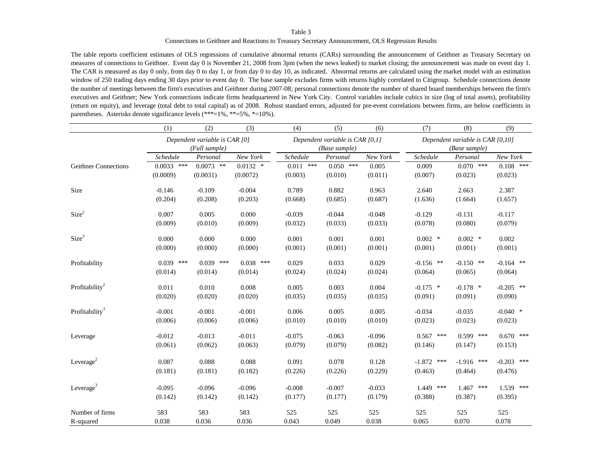Connections to Geithner and Reactions to Treasury Secretary Announcement, OLS Regression Results

The table reports coefficient estimates of OLS regressions of cumulative abnormal returns (CARs) surrounding the announcement of Geithner as Treasury Secretary on measures of connections to Geithner. Event day 0 is November 21, 2008 from 3pm (when the news leaked) to market closing; the announcement was made on event day 1. The CAR is measured as day 0 only, from day 0 to day 1, or from day 0 to day 10, as indicated. Abnormal returns are calculated using the market model with an estimation window of 250 trading days ending 30 days prior to event day 0. The base sample excludes firms with returns highly correlated to Citigroup. Schedule connections denote the number of meetings between the firm's executives and Geithner during 2007-08; personal connections denote the number of shared board memberships between the firm's executives and Geithner; New York connections indicate firms headquartered in New York City. Control variables include cubics in size (log of total assets), profitability (return on equity), and leverage (total debt to total capital) as of 2008. Robust standard errors, adjusted for pre-event correlations between firms, are below coefficients in parentheses. Asterisks denote significance levels (\*\*\*=1%, \*\*=5%, \*=10%).

|                            | (1)          | (2)                           | (3)         | (4)         | (5)                             | (6)      | (7)          | (8)                              | (9)          |
|----------------------------|--------------|-------------------------------|-------------|-------------|---------------------------------|----------|--------------|----------------------------------|--------------|
|                            |              | Dependent variable is CAR [0] |             |             | Dependent variable is CAR [0,1] |          |              | Dependent variable is CAR [0,10] |              |
|                            |              | $(Full \, sample)$            |             |             | (Base sample)                   |          |              | (Base sample)                    |              |
|                            | Schedule     | Personal                      | New York    | Schedule    | Personal                        | New York | Schedule     | Personal                         | New York     |
| Geithner Connections       | $0.0033$ *** | $0.0073$ **                   | $0.0132$ *  | $0.011$ *** | $0.050$ ***                     | 0.005    | 0.009        | $0.070$ ***                      | $0.108$ ***  |
|                            | (0.0009)     | (0.0031)                      | (0.0072)    | (0.003)     | (0.010)                         | (0.011)  | (0.007)      | (0.023)                          | (0.023)      |
| Size                       | $-0.146$     | $-0.109$                      | $-0.004$    | 0.789       | 0.882                           | 0.963    | 2.640        | 2.663                            | 2.387        |
|                            | (0.204)      | (0.208)                       | (0.203)     | (0.668)     | (0.685)                         | (0.687)  | (1.636)      | (1.664)                          | (1.657)      |
| Size <sup>2</sup>          | 0.007        | 0.005                         | 0.000       | $-0.039$    | $-0.044$                        | $-0.048$ | $-0.129$     | $-0.131$                         | $-0.117$     |
|                            | (0.009)      | (0.010)                       | (0.009)     | (0.032)     | (0.033)                         | (0.033)  | (0.078)      | (0.080)                          | (0.079)      |
| Size <sup>3</sup>          | 0.000        | 0.000                         | 0.000       | 0.001       | 0.001                           | 0.001    | $0.002$ *    | $0.002$ *                        | 0.002        |
|                            | (0.000)      | (0.000)                       | (0.000)     | (0.001)     | (0.001)                         | (0.001)  | (0.001)      | (0.001)                          | (0.001)      |
| Profitability              | $0.039$ ***  | $0.039$ ***                   | $0.038$ *** | 0.029       | 0.033                           | 0.029    | $-0.156$ **  | $-0.150$ **                      | $-0.164$ **  |
|                            | (0.014)      | (0.014)                       | (0.014)     | (0.024)     | (0.024)                         | (0.024)  | (0.064)      | (0.065)                          | (0.064)      |
| Profitability <sup>2</sup> | 0.011        | 0.010                         | 0.008       | 0.005       | 0.003                           | 0.004    | $-0.175$ *   | $-0.178$ *                       | $-0.205$ **  |
|                            | (0.020)      | (0.020)                       | (0.020)     | (0.035)     | (0.035)                         | (0.035)  | (0.091)      | (0.091)                          | (0.090)      |
| Profitability <sup>3</sup> | $-0.001$     | $-0.001$                      | $-0.001$    | 0.006       | 0.005                           | 0.005    | $-0.034$     | $-0.035$                         | $-0.040$ *   |
|                            | (0.006)      | (0.006)                       | (0.006)     | (0.010)     | (0.010)                         | (0.010)  | (0.023)      | (0.023)                          | (0.023)      |
| Leverage                   | $-0.012$     | $-0.013$                      | $-0.011$    | $-0.075$    | $-0.063$                        | $-0.096$ | $0.567$ ***  | $0.599$ ***                      | $0.670$ ***  |
|                            | (0.061)      | (0.062)                       | (0.063)     | (0.079)     | (0.079)                         | (0.082)  | (0.146)      | (0.147)                          | (0.153)      |
| Leverage <sup>2</sup>      | 0.087        | 0.088                         | 0.088       | 0.091       | 0.078                           | 0.128    | $-1.872$ *** | $-1.916$ ***                     | $-0.203$ *** |
|                            | (0.181)      | (0.181)                       | (0.182)     | (0.226)     | (0.226)                         | (0.229)  | (0.463)      | (0.464)                          | (0.476)      |
| Leverage <sup>3</sup>      | $-0.095$     | $-0.096$                      | $-0.096$    | $-0.008$    | $-0.007$                        | $-0.033$ | 1.449 ***    | $1.467$ ***                      | $1.539$ ***  |
|                            | (0.142)      | (0.142)                       | (0.142)     | (0.177)     | (0.177)                         | (0.179)  | (0.388)      | (0.387)                          | (0.395)      |
| Number of firms            | 583          | 583                           | 583         | 525         | 525                             | 525      | 525          | 525                              | 525          |
| R-squared                  | 0.038        | 0.036                         | 0.036       | 0.043       | 0.049                           | 0.038    | 0.065        | 0.070                            | 0.078        |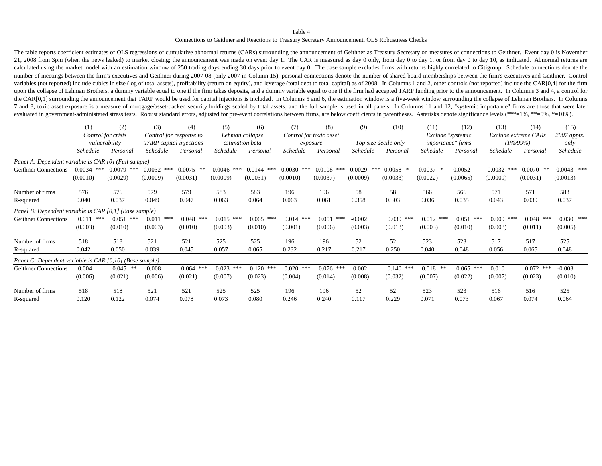Connections to Geithner and Reactions to Treasury Secretary Announcement, OLS Robustness Checks

The table reports coefficient estimates of OLS regressions of cumulative abnormal returns (CARs) surrounding the announcement of Geithner as Treasury Secretary on measures of connections to Geithner. Event day 0 is Novembe 21, 2008 from 3pm (when the news leaked) to market closing; the announcement was made on event day 1. The CAR is measured as day 0 only, from day 0 to day 1, or from day 0 to day 10, as indicated. Abnormal returns are calculated using the market model with an estimation window of 250 trading days ending 30 days prior to event day 0. The base sample excludes firms with returns highly correlated to Citigroup. Schedule connections denote the number of meetings between the firm's executives and Geithner during 2007-08 (only 2007 in Column 15); personal connections denote the number of shared board memberships between the firm's executives and Geithner. Control variables (not reported) include cubics in size (log of total assets), profitability (return on equity), and leverage (total debt to total capital) as of 2008. In Columns 1 and 2, other controls (not reported) include the upon the collapse of Lehman Brothers, a dummy variable equal to one if the firm takes deposits, and a dummy variable equal to one if the firm had accepted TARP funding prior to the announcement. In Columns 3 and 4, a contr the CAR[0,1] surrounding the announcement that TARP would be used for capital injections is included. In Columns 5 and 6, the estimation window is a five-week window surrounding the collapse of Lehman Brothers. In Columns 7 and 8, toxic asset exposure is a measure of mortgage/asset-backed security holdings scaled by total assets, and the full sample is used in all panels. In Columns 11 and 12, "systemic importance" firms are those that were evaluated in government-administered stress tests. Robust standard errors, adjusted for pre-event correlations between firms, are below coefficients in parentheses. Asterisks denote significance levels (\*\*\*=1%, \*\*=5%, \*=10

|                                                         | (1)             | (2)                | (3)             | (4)                            | (5)             | (6)           | (7)                     | (8)           | (9)           | (10)                 | (11)         | (12)                     | (13)          | (14)                 | (15)          |
|---------------------------------------------------------|-----------------|--------------------|-----------------|--------------------------------|-----------------|---------------|-------------------------|---------------|---------------|----------------------|--------------|--------------------------|---------------|----------------------|---------------|
|                                                         |                 | Control for crisis |                 | Control for response to        | Lehman collapse |               | Control for toxic asset |               |               |                      |              | Exclude "systemic        |               | Exclude extreme CARs | 2007 appts.   |
|                                                         |                 | vulnerability      |                 | <b>TARP</b> capital injections | estimation beta |               | exposure                |               |               | Top size decile only |              | <i>importance"</i> firms |               | $(1\%/99\%)$         | only          |
|                                                         | <i>Schedule</i> | Personal           | <i>Schedule</i> | Personal                       | Schedule        | Personal      | Schedule                | Personal      | Schedule      | Personal             | Schedule     | Personal                 | Schedule      | Personal             | Schedule      |
| Panel A: Dependent variable is CAR [0] (Full sample)    |                 |                    |                 |                                |                 |               |                         |               |               |                      |              |                          |               |                      |               |
| <b>Geithner Connections</b>                             | ***<br>0.0034   | 0.0079<br>***      | 0.0032<br>***   | 0.0075                         | 0.0046<br>***   | 0.0144<br>*** | 0.0030<br>***           | 0.0108<br>*** | 0.0029<br>*** | 0.0058               | 0.0037       | 0.0052                   | 0.0032<br>*** | 0.0070<br>**         | ***<br>0.0043 |
|                                                         | (0.0010)        | (0.0029)           | (0.0009)        | (0.0031)                       | (0.0009)        | (0.0031)      | (0.0010)                | (0.0037)      | (0.0009)      | (0.0033)             | (0.0022)     | (0.0065)                 | (0.0009)      | (0.0031)             | (0.0013)      |
| Number of firms                                         | 576             | 576                | 579             | 579                            | 583             | 583           | 196                     | 196           | 58            | 58                   | 566          | 566                      | 571           | 571                  | 583           |
| R-squared                                               | 0.040           | 0.037              | 0.049           | 0.047                          | 0.063           | 0.064         | 0.063                   | 0.061         | 0.358         | 0.303                | 0.036        | 0.035                    | 0.043         | 0.039                | 0.037         |
| Panel B: Dependent variable is CAR [0,1] (Base sample)  |                 |                    |                 |                                |                 |               |                         |               |               |                      |              |                          |               |                      |               |
| Geithner Connections                                    | $0.011$ ***     | 0.051<br>***       | ***<br>0.011    | $0.048$ ***                    | $0.015$ ***     | $0.065$ ***   | ***<br>0.014            | 0.051<br>***  | $-0.002$      | $0.039$ ***          | 0.012<br>*** | $0.051$ ***              | $0.009$ ***   | $0.048$ ***          | $0.030$ ***   |
|                                                         | (0.003)         | (0.010)            | (0.003)         | (0.010)                        | (0.003)         | (0.010)       | (0.001)                 | (0.006)       | (0.003)       | (0.013)              | (0.003)      | (0.010)                  | (0.003)       | (0.011)              | (0.005)       |
| Number of firms                                         | 518             | 518                | 521             | 521                            | 525             | 525           | 196                     | 196           | 52            | 52                   | 523          | 523                      | 517           | 517                  | 525           |
| R-squared                                               | 0.042           | 0.050              | 0.039           | 0.045                          | 0.057           | 0.065         | 0.232                   | 0.217         | 0.217         | 0.250                | 0.040        | 0.048                    | 0.056         | 0.065                | 0.048         |
| Panel C: Dependent variable is CAR [0,10] (Base sample) |                 |                    |                 |                                |                 |               |                         |               |               |                      |              |                          |               |                      |               |
| <b>Geithner Connections</b>                             | 0.004           | 0.045<br>**        | 0.008           | ***<br>0.064                   | ***<br>0.023    | 0.120<br>***  | $0.020$ ***             | $0.076$ ***   | 0.002         | $0.140$ ***          | 0.018<br>**  | ***<br>0.065             | 0.010         | $0.072$ ***          | $-0.003$      |
|                                                         | (0.006)         | (0.021)            | (0.006)         | (0.021)                        | (0.007)         | (0.023)       | (0.004)                 | (0.014)       | (0.008)       | (0.032)              | (0.007)      | (0.022)                  | (0.007)       | (0.023)              | (0.010)       |
| Number of firms                                         | 518             | 518                | 521             | 521                            | 525             | 525           | 196                     | 196           | 52            | 52                   | 523          | 523                      | 516           | 516                  | 525           |
| R-squared                                               | 0.120           | 0.122              | 0.074           | 0.078                          | 0.073           | 0.080         | 0.246                   | 0.240         | 0.117         | 0.229                | 0.071        | 0.073                    | 0.067         | 0.074                | 0.064         |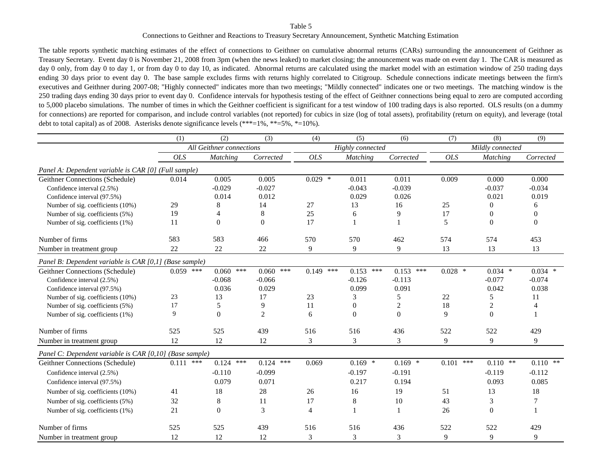### Connections to Geithner and Reactions to Treasury Secretary Announcement, Synthetic Matching Estimation

The table reports synthetic matching estimates of the effect of connections to Geithner on cumulative abnormal returns (CARs) surrounding the announcement of Geithner as Treasury Secretary. Event day 0 is November 21, 2008 from 3pm (when the news leaked) to market closing; the announcement was made on event day 1. The CAR is measured as day 0 only, from day 0 to day 1, or from day 0 to day 10, as indicated. Abnormal returns are calculated using the market model with an estimation window of 250 trading days ending 30 days prior to event day 0. The base sample excludes firms with returns highly correlated to Citigroup. Schedule connections indicate meetings between the firm's executives and Geithner during 2007-08; "Highly connected" indicates more than two meetings; "Mildly connected" indicates one or two meetings. The matching window is the 250 trading days ending 30 days prior to event day 0. Confidence intervals for hypothesis testing of the effect of Geithner connections being equal to zero are computed according to 5,000 placebo simulations. The number of times in which the Geithner coefficient is significant for a test window of 100 trading days is also reported. OLS results (on a dummy for connections) are reported for comparison, and include control variables (not reported) for cubics in size (log of total assets), profitability (return on equity), and leverage (total debt to total capital) as of 2008. Asterisks denote significance levels  $(***=1\%, **=5\%, *=10\%).$ 

|                                                         | (1)         | (2)                      | (3)            | (4)         | (5)              | (6)              | (7)          | (8)              | (9)            |
|---------------------------------------------------------|-------------|--------------------------|----------------|-------------|------------------|------------------|--------------|------------------|----------------|
|                                                         |             | All Geithner connections |                |             | Highly connected |                  |              | Mildly connected |                |
|                                                         | <b>OLS</b>  | <b>Matching</b>          | Corrected      | <b>OLS</b>  | <b>Matching</b>  | Corrected        | <b>OLS</b>   | <b>Matching</b>  | Corrected      |
| Panel A: Dependent variable is CAR [0] (Full sample)    |             |                          |                |             |                  |                  |              |                  |                |
| Geithner Connections (Schedule)                         | 0.014       | 0.005                    | 0.005          | $0.029$ *   | 0.011            | 0.011            | 0.009        | 0.000            | 0.000          |
| Confidence interval (2.5%)                              |             | $-0.029$                 | $-0.027$       |             | $-0.043$         | $-0.039$         |              | $-0.037$         | $-0.034$       |
| Confidence interval (97.5%)                             |             | 0.014                    | 0.012          |             | 0.029            | 0.026            |              | 0.021            | 0.019          |
| Number of sig. coefficients (10%)                       | 29          | 8                        | 14             | 27          | 13               | 16               | 25           | $\Omega$         | 6              |
| Number of sig. coefficients (5%)                        | 19          | 4                        | 8              | 25          | 6                | 9                | 17           | $\boldsymbol{0}$ | $\mathbf{0}$   |
| Number of sig. coefficients (1%)                        | 11          | $\Omega$                 | $\overline{0}$ | 17          |                  |                  | 5            | $\Omega$         | $\overline{0}$ |
| Number of firms                                         | 583         | 583                      | 466            | 570         | 570              | 462              | 574          | 574              | 453            |
| Number in treatment group                               | 22          | 22                       | 22             | 9           | 9                | 9                | 13           | 13               | 13             |
| Panel B: Dependent variable is CAR [0,1] (Base sample)  |             |                          |                |             |                  |                  |              |                  |                |
| Geithner Connections (Schedule)                         | $0.059$ *** | 0.060<br>***             | 0.060<br>***   | $0.149$ *** | $0.153$ ***      | $0.153$ ***      | $0.028$ *    | $0.034$ *        | $0.034$ *      |
| Confidence interval (2.5%)                              |             | $-0.068$                 | $-0.066$       |             | $-0.126$         | $-0.113$         |              | $-0.077$         | $-0.074$       |
| Confidence interval (97.5%)                             |             | 0.036                    | 0.029          |             | 0.099            | 0.091            |              | 0.042            | 0.038          |
| Number of sig. coefficients (10%)                       | 23          | 13                       | 17             | 23          | 3                | 5                | 22           | 5                | 11             |
| Number of sig. coefficients (5%)                        | 17          | 5                        | 9              | 11          | $\mathbf{0}$     | $\boldsymbol{2}$ | 18           | $\overline{c}$   |                |
| Number of sig. coefficients (1%)                        | 9           | $\overline{0}$           | $\overline{2}$ | 6           | $\mathbf{0}$     | $\mathbf{0}$     | 9            | $\boldsymbol{0}$ |                |
| Number of firms                                         | 525         | 525                      | 439            | 516         | 516              | 436              | 522          | 522              | 429            |
| Number in treatment group                               | 12          | 12                       | 12             | 3           | 3                | 3                | 9            | 9                | 9              |
| Panel C: Dependent variable is CAR [0,10] (Base sample) |             |                          |                |             |                  |                  |              |                  |                |
| Geithner Connections (Schedule)                         | $0.111$ *** | $0.124$ ***              | $0.124$ ***    | 0.069       | $0.169$ *        | $0.169$ *        | ***<br>0.101 | $0.110$ **       | $0.110$ **     |
| Confidence interval (2.5%)                              |             | $-0.110$                 | $-0.099$       |             | $-0.197$         | $-0.191$         |              | $-0.119$         | $-0.112$       |
| Confidence interval (97.5%)                             |             | 0.079                    | 0.071          |             | 0.217            | 0.194            |              | 0.093            | 0.085          |
| Number of sig. coefficients (10%)                       | 41          | 18                       | 28             | 26          | 16               | 19               | 51           | 13               | 18             |
| Number of sig. coefficients (5%)                        | 32          | 8                        | 11             | 17          | $8\,$            | 10               | 43           | 3                |                |
| Number of sig. coefficients (1%)                        | 21          | $\Omega$                 | 3              | 4           |                  |                  | 26           | $\Omega$         |                |
|                                                         |             |                          |                |             |                  |                  |              |                  |                |
| Number of firms                                         | 525         | 525                      | 439            | 516         | 516              | 436              | 522          | 522              | 429            |
| Number in treatment group                               | 12          | 12                       | 12             | 3           | 3                | 3                | 9            | 9                | 9              |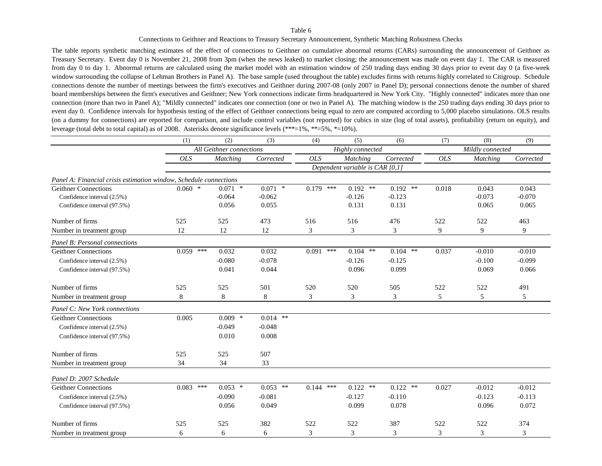Connections to Geithner and Reactions to Treasury Secretary Announcement, Synthetic Matching Robustness Checks

The table reports synthetic matching estimates of the effect of connections to Geithner on cumulative abnormal returns (CARs) surrounding the announcement of Geithner as Treasury Secretary. Event day 0 is November 21, 2008 from 3pm (when the news leaked) to market closing; the announcement was made on event day 1. The CAR is measured from day 0 to day 1. Abnormal returns are calculated using the market model with an estimation window of 250 trading days ending 30 days prior to event day 0 (a five-week window surrounding the collapse of Lehman Brothers in Panel A). The base sample (used throughout the table) excludes firms with returns highly correlated to Citigroup. Schedule connections denote the number of meetings between the firm's executives and Geithner during 2007-08 (only 2007 in Panel D); personal connections denote the number of shared board memberships between the firm's executives and Geithner; New York connections indicate firms headquartered in New York City. "Highly connected" indicates more than one connection (more than two in Panel A); "Mildly connected" indicates one connection (one or two in Panel A). The matching window is the 250 trading days ending 30 days prior to event day 0. Confidence intervals for hypothesis testing of the effect of Geithner connections being equal to zero are computed according to 5,000 placebo simulations. OLS results (on a dummy for connections) are reported for comparison, and include control variables (not reported) for cubics in size (log of total assets), profitability (return on equity), and leverage (total debt to total capital) as of 2008. Asterisks denote significance levels (\*\*\*=1%, \*\*=5%, \*=10%).

|                                                                   | (1)         | (2)                      | (3)        | (4)            | (5)                             | (6)        | (7)        | (8)              | (9)            |
|-------------------------------------------------------------------|-------------|--------------------------|------------|----------------|---------------------------------|------------|------------|------------------|----------------|
|                                                                   |             | All Geithner connections |            |                | Highly connected                |            |            | Mildly connected |                |
|                                                                   | <b>OLS</b>  | <b>Matching</b>          | Corrected  | <b>OLS</b>     | <b>Matching</b>                 | Corrected  | <b>OLS</b> | Matching         | Corrected      |
|                                                                   |             |                          |            |                | Dependent variable is CAR [0,1] |            |            |                  |                |
| Panel A: Financial crisis estimation window, Schedule connections |             |                          |            |                |                                 |            |            |                  |                |
| <b>Geithner Connections</b>                                       | $0.060$ *   | $0.071$ *                | $0.071$ *  | $0.179$ ***    | $0.192$ **                      | $0.192$ ** | 0.018      | 0.043            | 0.043          |
| Confidence interval (2.5%)                                        |             | $-0.064$                 | $-0.062$   |                | $-0.126$                        | $-0.123$   |            | $-0.073$         | $-0.070$       |
| Confidence interval (97.5%)                                       |             | 0.056                    | 0.055      |                | 0.131                           | 0.131      |            | 0.065            | 0.065          |
| Number of firms                                                   | 525         | 525                      | 473        | 516            | 516                             | 476        | 522        | 522              | 463            |
| Number in treatment group                                         | 12          | 12                       | 12         | 3              | 3                               | 3          | 9          | 9                | 9              |
| Panel B: Personal connections                                     |             |                          |            |                |                                 |            |            |                  |                |
| <b>Geithner Connections</b>                                       | $0.059$ *** | 0.032                    | 0.032      | $0.091$ ***    | $0.104$ **                      | $0.104$ ** | 0.037      | $-0.010$         | $-0.010$       |
| Confidence interval (2.5%)                                        |             | $-0.080$                 | $-0.078$   |                | $-0.126$                        | $-0.125$   |            | $-0.100$         | $-0.099$       |
| Confidence interval (97.5%)                                       |             | 0.041                    | 0.044      |                | 0.096                           | 0.099      |            | 0.069            | 0.066          |
| Number of firms                                                   | 525         | 525                      | 501        | 520            | 520                             | 505        | 522        | 522              | 491            |
| Number in treatment group                                         | 8           | 8                        | 8          | 3              | 3                               | 3          | 5          | 5                | 5              |
| Panel C: New York connections                                     |             |                          |            |                |                                 |            |            |                  |                |
| <b>Geithner Connections</b>                                       | 0.005       | $0.009$ *                | $0.014$ ** |                |                                 |            |            |                  |                |
| Confidence interval (2.5%)                                        |             | $-0.049$                 | $-0.048$   |                |                                 |            |            |                  |                |
| Confidence interval (97.5%)                                       |             | 0.010                    | 0.008      |                |                                 |            |            |                  |                |
| Number of firms                                                   | 525         | 525                      | 507        |                |                                 |            |            |                  |                |
| Number in treatment group                                         | 34          | 34                       | 33         |                |                                 |            |            |                  |                |
| Panel D: 2007 Schedule                                            |             |                          |            |                |                                 |            |            |                  |                |
| <b>Geithner Connections</b>                                       | $0.083$ *** | $0.053$ *                | $0.053$ ** | $0.144$ ***    | $0.122$ **                      | $0.122$ ** | 0.027      | $-0.012$         | $-0.012$       |
| Confidence interval (2.5%)                                        |             | $-0.090$                 | $-0.081$   |                | $-0.127$                        | $-0.110$   |            | $-0.123$         | $-0.113$       |
| Confidence interval (97.5%)                                       |             | 0.056                    | 0.049      |                | 0.099                           | 0.078      |            | 0.096            | 0.072          |
| Number of firms                                                   | 525         | 525                      | 382        | 522            | 522                             | 387        | 522        | 522              | 374            |
| Number in treatment group                                         | 6           | 6                        | 6          | $\mathfrak{Z}$ | 3                               | 3          | 3          | 3                | $\mathfrak{Z}$ |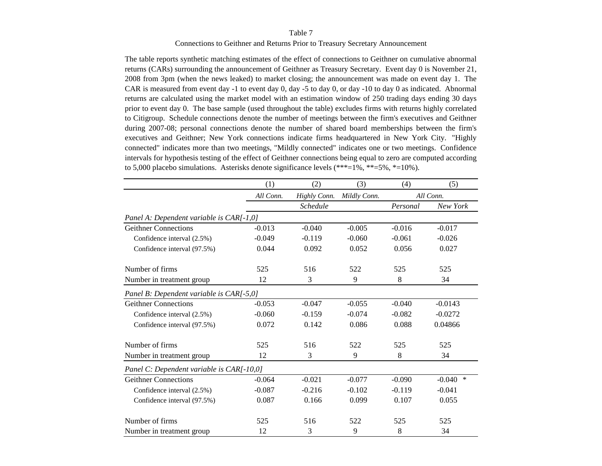#### Connections to Geithner and Returns Prior to Treasury Secretary Announcement

The table reports synthetic matching estimates of the effect of connections to Geithner on cumulative abnormal returns (CARs) surrounding the announcement of Geithner as Treasury Secretary. Event day 0 is November 21, 2008 from 3pm (when the news leaked) to market closing; the announcement was made on event day 1. The CAR is measured from event day -1 to event day 0, day -5 to day 0, or day -10 to day 0 as indicated. Abnormal returns are calculated using the market model with an estimation window of 250 trading days ending 30 days prior to event day 0. The base sample (used throughout the table) excludes firms with returns highly correlated to Citigroup. Schedule connections denote the number of meetings between the firm's executives and Geithner during 2007-08; personal connections denote the number of shared board memberships between the firm's executives and Geithner; New York connections indicate firms headquartered in New York City. "Highly connected" indicates more than two meetings, "Mildly connected" indicates one or two meetings. Confidence intervals for hypothesis testing of the effect of Geithner connections being equal to zero are computed according to 5,000 placebo simulations. Asterisks denote significance levels  $(***=1\%, **=5\%, *=10\%).$ 

|                                           | (1)       | (2)             | (3)          | (4)      | (5)                |
|-------------------------------------------|-----------|-----------------|--------------|----------|--------------------|
|                                           | All Conn. | Highly Conn.    | Mildly Conn. |          | All Conn.          |
|                                           |           | <b>Schedule</b> |              | Personal | New York           |
| Panel A: Dependent variable is CAR[-1,0]  |           |                 |              |          |                    |
| <b>Geithner Connections</b>               | $-0.013$  | $-0.040$        | $-0.005$     | $-0.016$ | $-0.017$           |
| Confidence interval (2.5%)                | $-0.049$  | $-0.119$        | $-0.060$     | $-0.061$ | $-0.026$           |
| Confidence interval (97.5%)               | 0.044     | 0.092           | 0.052        | 0.056    | 0.027              |
| Number of firms                           | 525       | 516             | 522          | 525      | 525                |
| Number in treatment group                 | 12        | 3               | 9            | 8        | 34                 |
| Panel B: Dependent variable is CAR[-5,0]  |           |                 |              |          |                    |
| <b>Geithner Connections</b>               | $-0.053$  | $-0.047$        | $-0.055$     | $-0.040$ | $-0.0143$          |
| Confidence interval (2.5%)                | $-0.060$  | $-0.159$        | $-0.074$     | $-0.082$ | $-0.0272$          |
| Confidence interval (97.5%)               | 0.072     | 0.142           | 0.086        | 0.088    | 0.04866            |
| Number of firms                           | 525       | 516             | 522          | 525      | 525                |
| Number in treatment group                 | 12        | 3               | 9            | 8        | 34                 |
| Panel C: Dependent variable is CAR[-10,0] |           |                 |              |          |                    |
| <b>Geithner Connections</b>               | $-0.064$  | $-0.021$        | $-0.077$     | $-0.090$ | $\ast$<br>$-0.040$ |
| Confidence interval (2.5%)                | $-0.087$  | $-0.216$        | $-0.102$     | $-0.119$ | $-0.041$           |
| Confidence interval (97.5%)               | 0.087     | 0.166           | 0.099        | 0.107    | 0.055              |
| Number of firms                           | 525       | 516             | 522          | 525      | 525                |
| Number in treatment group                 | 12        | 3               | 9            | 8        | 34                 |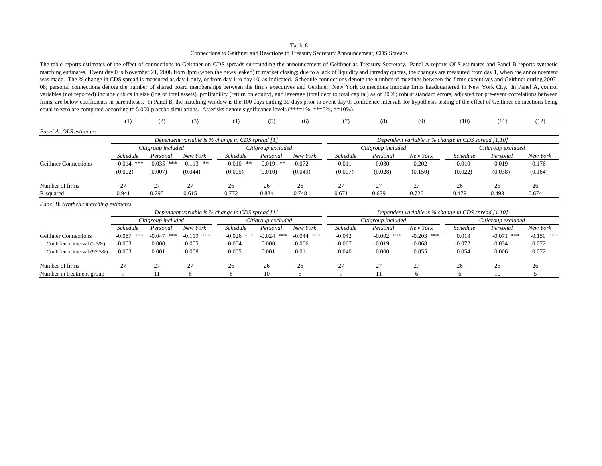Connections to Geithner and Reactions to Treasury Secretary Announcement, CDS Spreads

The table reports estimates of the effect of connections to Geithner on CDS spreads surrounding the announcement of Geithner as Treasury Secretary. Panel A reports OLS estimates and Panel B reports synthetic matching estimates. Event day 0 is November 21, 2008 from 3pm (when the news leaked) to market closing; due to a lack of liquidity and intraday quotes, the changes are measured from day 1, when the announcement was made. The % change in CDS spread is measured as day 1 only, or from day 1 to day 10, as indicated. Schedule connections denote the number of meetings between the firm's executives and Geithner during 2007-08; personal connections denote the number of shared board memberships between the firm's executives and Geithner; New York connections indicate firms headquartered in New York City. In Panel A, control variables (not reported) include cubics in size (log of total assets), profitability (return on equity), and leverage (total debt to total capital) as of 2008; robust standard errors, adjusted for pre-event correlations be firms, are below coefficients in parentheses. In Panel B, the matching window is the 100 days ending 30 days prior to event day 0; confidence intervals for hypothesis testing of the effect of Geithner connections being equal to zero are computed according to 5,000 placebo simulations. Asterisks denote significance levels (\*\*\*=1%, \*\*=5%, \*=10%).

|                                       | (1)             | (2)                | (3)         | (4)                                                 | (5)                | (6)      | (7              | (8)                                      | (9)                                                    | (10)            | (11)     | (12)     |  |
|---------------------------------------|-----------------|--------------------|-------------|-----------------------------------------------------|--------------------|----------|-----------------|------------------------------------------|--------------------------------------------------------|-----------------|----------|----------|--|
| Panel A: OLS estimates                |                 |                    |             |                                                     |                    |          |                 |                                          |                                                        |                 |          |          |  |
|                                       |                 |                    |             | Dependent variable is % change in CDS spread [1]    |                    |          |                 |                                          | Dependent variable is $%$ change in CDS spread [1,10]  |                 |          |          |  |
|                                       |                 | Citigroup included |             |                                                     | Citigroup excluded |          |                 | Citigroup included<br>Citigroup excluded |                                                        |                 |          |          |  |
|                                       | <b>Schedule</b> | Personal           | New York    | <i>Schedule</i>                                     | Personal           | New York | <b>Schedule</b> | Personal                                 | New York                                               | <i>Schedule</i> | Personal | New York |  |
| <b>Geithner Connections</b>           | $-0.014$ ***    | $-0.035$ ***       | $-0.113$ ** | $-0.010$<br>**                                      | $-0.019$ **        | $-0.072$ | $-0.011$        | $-0.030$                                 | $-0.202$                                               | $-0.010$        | $-0.019$ | $-0.176$ |  |
|                                       | (0.002)         | (0.007)            | (0.044)     | (0.005)                                             | (0.010)            | (0.049)  | (0.007)         | (0.028)                                  | (0.150)                                                | (0.022)         | (0.038)  | (0.164)  |  |
| Number of firms                       | 27              | 27                 | 27          | 26                                                  | 26                 | 26       | 27              | 27                                       | 27                                                     | 26              | 26       | 26       |  |
| R-squared                             | 0.941           | 0.795              | 0.615       | 0.772                                               | 0.834              | 0.748    | 0.671           | 0.639                                    | 0.726                                                  | 0.479           | 0.493    | 0.674    |  |
| Panel B: Synthetic matching estimates |                 |                    |             |                                                     |                    |          |                 |                                          |                                                        |                 |          |          |  |
|                                       |                 |                    |             | Dependent variable is $\%$ change in CDS spread [1] |                    |          |                 |                                          | Dependent variable is $\%$ change in CDS spread [1,10] |                 |          |          |  |

|                             |                 |                    |              | Dependent variable is % change in CDS spread [1] |                    |              | Dependent variable is % change in CDS spread [1,10] |                    |              |          |                    |              |  |
|-----------------------------|-----------------|--------------------|--------------|--------------------------------------------------|--------------------|--------------|-----------------------------------------------------|--------------------|--------------|----------|--------------------|--------------|--|
|                             |                 | Citigroup included |              |                                                  | Citigroup excluded |              |                                                     | Citigroup included |              |          | Citigroup excluded |              |  |
|                             | <b>Schedule</b> | Personal           | New York     | <b>Schedule</b>                                  | Personal           | New York     | Schedule                                            | Personal           | New York     | Schedule | Personal           | New York     |  |
| <b>Geithner Connections</b> | -0.087<br>***   | $-0.047$<br>***    | $-0.119$ *** | ***<br>$-0.026$                                  | $-0.024$<br>***    | $-0.044$ *** | $-0.042$                                            | $-0.092$ ***       | $-0.203$ *** | 0.018    | $-0.071$<br>***    | $-0.150$ *** |  |
| Confidence interval (2.5%)  | $-0.003$        | 0.000              | $-0.005$     | $-0.004$                                         | 0.000              | $-0.006$     | $-0.067$                                            | $-0.019$           | $-0.068$     | $-0.072$ | $-0.034$           | $-0.072$     |  |
| Confidence interval (97.5%) | 0.003           | 0.001              | 0.008        | 0.005                                            | 0.001              | 0.011        | 0.040                                               | 0.000              | 0.055        | 0.054    | 0.006              | 0.072        |  |
| Number of firms             |                 |                    | 27           | 26                                               | 26                 | 26           |                                                     | דר                 | 27           | 26       | 26                 | 26           |  |
| Number in treatment group   |                 |                    |              |                                                  | 10                 |              |                                                     |                    |              |          | 10                 |              |  |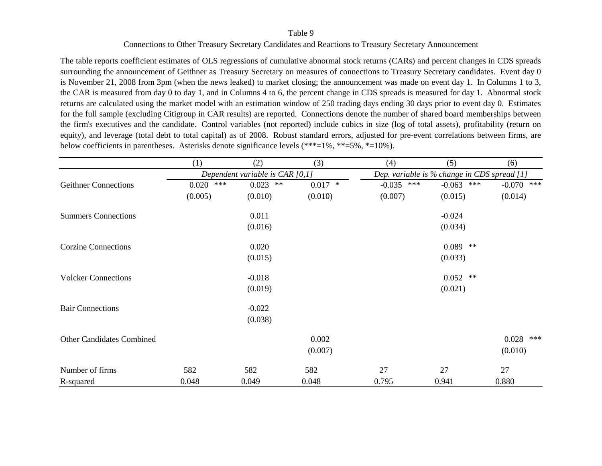## Connections to Other Treasury Secretary Candidates and Reactions to Treasury Secretary Announcement

The table reports coefficient estimates of OLS regressions of cumulative abnormal stock returns (CARs) and percent changes in CDS spreads surrounding the announcement of Geithner as Treasury Secretary on measures of connections to Treasury Secretary candidates. Event day 0 is November 21, 2008 from 3pm (when the news leaked) to market closing; the announcement was made on event day 1. In Columns 1 to 3, the CAR is measured from day 0 to day 1, and in Columns 4 to 6, the percent change in CDS spreads is measured for day 1. Abnormal stock returns are calculated using the market model with an estimation window of 250 trading days ending 30 days prior to event day 0. Estimates for the full sample (excluding Citigroup in CAR results) are reported. Connections denote the number of shared board memberships between the firm's executives and the candidate. Control variables (not reported) include cubics in size (log of total assets), profitability (return on equity), and leverage (total debt to total capital) as of 2008. Robust standard errors, adjusted for pre-event correlations between firms, are below coefficients in parentheses. Asterisks denote significance levels (\*\*\*=1%, \*\*=5%, \*=10%).

|                                  | (1)          | (2)                               | (3)       | (4)          | (5)                                         | (6)            |
|----------------------------------|--------------|-----------------------------------|-----------|--------------|---------------------------------------------|----------------|
|                                  |              | Dependent variable is CAR $[0,1]$ |           |              | Dep. variable is % change in CDS spread [1] |                |
| <b>Geithner Connections</b>      | ***<br>0.020 | $0.023$ **                        | $0.017$ * | $-0.035$ *** | ***<br>$-0.063$                             | $-0.070$ ***   |
|                                  | (0.005)      | (0.010)                           | (0.010)   | (0.007)      | (0.015)                                     | (0.014)        |
| <b>Summers Connections</b>       |              | 0.011                             |           |              | $-0.024$                                    |                |
|                                  |              | (0.016)                           |           |              | (0.034)                                     |                |
| <b>Corzine Connections</b>       |              | 0.020                             |           |              | $0.089$ **                                  |                |
|                                  |              | (0.015)                           |           |              | (0.033)                                     |                |
| <b>Volcker Connections</b>       |              | $-0.018$                          |           |              | $0.052$ **                                  |                |
|                                  |              | (0.019)                           |           |              | (0.021)                                     |                |
| <b>Bair Connections</b>          |              | $-0.022$                          |           |              |                                             |                |
|                                  |              | (0.038)                           |           |              |                                             |                |
| <b>Other Candidates Combined</b> |              |                                   | 0.002     |              |                                             | 0.028<br>$***$ |
|                                  |              |                                   | (0.007)   |              |                                             | (0.010)        |
| Number of firms                  | 582          | 582                               | 582       | 27           | 27                                          | 27             |
| R-squared                        | 0.048        | 0.049                             | 0.048     | 0.795        | 0.941                                       | 0.880          |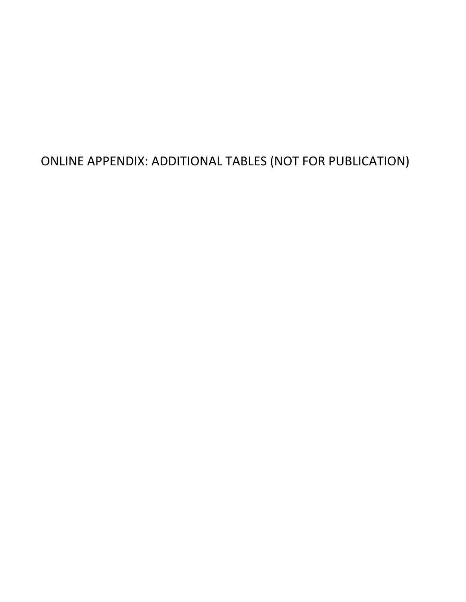ONLINE APPENDIX: ADDITIONAL TABLES (NOT FOR PUBLICATION)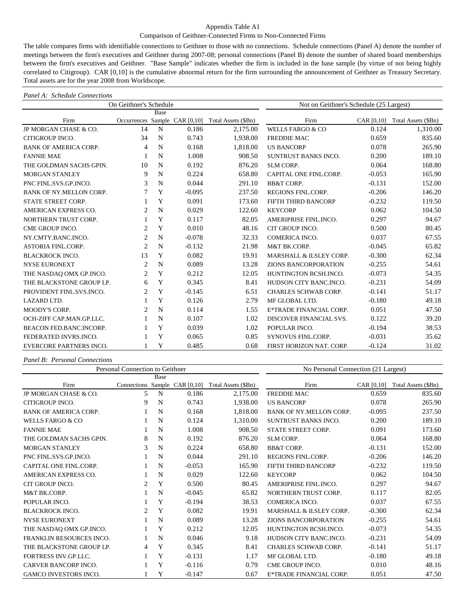## Appendix Table A1

### Comparison of Geithner-Connected Firms to Non-Connected Firms

The table compares firms with identifiable connections to Geithner to those with no connections. Schedule connections (Panel A) denote the number of meetings between the firm's executives and Geithner during 2007-08; personal connections (Panel B) denote the number of shared board memberships between the firm's executives and Geithner. "Base Sample" indicates whether the firm is included in the base sample (by virtue of not being highly correlated to Citigroup). CAR [0,10] is the cumulative abnormal return for the firm surrounding the announcement of Geithner as Treasury Secretary. Total assets are for the year 2008 from Worldscope.

#### *Panel A: Schedule Connections*

|                                | On Geithner's Schedule |      |                               | Not on Geithner's Schedule (25 Largest) |                             |            |                     |  |
|--------------------------------|------------------------|------|-------------------------------|-----------------------------------------|-----------------------------|------------|---------------------|--|
|                                |                        | Base |                               |                                         |                             |            |                     |  |
| Firm                           |                        |      | Occurrences Sample CAR [0,10] | Total Assets (\$Bn)                     | Firm                        | CAR [0,10] | Total Assets (\$Bn) |  |
| JP MORGAN CHASE & CO.          | 14                     | N    | 0.186                         | 2,175.00                                | <b>WELLS FARGO &amp; CO</b> | 0.124      | 1,310.00            |  |
| CITIGROUP INCO.                | 34                     | N    | 0.743                         | 1,938.00                                | <b>FREDDIE MAC</b>          | 0.659      | 835.60              |  |
| <b>BANK OF AMERICA CORP.</b>   | $\overline{4}$         | N    | 0.168                         | 1,818.00                                | <b>US BANCORP</b>           | 0.078      | 265.90              |  |
| <b>FANNIE MAE</b>              | 1                      | N    | 1.008                         | 908.50                                  | SUNTRUST BANKS INCO.        | 0.200      | 189.10              |  |
| THE GOLDMAN SACHS GPIN.        | 10                     | N    | 0.192                         | 876.20                                  | SLM CORP.                   | 0.064      | 168.80              |  |
| <b>MORGAN STANLEY</b>          | 9                      | N    | 0.224                         | 658.80                                  | CAPITAL ONE FINL.CORP.      | $-0.053$   | 165.90              |  |
| PNC FINL.SVS.GP.INCO.          | 3                      | N    | 0.044                         | 291.10                                  | <b>BB&amp;T CORP.</b>       | $-0.131$   | 152.00              |  |
| BANK OF NY.MELLON CORP.        | 7                      | Y    | $-0.095$                      | 237.50                                  | REGIONS FINL.CORP.          | $-0.206$   | 146.20              |  |
| STATE STREET CORP.             |                        | Y    | 0.091                         | 173.60                                  | FIFTH THIRD BANCORP         | $-0.232$   | 119.50              |  |
| AMERICAN EXPRESS CO.           | $\overline{2}$         | N    | 0.029                         | 122.60                                  | <b>KEYCORP</b>              | 0.062      | 104.50              |  |
| NORTHERN TRUST CORP.           |                        | Y    | 0.117                         | 82.05                                   | AMERIPRISE FINL.INCO.       | 0.297      | 94.67               |  |
| CME GROUP INCO.                | $\overline{c}$         | Y    | 0.010                         | 48.16                                   | CIT GROUP INCO.             | 0.500      | 80.45               |  |
| NY.CMTY.BANC.INCO.             | $\overline{2}$         | N    | $-0.078$                      | 32.33                                   | COMERICA INCO.              | 0.037      | 67.55               |  |
| <b>ASTORIA FINL.CORP.</b>      | $\overline{2}$         | N    | $-0.132$                      | 21.98                                   | M&T BK.CORP.                | $-0.045$   | 65.82               |  |
| <b>BLACKROCK INCO.</b>         | 13                     | Y    | 0.082                         | 19.91                                   | MARSHALL & ILSLEY CORP.     | $-0.300$   | 62.34               |  |
| <b>NYSE EURONEXT</b>           | $\overline{2}$         | N    | 0.089                         | 13.28                                   | <b>ZIONS BANCORPORATION</b> | $-0.255$   | 54.61               |  |
| THE NASDAQ OMX GP.INCO.        | $\overline{2}$         | Y    | 0.212                         | 12.05                                   | HUNTINGTON BCSH.INCO.       | $-0.073$   | 54.35               |  |
| THE BLACKSTONE GROUP LP.       | 6                      | Y    | 0.345                         | 8.41                                    | HUDSON CITY BANC.INCO.      | $-0.231$   | 54.09               |  |
| PROVIDENT FINL.SVS.INCO.       | $\overline{c}$         | Y    | $-0.145$                      | 6.51                                    | <b>CHARLES SCHWAB CORP.</b> | $-0.141$   | 51.17               |  |
| <b>LAZARD LTD.</b>             |                        | Y    | 0.126                         | 2.79                                    | MF GLOBAL LTD.              | $-0.180$   | 49.18               |  |
| <b>MOODY'S CORP.</b>           | $\mathfrak{D}$         | N    | 0.114                         | 1.55                                    | E*TRADE FINANCIAL CORP.     | 0.051      | 47.50               |  |
| OCH-ZIFF CAP.MAN.GP.LLC.       |                        | N    | 0.107                         | 1.02                                    | DISCOVER FINANCIAL SVS.     | 0.122      | 39.20               |  |
| BEACON FED.BANC.INCORP.        |                        | Y    | 0.039                         | 1.02                                    | POPULAR INCO.               | $-0.194$   | 38.53               |  |
| FEDERATED INVRS.INCO.          |                        | Y    | 0.065                         | 0.85                                    | <b>SYNOVUS FINL.CORP.</b>   | $-0.031$   | 35.62               |  |
| <b>EVERCORE PARTNERS INCO.</b> |                        | Y    | 0.485                         | 0.68                                    | FIRST HORIZON NAT. CORP.    | $-0.124$   | 31.02               |  |

#### *Panel B: Personal Connections*

|                              | Personal Connection to Geithner |      | No Personal Connection (21 Largest) |                     |                                |            |                     |  |
|------------------------------|---------------------------------|------|-------------------------------------|---------------------|--------------------------------|------------|---------------------|--|
|                              |                                 | Base |                                     |                     |                                |            |                     |  |
| Firm                         | Connections Sample CAR [0,10]   |      |                                     | Total Assets (\$Bn) | Firm                           | CAR [0,10] | Total Assets (\$Bn) |  |
| JP MORGAN CHASE & CO.        | 5                               | N    | 0.186                               | 2,175.00            | <b>FREDDIE MAC</b>             | 0.659      | 835.60              |  |
| CITIGROUP INCO.              | 9                               | N    | 0.743                               | 1,938.00            | <b>US BANCORP</b>              | 0.078      | 265.90              |  |
| <b>BANK OF AMERICA CORP.</b> |                                 | N    | 0.168                               | 1,818.00            | <b>BANK OF NY MELLON CORP.</b> | $-0.095$   | 237.50              |  |
| <b>WELLS FARGO &amp; CO</b>  |                                 | N    | 0.124                               | 1,310.00            | SUNTRUST BANKS INCO.           | 0.200      | 189.10              |  |
| <b>FANNIE MAE</b>            |                                 | N    | 1.008                               | 908.50              | STATE STREET CORP.             | 0.091      | 173.60              |  |
| THE GOLDMAN SACHS GPIN.      | 8                               | N    | 0.192                               | 876.20              | <b>SLM CORP.</b>               | 0.064      | 168.80              |  |
| <b>MORGAN STANLEY</b>        | 3                               | N    | 0.224                               | 658.80              | <b>BB&amp;T CORP.</b>          | $-0.131$   | 152.00              |  |
| PNC FINL SVS GP INCO.        |                                 | N    | 0.044                               | 291.10              | REGIONS FINL.CORP.             | $-0.206$   | 146.20              |  |
| CAPITAL ONE FINL CORP.       |                                 | N    | $-0.053$                            | 165.90              | FIFTH THIRD BANCORP            | $-0.232$   | 119.50              |  |
| AMERICAN EXPRESS CO.         |                                 | N    | 0.029                               | 122.60              | <b>KEYCORP</b>                 | 0.062      | 104.50              |  |
| CIT GROUP INCO.              | 2                               | Y    | 0.500                               | 80.45               | AMERIPRISE FINL.INCO.          | 0.297      | 94.67               |  |
| M&T BK.CORP.                 |                                 | N    | $-0.045$                            | 65.82               | NORTHERN TRUST CORP.           | 0.117      | 82.05               |  |
| POPULAR INCO.                |                                 | Y    | $-0.194$                            | 38.53               | COMERICA INCO.                 | 0.037      | 67.55               |  |
| <b>BLACKROCK INCO.</b>       | 2                               | Y    | 0.082                               | 19.91               | MARSHALL & ILSLEY CORP.        | $-0.300$   | 62.34               |  |
| <b>NYSE EURONEXT</b>         |                                 | N    | 0.089                               | 13.28               | <b>ZIONS BANCORPORATION</b>    | $-0.255$   | 54.61               |  |
| THE NASDAQ OMX GP.INCO.      |                                 | Y    | 0.212                               | 12.05               | HUNTINGTON BCSH.INCO.          | $-0.073$   | 54.35               |  |
| FRANKLIN RESOURCES INCO.     |                                 | N    | 0.046                               | 9.18                | HUDSON CITY BANC.INCO.         | $-0.231$   | 54.09               |  |
| THE BLACKSTONE GROUP LP.     | 4                               | Y    | 0.345                               | 8.41                | <b>CHARLES SCHWAB CORP.</b>    | $-0.141$   | 51.17               |  |
| FORTRESS INV.GP.LLC.         |                                 | Y    | $-0.131$                            | 1.17                | MF GLOBAL LTD.                 | $-0.180$   | 49.18               |  |
| CARVER BANCORP INCO.         |                                 | Y    | $-0.116$                            | 0.79                | <b>CME GROUP INCO.</b>         | 0.010      | 48.16               |  |
| <b>GAMCO INVESTORS INCO.</b> |                                 | Y    | $-0.147$                            | 0.67                | E*TRADE FINANCIAL CORP.        | 0.051      | 47.50               |  |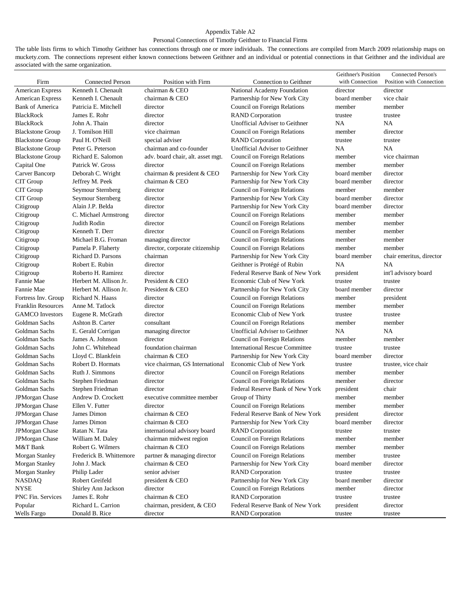# Appendix Table A2

# Personal Connections of Timothy Geithner to Financial Firms

The table lists firms to which Timothy Geithner has connections through one or more individuals. The connections are compiled from March 2009 relationship maps on muckety.com. The connections represent either known connections between Geithner and an individual or potential connections in that Geithner and the individual are associated with the same organization.

|                           |                         |                                   |                                       | Geithner's Position | Connected Person's       |
|---------------------------|-------------------------|-----------------------------------|---------------------------------------|---------------------|--------------------------|
| Firm                      | <b>Connected Person</b> | Position with Firm                | Connection to Geithner                | with Connection     | Position with Connection |
| American Express          | Kenneth I. Chenault     | chairman & CEO                    | National Academy Foundation           | director            | director                 |
| American Express          | Kenneth I. Chenault     | chairman & CEO                    | Partnership for New York City         | board member        | vice chair               |
| <b>Bank of America</b>    | Patricia E. Mitchell    | director                          | Council on Foreign Relations          | member              | member                   |
| <b>BlackRock</b>          | James E. Rohr           | director                          | <b>RAND</b> Corporation               | trustee             | trustee                  |
| <b>BlackRock</b>          | John A. Thain           | director                          | Unofficial Adviser to Geithner        | NA                  | <b>NA</b>                |
| <b>Blackstone Group</b>   | J. Tomilson Hill        | vice chairman                     | Council on Foreign Relations          | member              | director                 |
| <b>Blackstone Group</b>   | Paul H. O'Neill         | special adviser                   | <b>RAND</b> Corporation               | trustee             | trustee                  |
| <b>Blackstone Group</b>   | Peter G. Peterson       | chairman and co-founder           | Unofficial Adviser to Geithner        | NA                  | <b>NA</b>                |
| <b>Blackstone Group</b>   | Richard E. Salomon      | adv. board chair, alt. asset mgt. | Council on Foreign Relations          | member              | vice chairman            |
| Capital One               | Patrick W. Gross        | director                          | Council on Foreign Relations          | member              | member                   |
| Carver Bancorp            | Deborah C. Wright       | chairman & president & CEO        | Partnership for New York City         | board member        | director                 |
| CIT Group                 | Jeffrey M. Peek         | chairman & CEO                    | Partnership for New York City         | board member        | director                 |
| CIT Group                 | Seymour Sternberg       | director                          | Council on Foreign Relations          | member              | member                   |
| CIT Group                 | Seymour Sternberg       | director                          | Partnership for New York City         | board member        | director                 |
| Citigroup                 | Alain J.P. Belda        | director                          | Partnership for New York City         | board member        | director                 |
| Citigroup                 | C. Michael Armstrong    | director                          | Council on Foreign Relations          | member              | member                   |
| Citigroup                 | Judith Rodin            | director                          | Council on Foreign Relations          | member              | member                   |
| Citigroup                 | Kenneth T. Derr         | director                          | Council on Foreign Relations          | member              | member                   |
| Citigroup                 | Michael B.G. Froman     | managing director                 | Council on Foreign Relations          | member              | member                   |
| Citigroup                 | Pamela P. Flaherty      | director, corporate citizenship   | Council on Foreign Relations          | member              | member                   |
| Citigroup                 | Richard D. Parsons      | chairman                          | Partnership for New York City         | board member        | chair emeritus, director |
| Citigroup                 | Robert E. Rubin         | director                          | Geithner is Protégé of Rubin          | NA                  | <b>NA</b>                |
| Citigroup                 | Roberto H. Ramirez      | director                          | Federal Reserve Bank of New York      | president           | int'l advisory board     |
| Fannie Mae                | Herbert M. Allison Jr.  | President & CEO                   | Economic Club of New York             | trustee             | trustee                  |
| Fannie Mae                | Herbert M. Allison Jr.  | President & CEO                   | Partnership for New York City         | board member        | director                 |
|                           | Richard N. Haass        | director                          |                                       | member              |                          |
| Fortress Inv. Group       |                         |                                   | Council on Foreign Relations          |                     | president                |
| <b>Franklin Resources</b> | Anne M. Tatlock         | director                          | Council on Foreign Relations          | member              | member                   |
| <b>GAMCO</b> Investors    | Eugene R. McGrath       | director                          | Economic Club of New York             | trustee             | trustee                  |
| Goldman Sachs             | Ashton B. Carter        | consultant                        | Council on Foreign Relations          | member              | member                   |
| Goldman Sachs             | E. Gerald Corrigan      | managing director                 | Unofficial Adviser to Geithner        | NA                  | <b>NA</b>                |
| Goldman Sachs             | James A. Johnson        | director                          | Council on Foreign Relations          | member              | member                   |
| Goldman Sachs             | John C. Whitehead       | foundation chairman               | <b>International Rescue Committee</b> | trustee             | trustee                  |
| Goldman Sachs             | Lloyd C. Blankfein      | chairman & CEO                    | Partnership for New York City         | board member        | director                 |
| Goldman Sachs             | Robert D. Hormats       | vice chairman, GS International   | Economic Club of New York             | trustee             | trustee, vice chair      |
| Goldman Sachs             | Ruth J. Simmons         | director                          | Council on Foreign Relations          | member              | member                   |
| Goldman Sachs             | Stephen Friedman        | director                          | Council on Foreign Relations          | member              | director                 |
| Goldman Sachs             | Stephen Friedman        | director                          | Federal Reserve Bank of New York      | president           | chair                    |
| JPMorgan Chase            | Andrew D. Crockett      | executive committee member        | Group of Thirty                       | member              | member                   |
| JPMorgan Chase            | Ellen V. Futter         | director                          | Council on Foreign Relations          | member              | member                   |
| JPMorgan Chase            | James Dimon             | chairman & CEO                    | Federal Reserve Bank of New York      | president           | director                 |
| JPMorgan Chase            | James Dimon             | chairman & CEO                    | Partnership for New York City         | board member        | director                 |
| JPMorgan Chase            | Ratan N. Tata           | international advisory board      | <b>RAND</b> Corporation               | trustee             | trustee                  |
| JPMorgan Chase            | William M. Daley        | chairman midwest region           | Council on Foreign Relations          | member              | member                   |
| M&T Bank                  | Robert G. Wilmers       | chairman & CEO                    | Council on Foreign Relations          | member              | member                   |
| <b>Morgan Stanley</b>     | Frederick B. Whittemore | partner & managing director       | Council on Foreign Relations          | member              | trustee                  |
| <b>Morgan Stanley</b>     | John J. Mack            | chairman & CEO                    | Partnership for New York City         | board member        | director                 |
| Morgan Stanley            | Philip Lader            | senior adviser                    | <b>RAND</b> Corporation               | trustee             | trustee                  |
| <b>NASDAQ</b>             | Robert Greifeld         | president & CEO                   | Partnership for New York City         | board member        | director                 |
| <b>NYSE</b>               | Shirley Ann Jackson     | director                          | Council on Foreign Relations          | member              | director                 |
| PNC Fin. Services         | James E. Rohr           | chairman & CEO                    | <b>RAND</b> Corporation               | trustee             | trustee                  |
| Popular                   | Richard L. Carrion      | chairman, president, & CEO        | Federal Reserve Bank of New York      | president           | director                 |
| <b>Wells Fargo</b>        | Donald B. Rice          | director                          | <b>RAND</b> Corporation               | trustee             | trustee                  |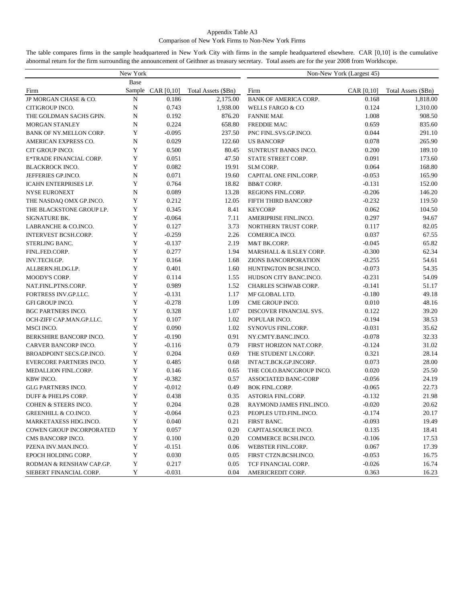## Appendix Table A3 Comparison of New York Firms to Non-New York Firms

The table compares firms in the sample headquartered in New York City with firms in the sample headquartered elsewhere. CAR [0,10] is the cumulative abnormal return for the firm surrounding the announcement of Geithner as treasury secretary. Total assets are for the year 2008 from Worldscope.

|                                 | New York         |                   |                     | Non-New York (Largest 45)    |            |                     |  |  |  |
|---------------------------------|------------------|-------------------|---------------------|------------------------------|------------|---------------------|--|--|--|
|                                 | Base             |                   |                     |                              |            |                     |  |  |  |
| Firm                            | Sample           | CAR [0, 10]       | Total Assets (\$Bn) | Firm                         | CAR [0,10] | Total Assets (\$Bn) |  |  |  |
| JP MORGAN CHASE & CO.           | N                | 0.186             | 2,175.00            | <b>BANK OF AMERICA CORP.</b> | 0.168      | 1,818.00            |  |  |  |
| CITIGROUP INCO.                 | $\mathbf N$      | 0.743             | 1,938.00            | <b>WELLS FARGO &amp; CO</b>  | 0.124      | 1,310.00            |  |  |  |
| THE GOLDMAN SACHS GPIN.         | $\mathbf N$      | 0.192             | 876.20              | <b>FANNIE MAE</b>            | 1.008      | 908.50              |  |  |  |
| <b>MORGAN STANLEY</b>           | N                | 0.224             | 658.80              | <b>FREDDIE MAC</b>           | 0.659      | 835.60              |  |  |  |
| BANK OF NY.MELLON CORP.         | Y                | $-0.095$          | 237.50              | PNC FINL.SVS.GP.INCO.        | 0.044      | 291.10              |  |  |  |
| AMERICAN EXPRESS CO.            | $\mathbf N$      | 0.029             | 122.60              | <b>US BANCORP</b>            | 0.078      | 265.90              |  |  |  |
| CIT GROUP INCO.                 | Y                | 0.500             | 80.45               | SUNTRUST BANKS INCO.         | 0.200      | 189.10              |  |  |  |
| E*TRADE FINANCIAL CORP.         | Y                | 0.051             | 47.50               | STATE STREET CORP.           | 0.091      | 173.60              |  |  |  |
| <b>BLACKROCK INCO.</b>          | Y                | 0.082             | 19.91               | SLM CORP.                    | 0.064      | 168.80              |  |  |  |
| JEFFERIES GP.INCO.              | N                | 0.071             | 19.60               | CAPITAL ONE FINL.CORP.       | $-0.053$   | 165.90              |  |  |  |
| <b>ICAHN ENTERPRISES LP.</b>    | Y                | 0.764             | 18.82               | <b>BB&amp;T CORP.</b>        | $-0.131$   | 152.00              |  |  |  |
| <b>NYSE EURONEXT</b>            | $\mathbf N$      | 0.089             | 13.28               | REGIONS FINL.CORP.           | $-0.206$   | 146.20              |  |  |  |
| THE NASDAQ OMX GP.INCO.         | Y                | 0.212             | 12.05               | FIFTH THIRD BANCORP          | $-0.232$   | 119.50              |  |  |  |
| THE BLACKSTONE GROUP LP.        | Y                | 0.345             | 8.41                | <b>KEYCORP</b>               | 0.062      | 104.50              |  |  |  |
| <b>SIGNATURE BK.</b>            | Y                | $-0.064$          | 7.11                | AMERIPRISE FINL.INCO.        | 0.297      | 94.67               |  |  |  |
| LABRANCHE & CO.INCO.            | Y                | 0.127             | 3.73                | NORTHERN TRUST CORP.         | 0.117      | 82.05               |  |  |  |
| <b>INTERVEST BCSH.CORP.</b>     | Y                | $-0.259$          | 2.26                | COMERICA INCO.               | 0.037      | 67.55               |  |  |  |
| STERLING BANC.                  | Y                | $-0.137$          | 2.19                | M&T BK.CORP.                 | $-0.045$   | 65.82               |  |  |  |
| FINL.FED.CORP.                  | $\mathbf Y$      | 0.277             | 1.94                | MARSHALL & ILSLEY CORP.      | $-0.300$   | 62.34               |  |  |  |
| INV.TECH.GP.                    | $\mathbf Y$      | 0.164             | 1.68                | <b>ZIONS BANCORPORATION</b>  | $-0.255$   | 54.61               |  |  |  |
| ALLBERN.HLDG.LP.                | $\mathbf Y$      | 0.401             | 1.60                | HUNTINGTON BCSH.INCO.        | $-0.073$   | 54.35               |  |  |  |
| <b>MOODY'S CORP.</b>            | Y                | 0.114             | 1.55                | HUDSON CITY BANC.INCO.       | $-0.231$   | 54.09               |  |  |  |
| NAT.FINL.PTNS.CORP.             | Y                | 0.989             | 1.52                | CHARLES SCHWAB CORP.         | $-0.141$   | 51.17               |  |  |  |
| FORTRESS INV.GP.LLC.            | Y                | $-0.131$          | 1.17                | MF GLOBAL LTD.               | $-0.180$   | 49.18               |  |  |  |
| <b>GFI GROUP INCO.</b>          | Y                | $-0.278$          | 1.09                | CME GROUP INCO.              | 0.010      | 48.16               |  |  |  |
| <b>BGC PARTNERS INCO.</b>       | Y                | 0.328             | 1.07                | DISCOVER FINANCIAL SVS.      | 0.122      | 39.20               |  |  |  |
| OCH-ZIFF CAP.MAN.GP.LLC.        | $\mathbf Y$      | 0.107             | 1.02                | POPULAR INCO.                | $-0.194$   | 38.53               |  |  |  |
| MSCI INCO.                      | $\mathbf Y$      | 0.090             | 1.02                | SYNOVUS FINL.CORP.           | $-0.031$   | 35.62               |  |  |  |
| BERKSHIRE BANCORP INCO.         | Y                | $-0.190$          | 0.91                | NY.CMTY.BANC.INCO.           | $-0.078$   | 32.33               |  |  |  |
| CARVER BANCORP INCO.            | Y                | $-0.116$          | 0.79                | FIRST HORIZON NAT.CORP.      | $-0.124$   | 31.02               |  |  |  |
| BROADPOINT SECS.GP.INCO.        | Y                | 0.204             | 0.69                | THE STUDENT LN.CORP.         | 0.321      | 28.14               |  |  |  |
| EVERCORE PARTNERS INCO.         | Y                | 0.485             | 0.68                | INTACT.BCK.GP.INCORP.        | 0.073      | 28.00               |  |  |  |
| MEDALLION FINL.CORP.            | Y                | 0.146             | 0.65                | THE COLO.BANCGROUP INCO.     | 0.020      | 25.50               |  |  |  |
| KBW INCO.                       | Y                | $-0.382$          | 0.57                | ASSOCIATED BANC-CORP         | $-0.056$   | 24.19               |  |  |  |
| <b>GLG PARTNERS INCO.</b>       | $\mathbf Y$      | $-0.012$          | 0.49                | <b>BOK FINL.CORP.</b>        | $-0.065$   | 22.73               |  |  |  |
| DUFF & PHELPS CORP.             | Y                | 0.438             | 0.35                | <b>ASTORIA FINL.CORP.</b>    | $-0.132$   | 21.98               |  |  |  |
| <b>COHEN &amp; STEERS INCO.</b> | Y                | 0.204             | 0.28                | RAYMOND JAMES FINL.INCO.     | $-0.020$   | 20.62               |  |  |  |
| <b>GREENHILL &amp; CO.INCO.</b> | Y                | $-0.064$          | 0.23                | PEOPLES UTD.FINL.INCO.       | $-0.174$   | 20.17               |  |  |  |
| MARKETAXESS HDG.INCO.           | Y                | 0.040             | 0.21                | FIRST BANC.                  | $-0.093$   | 19.49               |  |  |  |
| <b>COWEN GROUP INCORPORATED</b> |                  |                   |                     | CAPITALSOURCE INCO.          | 0.135      |                     |  |  |  |
| CMS BANCORP INCO.               | Y<br>$\mathbf Y$ | 0.057<br>0.100    | 0.20<br>0.20        | COMMERCE BCSH.INCO.          | $-0.106$   | 18.41<br>17.53      |  |  |  |
| PZENA INV.MAN.INCO.             | $\mathbf Y$      |                   | 0.06                |                              |            |                     |  |  |  |
|                                 | Y                | $-0.151$<br>0.030 |                     | WEBSTER FINL.CORP.           | 0.067      | 17.39               |  |  |  |
| EPOCH HOLDING CORP.             |                  |                   | 0.05                | FIRST CTZN.BCSH.INCO.        | $-0.053$   | 16.75<br>16.74      |  |  |  |
| RODMAN & RENSHAW CAP.GP.        | Y                | 0.217             | 0.05                | TCF FINANCIAL CORP.          | $-0.026$   |                     |  |  |  |
| SIEBERT FINANCIAL CORP.         | Y                | $-0.031$          | 0.04                | AMERICREDIT CORP.            | 0.363      | 16.23               |  |  |  |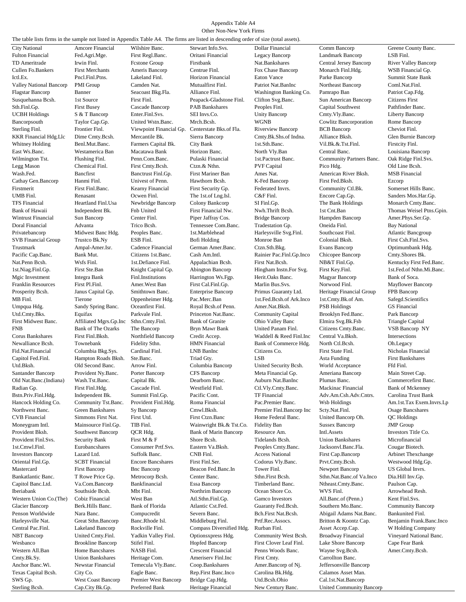#### Appendix Table A4 Other Non-New York Firms

The table lists firms in the sample not listed in Appendix Table A4. The firms are listed in descending order of size (total assets).

Fulton Financial Fed.Agri.Mge. First Regl.Banc. Oritani Financial Legacy Bancorp Landmark Bancorp LSB Finl. TD Ameritrade Irwin Finl. Finstone Group Firstbank Nat.Bankshares Central Jersey Bancorp River Valley Banco<br>Cullen Fo.Bankers First Merchants Ameris Bancorp Centrue Finl. Fox Chase Bancorp Monarch Finl.Hdg. WSB Financial G Cullen Fo.Bankers First Merchants Ameris Bancorp Centrue Finl. Fox Chase Bancorp Monarch Finl.Hdg. WSB Financial Gp. Ictl.Ex. Pncl.Finl.Ptns. Lakeland Finl. Horizon Financial Eaton Vance Parke Bancorp Summit State Bank Valley National Bancorp PMI Group Camden Nat. Mutualfirst Finl. Patriot Nat.BanInc Northeast Bancorp Coml.Nat.Finl. Flagstar Bancorp Banner Seacoast Bkg.Fla. Alliance Finl. Washington Banking Co. Pamrapo Ban Patriot Cap.Fdg. Susquehanna Bcsh. 1st Source First Finl. Peapack-Gladstone Finl. Clifton Svg.Banc. Sun American Bancorp Citizens First First Busev Cascade Bancorp PAB Bankshares Peoples Finl. Capital Southwest Pathfinder Banc. Sun America Sth.Finl.Gp. First Busey Cascade Bancorp PAB Bankshares Peoples Finl. Capital Southwest Pathfinder Banc. UCBH Holdings S & T Bancorp Enter.Finl.Svs. SEI Invs.Co. Unity Bancorp Cmty.Vly.Banc. Liberty Bancorp Bancorpsouth Taylor Cap.Gp. United Wstn.Banc. Mrch.Bcsh. WGNB Cowlitz Bancorporation Rome Bancorp<br>Sterling Finl. Frontier Finl. Viewpoint Financial Gp. Centerstate Bks.of Fla. Riverview Bancorp BCB Bancorp Cheviot Finl. Sterling Finl. Frontier Finl. Viewpoint Financial Gp. Centerstate Bks.of Fla. Riverview Bancorp BCB Bancorp Cheviot Finl. KKR Financial Hdg.Llc Dime Cmty.Bcsh. Mercantile Bk. Sierra Bancorp Cmty.Bk.Shs.of Indna. Alliance Bksh. Glen Burnie Bancorp Whitney Holding Benl.Mut.Banc. Farmers Capital Bk. City Bank 1st.Sth.Banc. Vil.Bk.&.Tst.Finl. Firstcity Finl. East Ws.Banc. Westamerica Ban Macatawa Bank Horizon Banc. North Vly.Ban Central Banc. Louisiana Bancorp Wilmington Tst. Flushing Finl. Penn.Com.Banc. Pulaski Financial 1st.Pactrust Banc. Community Partners Banc. Oak Ridge Finl.Svs. Legg Mason Chemical Finl. First Cmty.Bcsh. Ctzn.& Nthn. PVF Capital Pico Hdg. Old Line Bcsh. Wash.Fed. Bancfirst Banctrust Finl.Gp. First Mariner Ban Ames Nat. American River Bksh. MSB Financial Cathay Gen.Bancorp Hanmi Finl. Univest of Penn. Hawthorn Bcsh. K-Fed Bancorp First Fed.Bksh. Ezcorp Firstmerit First Finl.Banc. Kearny Financial First Security Gp. Federated Invrs. Community Ctl.Bk. Somerset Hills Banc. UMB Finl. Renasant Ocwen Finl. The 1st.of Lng.Isl. C&F Finl. Encore Cap.Gp. Sanders Mos.Har.Gp. TFS Financial Heartland Finl.Usa Newbridge Bancorp Colony Bankcorp SI Finl.Gp. The Bank Holdings Monarch Cmty.Banc. Bank of Hawaii Independent Bk. Fnb United First Financial Nw. Nwh.Thrift Bcsh. 1st Cnt.Ban Thomas Weisel Ptns.Gpin.<br>1st Cnt.Ban Sun Bancorp Center Finl. Piper Jaffray Cos. Bridge Bancorp Hampden Bancorp Amer.Phys.Ser.Gp. Wintrust Financial Sun Bancorp Center Finl. Piper Jaffray Cos. Bridge Bancorp Hampden Bancorp Amer.Phys.Ser.Gp.<br>1997 Doral Financial Advanta Trico Bosh. Tennessee Com.Banc. Tradestation Gp. Oneida Finl. Bav National Doral Financial Advanta Trico Bcsh. Tennessee Com.Banc. Tradestation Gp. Oneida Finl. Bay National Privatebancorp Midwest Banc Hdg. Peoples Banc. 1st.Marblehead Harleysville Svg.Finl. Southcoast Finl. Atlantic Bancgroup SVB Financial Group Trustco Bk.Ny ESB Finl. Bofi Holding Monroe Ban Colonial Bksh. First Csh.Finl.Svs.<br>Trustmark Ampal-Amer.Isr. Cadence Financial German Amer.Banc. Ctzn.Sth.Bkg. Evans Bancorp Optimumbank Hdg. Trustmark Ampal-Amer.Isr. Cadence Financial German Amer.Banc. Ctzn.Sth.Bkg. Evans Bancorp Optimumbank Hdg. Pacific Cap.Banc. Bank Mut. Citizens 1st.Banc. Cash Am.Intl. Rainier Pac.Finl.Gp.Inco Chicopee Bancorp Cmty.Shores Bk. Nat.Penn Bcsh. Wsfs Finl. 1st.Defiance Finl. Appalachian Bcsh. First Nat.Bcsh. NB&T Finl.Gp. Kentucky First Fed.Banc.<br>1st.Niag.Finl.Gp. First Ste.Ban Knight Capital Gp. Abington Bancorp Hingham Instn.For Svg. First Key.Fin 1st.Niag.Finl.Gp. First Ste.Ban Knight Capital Gp. Abington Bancorp Hingham Instn.For Svg. First Key.Finl. 1st.Fed.of Nthn.Mi.Banc.<br>1st.Niag.Finl.Gp. 1st.Fed.of Nthn.Mi.Banc. Magyar Banc. Magyar Bancorp Bank of Soca. Mgic Investment Integra Bank Finl.Institutions Harrington Ws.Fgp. Herit.Oaks Banc. Magyar Bancorp Bank of Soca. Franklin Resources First Pl.Finl. Amer.West Ban First Cal.Finl.Gp. Marlin Bus.Svs. Norwood Finl. Mayflower Bancorp Prosperity Bcsh. Janus Capital Gp. Smithtown Banc. Enterprise Bancorp Primus Guaranty Ltd. Heritage Financial Group FPB Bancorp MB Finl. Tierone Oppenheimer Hdg. Pac.Merc.Ban 1st.Fed.Bcsh.of Ark.Inco 1st.Cmty.Bk.of Am. Safegd.Scientifics Umpqua Hdg. Sandy Spring Banc. Oceanfirst Finl. Royal Bcsh.of Penn. Amer.Nat.Bksh. PSB Holdings GS Financial Utd.Cmty.Bks. Equifax Parkvale Finl. Princeton Nat.Banc. Community Capital Brooklyn Fed.Banc. Park Bancorp First Midwest Banc. Affiliated Mgrs.Gp.Inc Sthn.Cmty.Finl. Bank of Granite Ohio Valley Banc Elmira Svg.Bk.Fsb Triangle Capital FNB Bancorp NY FNB Bank of The Ozarks The Bancorp Bryn Mawr Bank United Panam Finl. Citizens Cmty.Banc. VSB Bancorp NY Corus Bankshares First Finl.Bksh. Northfield Bancorp Credit Accep. Waddell & Reed Finl.Inc Central Va.Bksh. Intersections Townebank Fidelity Sthn. HMN Financial Bank of Commerce Hdg. North Ctl.Bcsh. Oh.Legacy Fid.Nat.Financial Columbia Bkg.Sys. Cardinal Finl. LNB BanInc Citizens Co. First State Finl. Nicholas Financial Capitol Fed.Finl. Hampton Roads Bksh. Ste.Banc. Triad Gty. LSB Asta Funding First Bankshares Utd.Bksh. Old Second Banc. Arrow Finl. Columbia Bancorp United Security Bcsh. World Acceptance Ffd Finl. Santander Bancorp Provident Ny.Banc. Porter Bancorp CFS Bancorp Meta Financial Gp. Ameriana Bancorp Main Street Cap. Old Nat.Banc.(Indiana) Wash.Tst.Banc. Capital Bk. Dearborn Banc. Auburn Nat.BanInc Plumas Banc. Commercefirst Banc. Radian Gp. First Finl.Hdg. Cascade Finl. Westfield Finl. Ctl.Vly.Cmty.Banc. Mackinac Financial Bank of Mckenney Bstn.Priv.Finl.Hdg. Independent Bk. Summit Finl.Gp. Pacific Cont. TF Financial Adv.Am.Csh.Adv.Cntrs. Carolina Trust Bank Northwest Banc. Green Bankshares Sy Bancorp Cmwl.Bksh. Premier Finl.Bancorp Inc Scty.Nat.Finl. Osage Bancshares CVB Financial Simmons First Nat. First Utd. First Ctzn.Banc Home Federal Banc. United Bancorp Oh. QC Holdings Mainsource Finl. Gp. TIB Finl. Wainwright Bk.& Tst.Co. Fidelity Ban Sussex Bancorp JMP Group<br>Southwest Bancorp OCR Hdg. Bank of Marin Bancorp Resource Am. Intl.Assets Investors Ti Provident Bksh. Southwest Bancorp QCR Hdg. Bank of Marin Bancorp Resource Am. Intl.Assets Investors Title Co. Provident Finl.Svs. Security Bank First M & F Shore Bcsh. Tidelands Bcsh. Union Bankshares Microfinancial 1st.Cmwl.Finl. Eurobancshares Consumer Prtf.Svs. Eastern Va.Bksh. Peoples Cmty.Banc. Jacksonvl.Banc.Fla. Cougar Biotech.<br>1991 Investors Bancorp Lazard Ltd. Suffolk Banc. CNB Finl. Access National First Cap.Bancorp Arbinet Investors Bancorp Lazard Ltd. Suffolk Banc. CNB Finl. Access National First Cap.Bancorp Arbinet Thexchange Oriental Finl.Gp. SCBT Financial Encore Bancshares First Finl.Ser. Codorus Vly.Banc. Prvt.Cmty.Bcsh. Westwood Hdg.Gp. Mastercard First Bancorp Bnc Bancorp Beacon Fed.Banc.In Tower Finl. Newport Bancorp US Global Invrs. Bankatlantic Banc. T Rowe Price Gp. Metrocorp Bcsh. Center Banc. Sthn.First Bcsh. Sthn.Nat.Banc.of Va.Inco Dia.Hill Inv.Gp. Capitol Banc.Ltd. Va.Com.Bancorp Bankfinancial Essa Bancorp Timberland Banc. Ntheast.Cmty.Banc. Paulson Cap. Iberiabank Southside Bcsh. Mbt Finl. Northrim Bancorp Ocean Shore Co. WVS Finl. Arrowhead Resh. Western Union Co.(The) Cobiz Financial West Ban Atl.Sthn.Finl.Gp. Gamco Investors All.Banc.of (Penn.) Kent Finl.Svs. Glacier Bancorp Berk.Hills Banc. Bank of Florida Atlantic Cst.Fed. Guaranty Fed.Bcsh. Southern Mo.Banc. Community Bancorp Penson Worldwide Nara Banc. Compucredit Severn Banc. Banc. Bch.First Nat.Bcsh. Abigail Adams Nat.Banc. Bankunited Finl.<br>1991 - Harleysville Nat. Great Sthn.Bancorp Banc.Rhode Isl. Middleburg Finl. Prtf.Rec.Assocs. Britton Central Pac.Finl. Lakeland Bancorp Rockville Finl. Compass Diversified Hdg. Rurban Finl. Asset Accep.Cap. W Holding Company NBT Bancorp United Cmty.Finl. Yadkin Valley Finl. Optionsxpress Hdg. Community West Bcsh. Broadway Financial Vineyard National Banc. Wesbanco Brookline Bancorp Stifel Finl. Hopfed Bancorp First Clover Leaf Finl. Lake Shore Bancorp Cape Fear Bank<br>Western All.Ban Home Bancshares NASB Finl. Crescent Financial Penns Woods Banc. Wayne Svg.Bcsh. Amer.Cmty.Bcs Western All.Ban Home Bancshares NASB Finl. Crescent Financial Penns Woods Banc. Wayne Svg.Bcsh. Amer.Cmty.Bcsh. Cmty.Bk.Sy. Union Bankshares Heritage Com. Ameriserv Finl.Inc First Cmty. Carrollton Banc.

City National Amcore Financial Wilshire Banc. Stewart Info.Svs. Dollar Financial Comm Bancorp Greene County Banc. Anchor Banc.Wi. Newstar Financial Temecula Vly.Banc. Coop.Bankshares Amer.Bancorp of Nj. Jeffersonville Bancorp<br>Texas Capital Bosh. City Co. Eagle Banc. Rep.First Banc.Inco Carolina Bk.Hdg. Calamos Asset Man. Texas Capital Bcsh. City Co. Eagle Banc. Rep.First Banc.Inco Carolina Bk.Hdg. Calamos Asset Man. SWS Gp. West Coast Bancorp Premier West Bancorp Bridge Cap.Hdg. Utd.Bcsh.Ohio Cal.1st.Nat.Bancorp

Sterling Bcsh. Cap.City Bk.Gp. Preferred Bank Heritage Financial New Century Banc. United Community Bancorp

Hancock Holding Co. Community Tst.Banc. Provident Finl.Hdg. Roma Financial Pac.Premier Banc. Wsb Holdings Am.1st.Tax Exem.Invrs.Lp Harleysville Nat. Great Sthn.Bancorp Banc.Rhode Isl. Middleburg Finl. Prtf.Rec.Assocs. Britton & Koontz Cap. Benjamin Frank.Banc.Inco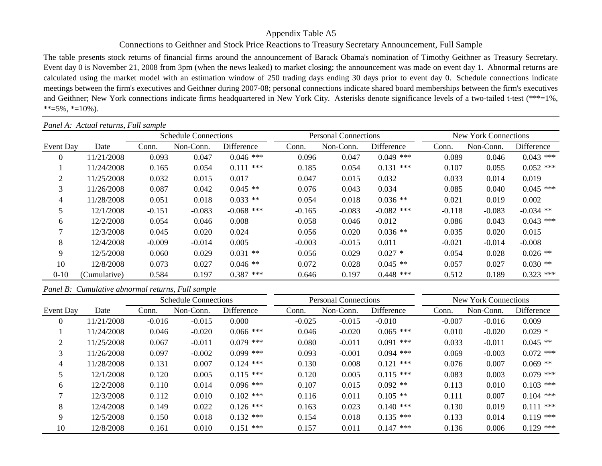# Appendix Table A5

# Connections to Geithner and Stock Price Reactions to Treasury Secretary Announcement, Full Sample

The table presents stock returns of financial firms around the announcement of Barack Obama's nomination of Timothy Geithner as Treasury Secretary. Event day 0 is November 21, 2008 from 3pm (when the news leaked) to market closing; the announcement was made on event day 1. Abnormal returns are calculated using the market model with an estimation window of 250 trading days ending 30 days prior to event day 0. Schedule connections indicate meetings between the firm's executives and Geithner during 2007-08; personal connections indicate shared board memberships between the firm's executives and Geithner; New York connections indicate firms headquartered in New York City. Asterisks denote significance levels of a two-tailed t-test (\*\*\*=1%,  $**=5\%, *=10\%$ ).

|                | Panel A: Actual returns, Full sample |          |                             |              |          |                             |              |                             |           |             |  |  |
|----------------|--------------------------------------|----------|-----------------------------|--------------|----------|-----------------------------|--------------|-----------------------------|-----------|-------------|--|--|
|                |                                      |          | <b>Schedule Connections</b> |              |          | <b>Personal Connections</b> |              | <b>New York Connections</b> |           |             |  |  |
| Event Day      | Date                                 | Conn.    | Non-Conn.                   | Difference   | Conn.    | Non-Conn.                   | Difference   | Conn.                       | Non-Conn. | Difference  |  |  |
| $\overline{0}$ | 11/21/2008                           | 0.093    | 0.047                       | $0.046$ ***  | 0.096    | 0.047                       | $0.049$ ***  | 0.089                       | 0.046     | $0.043$ *** |  |  |
|                | 11/24/2008                           | 0.165    | 0.054                       | $0.111$ ***  | 0.185    | 0.054                       | $0.131$ ***  | 0.107                       | 0.055     | $0.052$ *** |  |  |
| $\overline{2}$ | 11/25/2008                           | 0.032    | 0.015                       | 0.017        | 0.047    | 0.015                       | 0.032        | 0.033                       | 0.014     | 0.019       |  |  |
| 3              | 11/26/2008                           | 0.087    | 0.042                       | $0.045$ **   | 0.076    | 0.043                       | 0.034        | 0.085                       | 0.040     | $0.045$ *** |  |  |
| 4              | 11/28/2008                           | 0.051    | 0.018                       | $0.033$ **   | 0.054    | 0.018                       | $0.036$ **   | 0.021                       | 0.019     | 0.002       |  |  |
| 5              | 12/1/2008                            | $-0.151$ | $-0.083$                    | $-0.068$ *** | $-0.165$ | $-0.083$                    | $-0.082$ *** | $-0.118$                    | $-0.083$  | $-0.034$ ** |  |  |
| 6              | 12/2/2008                            | 0.054    | 0.046                       | 0.008        | 0.058    | 0.046                       | 0.012        | 0.086                       | 0.043     | $0.043$ *** |  |  |
| $\overline{7}$ | 12/3/2008                            | 0.045    | 0.020                       | 0.024        | 0.056    | 0.020                       | $0.036$ **   | 0.035                       | 0.020     | 0.015       |  |  |
| 8              | 12/4/2008                            | $-0.009$ | $-0.014$                    | 0.005        | $-0.003$ | $-0.015$                    | 0.011        | $-0.021$                    | $-0.014$  | $-0.008$    |  |  |
| 9              | 12/5/2008                            | 0.060    | 0.029                       | $0.031$ **   | 0.056    | 0.029                       | $0.027$ *    | 0.054                       | 0.028     | $0.026$ **  |  |  |
| 10             | 12/8/2008                            | 0.073    | 0.027                       | $0.046**$    | 0.072    | 0.028                       | $0.045$ **   | 0.057                       | 0.027     | $0.030**$   |  |  |
| $0 - 10$       | (Cumulative)                         | 0.584    | 0.197                       | $0.387$ ***  | 0.646    | 0.197                       | $0.448$ ***  | 0.512                       | 0.189     | $0.323$ *** |  |  |

# *Panel B: Cumulative abnormal returns, Full sample*

|           |            |          | <b>Schedule Connections</b> |             |          | <b>Personal Connections</b> |             | <b>New York Connections</b> |           |             |  |  |
|-----------|------------|----------|-----------------------------|-------------|----------|-----------------------------|-------------|-----------------------------|-----------|-------------|--|--|
| Event Day | Date       | Conn.    | Non-Conn.                   | Difference  | Conn.    | Non-Conn.                   | Difference  | Conn.                       | Non-Conn. | Difference  |  |  |
| 0         | 11/21/2008 | $-0.016$ | $-0.015$                    | 0.000       | $-0.025$ | $-0.015$                    | $-0.010$    | $-0.007$                    | $-0.016$  | 0.009       |  |  |
|           | 11/24/2008 | 0.046    | $-0.020$                    | $0.066$ *** | 0.046    | $-0.020$                    | $0.065$ *** | 0.010                       | $-0.020$  | $0.029*$    |  |  |
| 2         | 11/25/2008 | 0.067    | $-0.011$                    | $0.079$ *** | 0.080    | $-0.011$                    | $0.091$ *** | 0.033                       | $-0.011$  | $0.045$ **  |  |  |
| 3         | 11/26/2008 | 0.097    | $-0.002$                    | $0.099$ *** | 0.093    | $-0.001$                    | $0.094$ *** | 0.069                       | $-0.003$  | $0.072$ *** |  |  |
| 4         | 11/28/2008 | 0.131    | 0.007                       | $0.124$ *** | 0.130    | 0.008                       | $0.121$ *** | 0.076                       | 0.007     | $0.069$ **  |  |  |
| 5         | 12/1/2008  | 0.120    | 0.005                       | $0.115$ *** | 0.120    | 0.005                       | $0.115$ *** | 0.083                       | 0.003     | $0.079$ *** |  |  |
| 6         | 12/2/2008  | 0.110    | 0.014                       | $0.096$ *** | 0.107    | 0.015                       | $0.092$ **  | 0.113                       | 0.010     | $0.103$ *** |  |  |
| 7         | 12/3/2008  | 0.112    | 0.010                       | $0.102$ *** | 0.116    | 0.011                       | $0.105$ **  | 0.111                       | 0.007     | $0.104$ *** |  |  |
| 8         | 12/4/2008  | 0.149    | 0.022                       | $0.126$ *** | 0.163    | 0.023                       | $0.140$ *** | 0.130                       | 0.019     | $0.111$ *** |  |  |
| 9         | 12/5/2008  | 0.150    | 0.018                       | $0.132$ *** | 0.154    | 0.018                       | $0.135$ *** | 0.133                       | 0.014     | $0.119$ *** |  |  |
| 10        | 12/8/2008  | 0.161    | 0.010                       | $0.151$ *** | 0.157    | 0.011                       | $0.147$ *** | 0.136                       | 0.006     | $0.129$ *** |  |  |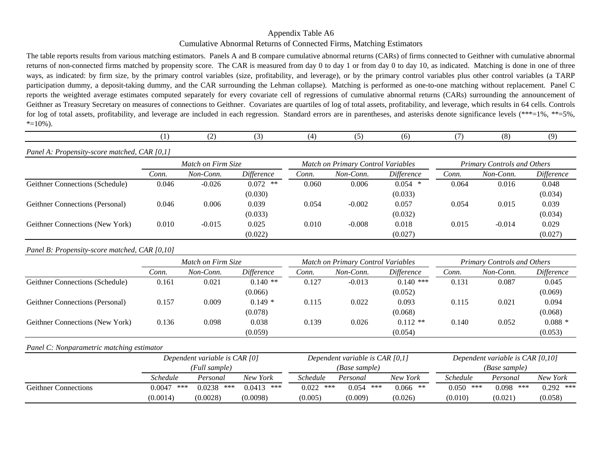# Appendix Table A6 Cumulative Abnormal Returns of Connected Firms, Matching Estimators

The table reports results from various matching estimators. Panels A and B compare cumulative abnormal returns (CARs) of firms connected to Geithner with cumulative abnormal returns of non-connected firms matched by propensity score. The CAR is measured from day 0 to day 1 or from day 0 to day 10, as indicated. Matching is done in one of three ways, as indicated: by firm size, by the primary control variables (size, profitability, and leverage), or by the primary control variables plus other control variables (a TARP participation dummy, a deposit-taking dummy, and the CAR surrounding the Lehman collapse). Matching is performed as one-to-one matching without replacement. Panel C reports the weighted average estimates computed separately for every covariate cell of regressions of cumulative abnormal returns (CARs) surrounding the announcement of Geithner as Treasury Secretary on measures of connections to Geithner. Covariates are quartiles of log of total assets, profitability, and leverage, which results in 64 cells. Controls for log of total assets, profitability, and leverage are included in each regression. Standard errors are in parentheses, and asterisks denote significance levels (\*\*\*=1%, \*\*=5%,  $*$ =10%).

|  |  | $\overline{\phantom{a}}$ | $\sim$ | $\Lambda$ |  | l 6 |  | $\circ$ | $\Omega$ |
|--|--|--------------------------|--------|-----------|--|-----|--|---------|----------|
|--|--|--------------------------|--------|-----------|--|-----|--|---------|----------|

## *Panel A: Propensity-score matched, CAR [0,1]*

|                                        |       | Match on Firm Size |            |       | Match on Primary Control Variables | <b>Primary Controls and Others</b> |       |           |            |
|----------------------------------------|-------|--------------------|------------|-------|------------------------------------|------------------------------------|-------|-----------|------------|
|                                        | Conn. | Non-Conn.          | Difference | Conn. | Non-Conn.                          | <i>Difference</i>                  | Conn. | Non-Conn. | Difference |
| Geithner Connections (Schedule)        | 0.046 | $-0.026$           | $0.072$ ** | 0.060 | 0.006                              | $0.054$ *                          | 0.064 | 0.016     | 0.048      |
|                                        |       |                    | (0.030)    |       |                                    | (0.033)                            |       |           | (0.034)    |
| <b>Geithner Connections (Personal)</b> | 0.046 | 0.006              | 0.039      | 0.054 | $-0.002$                           | 0.057                              | 0.054 | 0.015     | 0.039      |
|                                        |       |                    | (0.033)    |       |                                    | (0.032)                            |       |           | (0.034)    |
| Geithner Connections (New York)        | 0.010 | $-0.015$           | 0.025      | 0.010 | $-0.008$                           | 0.018                              | 0.015 | $-0.014$  | 0.029      |
|                                        |       |                    | (0.022)    |       |                                    | (0.027)                            |       |           | (0.027)    |

### *Panel B: Propensity-score matched, CAR [0,10]*

|                                        |       | Match on Firm Size |            |       | Match on Primary Control Variables |             | <b>Primary Controls and Others</b> |           |            |  |
|----------------------------------------|-------|--------------------|------------|-------|------------------------------------|-------------|------------------------------------|-----------|------------|--|
|                                        | Conn. | Non-Conn.          | Difference | Conn. | Non-Conn.                          | Difference  | Conn.                              | Non-Conn. | Difference |  |
| Geithner Connections (Schedule)        | 0.161 | 0.021              | $0.140**$  | 0.127 | $-0.013$                           | $0.140$ *** | 0.131                              | 0.087     | 0.045      |  |
|                                        |       |                    | (0.066)    |       |                                    | (0.052)     |                                    |           | (0.069)    |  |
| <b>Geithner Connections (Personal)</b> | 0.157 | 0.009              | $0.149*$   | 0.115 | 0.022                              | 0.093       | 0.115                              | 0.021     | 0.094      |  |
|                                        |       |                    | (0.078)    |       |                                    | (0.068)     |                                    |           | (0.068)    |  |
| Geithner Connections (New York)        | 0.136 | 0.098              | 0.038      | 0.139 | 0.026                              | $0.112$ **  | 0.140                              | 0.052     | $0.088*$   |  |
|                                        |       |                    | (0.059)    |       |                                    | (0.054)     |                                    |           | (0.053)    |  |

## *Panel C: Nonparametric matching estimator*

|                             |                                  | Dependent variable is CAR [0] |              |              | Dependent variable is CAR $[0,1]$ |            | Dependent variable is CAR $[0, 10]$ |              |             |  |  |  |
|-----------------------------|----------------------------------|-------------------------------|--------------|--------------|-----------------------------------|------------|-------------------------------------|--------------|-------------|--|--|--|
|                             |                                  | (Full sample)                 |              |              | (Base sample)                     |            | (Base sample)                       |              |             |  |  |  |
|                             | Schedule                         | Personal                      | New York     | Schedule     | Personal                          | New York   | <i>Schedule</i>                     | Personal     | New York    |  |  |  |
| <b>Geithner Connections</b> | ***<br>0.0047                    | 0.0238<br>***                 | $0.0413$ *** | ***<br>0.022 | 0.054<br>***                      | $0.066$ ** | 0.050<br>***                        | 0.098<br>*** | $0.292$ *** |  |  |  |
|                             | (0.0014)<br>(0.0028)<br>(0.0098) |                               |              | (0.005)      | (0.009)                           | (0.026)    | (0.010)                             | (0.021)      | (0.058)     |  |  |  |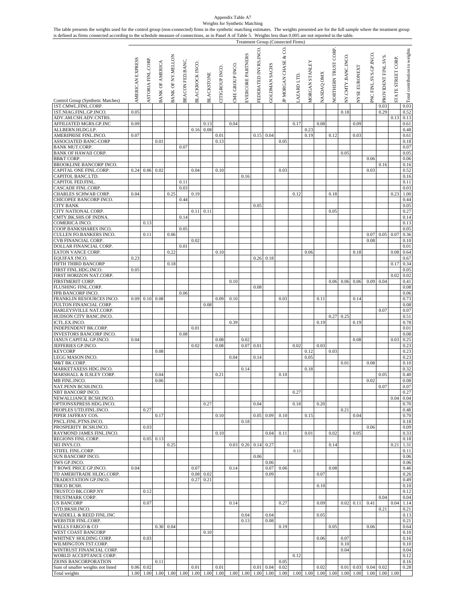# Appendix Table A7

| The table presents the weights used for the control group (non-connected) firms in the synthetic matching estimates. The weights presented are for the full sample where the treatment group<br>is defined as firms connected according to the schedule measure of connections, as in Panel A of Table 5. Weights less than 0.005 are not reported in the table. |                  |                           |                        |                          |                  |                 |                   |                 | Weights for Synthetic Matching |                   |                       |                   | <b>Treatment Group (Connected Firms)</b> |                                    |                       |                   |                             |                           |                      |                       |                             |                   |                                                                                                                                                                                                                                                                                                                     |
|------------------------------------------------------------------------------------------------------------------------------------------------------------------------------------------------------------------------------------------------------------------------------------------------------------------------------------------------------------------|------------------|---------------------------|------------------------|--------------------------|------------------|-----------------|-------------------|-----------------|--------------------------------|-------------------|-----------------------|-------------------|------------------------------------------|------------------------------------|-----------------------|-------------------|-----------------------------|---------------------------|----------------------|-----------------------|-----------------------------|-------------------|---------------------------------------------------------------------------------------------------------------------------------------------------------------------------------------------------------------------------------------------------------------------------------------------------------------------|
| Control Group (Synthetic Matches)<br>1ST.CMWL.FINL.CORP.                                                                                                                                                                                                                                                                                                         | AMERICAN EXPRESS | <b>ASTORIA FINL.CORP.</b> | <b>BANK OF AMERICA</b> | <b>BANK OF NY.MELLON</b> | BEACON FED.BANC. | BLACKROCK INCO. | <b>BLACKSTONE</b> | CITIGROUP INCO. | CME GROUP INCO.                | EVERCORE PARTNERS | FEDERATED INVRS.INCO. | GOLDMAN SACHS     | IP MORGAN CHASE & CO                     | AZARD LTD.                         | <b>MORGAN STANLEY</b> | <b>NASDAQ OMX</b> | <b>VORTHERN TRUST CORP.</b> | <b>VY.CMTY.BANC.INCO.</b> | <b>VYSE EURONEXT</b> | PNC FINL.SVS.GP.INCO. | PROVIDENT FINL.SVS.<br>0.03 | STATE STREET CORP | $\frac{1}{3}$ $\frac{1}{3}$ $\frac{1}{3}$ $\frac{1}{3}$ $\frac{1}{3}$ $\frac{1}{3}$ $\frac{1}{3}$ $\frac{1}{3}$ $\frac{1}{3}$ $\frac{1}{3}$ $\frac{1}{3}$ $\frac{1}{3}$ $\frac{1}{3}$ $\frac{1}{3}$ $\frac{1}{3}$ $\frac{1}{3}$ $\frac{1}{3}$ $\frac{1}{3}$ $\frac{1}{3}$ $\frac{1}{3}$ $\frac{1}{3}$ $\frac{1}{3}$ |
| 1ST.NIAG.FINL.GP.INCO.                                                                                                                                                                                                                                                                                                                                           | 0.05             |                           |                        |                          |                  |                 |                   |                 |                                |                   |                       |                   |                                          |                                    |                       |                   |                             | 0.18                      |                      |                       | 0.29                        |                   | 0.52                                                                                                                                                                                                                                                                                                                |
| ADV.AM.CSH.ADV.CNTRS                                                                                                                                                                                                                                                                                                                                             |                  |                           |                        |                          |                  |                 |                   |                 |                                |                   |                       |                   |                                          |                                    |                       |                   |                             |                           |                      |                       |                             | 0.13              | 0.13                                                                                                                                                                                                                                                                                                                |
| AFFILIATED MGRS.GP.INC<br>ALLBERN.HLDG.LP.                                                                                                                                                                                                                                                                                                                       | 0.09             |                           |                        |                          |                  | 0.16            | 0.13<br>0.08      |                 | 0.04                           |                   |                       |                   |                                          | 0.17                               | 0.23                  | 0.08              |                             |                           | 0.09                 |                       |                             |                   | 0.61<br>0.48                                                                                                                                                                                                                                                                                                        |
| AMERIPRISE FINL.INCO.                                                                                                                                                                                                                                                                                                                                            | 0.07             |                           |                        |                          |                  |                 |                   | 0.01            |                                |                   | 0.15                  | 0.04              |                                          |                                    | 0.19                  |                   | 0.12                        |                           | 0.03                 |                       |                             |                   | 0.61                                                                                                                                                                                                                                                                                                                |
| ASSOCIATED BANC-CORP                                                                                                                                                                                                                                                                                                                                             |                  |                           | 0.01                   |                          |                  |                 |                   | 0.13            |                                |                   |                       |                   | 0.05                                     |                                    |                       |                   |                             |                           |                      |                       |                             |                   | 0.18                                                                                                                                                                                                                                                                                                                |
| <b>BANK MUT.CORP.</b><br><b>BANK OF HAWAII CORP.</b>                                                                                                                                                                                                                                                                                                             |                  |                           |                        |                          | 0.07             |                 |                   |                 |                                |                   |                       |                   |                                          |                                    |                       |                   |                             | 0.05                      |                      |                       |                             |                   | 0.07<br>0.05                                                                                                                                                                                                                                                                                                        |
| <b>BB&amp;T CORP.</b>                                                                                                                                                                                                                                                                                                                                            |                  |                           |                        |                          |                  |                 |                   |                 |                                |                   |                       |                   |                                          |                                    |                       |                   |                             |                           |                      | 0.06                  |                             |                   | 0.06                                                                                                                                                                                                                                                                                                                |
| BROOKLINE BANCORP INCO.                                                                                                                                                                                                                                                                                                                                          |                  |                           |                        |                          |                  |                 |                   |                 |                                |                   |                       |                   |                                          |                                    |                       |                   |                             |                           |                      |                       | 0.16                        |                   | 0.16                                                                                                                                                                                                                                                                                                                |
| CAPITAL ONE FINL.CORP.<br><b>CAPITOL BANC.LTD</b>                                                                                                                                                                                                                                                                                                                | 0.24             | 0.06                      | 0.02                   |                          |                  | 0.04            |                   | 0.10            |                                | 0.16              |                       |                   | 0.03                                     |                                    |                       |                   |                             |                           |                      | 0.03                  |                             |                   | 0.52<br>0.16                                                                                                                                                                                                                                                                                                        |
| CAPITOL FED.FINL.                                                                                                                                                                                                                                                                                                                                                |                  |                           |                        |                          | 0.11             |                 |                   |                 |                                |                   |                       |                   |                                          |                                    |                       |                   |                             |                           |                      |                       |                             |                   | 0.11                                                                                                                                                                                                                                                                                                                |
| <b>CASCADE FINL.CORP</b>                                                                                                                                                                                                                                                                                                                                         |                  |                           |                        |                          | 0.03             |                 |                   |                 |                                |                   |                       |                   |                                          |                                    |                       |                   |                             |                           |                      |                       |                             |                   | 0.03                                                                                                                                                                                                                                                                                                                |
| <b>CHARLES SCHWAB CORP.</b><br>CHICOPEE BANCORP INCO.                                                                                                                                                                                                                                                                                                            | 0.04             |                           |                        | 0.25                     | 0.44             | 0.19            |                   |                 |                                |                   |                       |                   |                                          | 0.12                               |                       |                   | 0.18                        |                           |                      |                       |                             | 0.23              | 1.00<br>0.44                                                                                                                                                                                                                                                                                                        |
| <b>CITY BANK</b>                                                                                                                                                                                                                                                                                                                                                 |                  |                           |                        |                          |                  |                 |                   |                 |                                |                   | 0.05                  |                   |                                          |                                    |                       |                   |                             |                           |                      |                       |                             |                   | 0.05                                                                                                                                                                                                                                                                                                                |
| CITY NATIONAL CORP.                                                                                                                                                                                                                                                                                                                                              |                  |                           |                        |                          |                  |                 | $0.11$ 0.11       |                 |                                |                   |                       |                   |                                          |                                    |                       |                   | 0.05                        |                           |                      |                       |                             |                   | 0.27                                                                                                                                                                                                                                                                                                                |
| CMTY.BK.SHS.OF INDNA.                                                                                                                                                                                                                                                                                                                                            |                  |                           |                        |                          | 0.14             |                 |                   |                 |                                |                   |                       |                   |                                          |                                    |                       |                   |                             |                           |                      |                       |                             |                   | 0.14                                                                                                                                                                                                                                                                                                                |
| COMERICA INCO.<br>COOP.BANKSHARES INCO.                                                                                                                                                                                                                                                                                                                          |                  | 0.13                      |                        |                          | 0.05             |                 |                   |                 |                                |                   |                       |                   |                                          |                                    |                       |                   |                             |                           |                      |                       |                             |                   | 0.13<br>0.05                                                                                                                                                                                                                                                                                                        |
| CULLEN FO.BANKERS INCO.                                                                                                                                                                                                                                                                                                                                          |                  | 0.11                      |                        | 0.06                     |                  |                 |                   |                 |                                |                   |                       |                   |                                          |                                    |                       |                   |                             |                           |                      | 0.07                  | 0.05                        | 0.07              | 0.36                                                                                                                                                                                                                                                                                                                |
| CVB FINANCIAL CORP.                                                                                                                                                                                                                                                                                                                                              |                  |                           |                        |                          |                  | 0.02            |                   |                 |                                |                   |                       |                   |                                          |                                    |                       |                   |                             |                           |                      | 0.08                  |                             |                   | 0.10                                                                                                                                                                                                                                                                                                                |
| DOLLAR FINANCIAL CORP.<br>EATON VANCE CORP.                                                                                                                                                                                                                                                                                                                      |                  |                           |                        | 0.22                     | 0.01             |                 |                   | 0.10            |                                |                   |                       |                   |                                          |                                    | 0.06                  |                   |                             |                           | 0.18                 |                       |                             | 0.08              | 0.01<br>0.64                                                                                                                                                                                                                                                                                                        |
| EQUIFAX INCO.                                                                                                                                                                                                                                                                                                                                                    | 0.23             |                           |                        |                          |                  |                 |                   |                 |                                |                   | 0.26                  | 0.18              |                                          |                                    |                       |                   |                             |                           |                      |                       |                             |                   | 0.67                                                                                                                                                                                                                                                                                                                |
| FIFTH THIRD BANCORP                                                                                                                                                                                                                                                                                                                                              |                  |                           |                        | 0.18                     |                  |                 |                   |                 |                                |                   |                       |                   |                                          |                                    |                       |                   |                             |                           |                      |                       |                             | 0.17              | 0.34                                                                                                                                                                                                                                                                                                                |
| FIRST FINL.HDG.INCO.<br>FIRST HORIZON NAT.CORP.                                                                                                                                                                                                                                                                                                                  | 0.05             |                           |                        |                          |                  |                 |                   |                 |                                |                   |                       |                   |                                          |                                    |                       |                   |                             |                           |                      |                       |                             | 0.02              | 0.05<br>0.02                                                                                                                                                                                                                                                                                                        |
| FIRSTMERIT CORP.                                                                                                                                                                                                                                                                                                                                                 |                  |                           |                        |                          |                  |                 |                   |                 | 0.10                           |                   |                       |                   |                                          |                                    |                       |                   | 0.06                        | 0.06                      | 0.06                 | 0.09                  | 0.04                        |                   | 0.41                                                                                                                                                                                                                                                                                                                |
| FLUSHING FINL.CORP.                                                                                                                                                                                                                                                                                                                                              |                  |                           |                        |                          |                  |                 |                   |                 |                                |                   | 0.08                  |                   |                                          |                                    |                       |                   |                             |                           |                      |                       |                             |                   | 0.08                                                                                                                                                                                                                                                                                                                |
| FPB BANCORP INCO                                                                                                                                                                                                                                                                                                                                                 |                  |                           |                        |                          | 0.06             |                 |                   |                 |                                |                   |                       |                   |                                          |                                    |                       |                   |                             |                           |                      |                       |                             |                   | 0.06                                                                                                                                                                                                                                                                                                                |
| FRANKLIN RESOURCES INCO.<br>FULTON FINANCIAL CORP.                                                                                                                                                                                                                                                                                                               | 0.09             | 0.10                      | 0.08                   |                          |                  |                 | 0.08              | 0.09            | 0.10                           |                   |                       |                   | 0.03                                     |                                    |                       | 0.11              |                             |                           | 0.14                 |                       |                             |                   | 0.73<br>0.08                                                                                                                                                                                                                                                                                                        |
| HARLEYSVILLE NAT.CORP.                                                                                                                                                                                                                                                                                                                                           |                  |                           |                        |                          |                  |                 |                   |                 |                                |                   |                       |                   |                                          |                                    |                       |                   |                             |                           |                      |                       | 0.07                        |                   | 0.07                                                                                                                                                                                                                                                                                                                |
| HUDSON CITY BANC.INCO.                                                                                                                                                                                                                                                                                                                                           |                  |                           |                        |                          |                  |                 |                   |                 |                                |                   |                       |                   |                                          |                                    |                       |                   | 0.27                        | 0.25                      |                      |                       |                             |                   | 0.51                                                                                                                                                                                                                                                                                                                |
| ICTL.EX.INCO.<br><b>INDEPENDENT BK.CORP.</b>                                                                                                                                                                                                                                                                                                                     |                  |                           |                        |                          |                  | 0.01            |                   |                 | 0.39                           |                   |                       |                   |                                          |                                    |                       | 0.19              |                             |                           | 0.19                 |                       |                             |                   | 0.78<br>0.01                                                                                                                                                                                                                                                                                                        |
| <b>INVESTORS BANCORP INCO.</b>                                                                                                                                                                                                                                                                                                                                   |                  |                           |                        |                          | 0.08             |                 |                   |                 |                                |                   |                       |                   |                                          |                                    |                       |                   |                             |                           |                      |                       |                             |                   | 0.08                                                                                                                                                                                                                                                                                                                |
| JANUS CAPITAL GP.INCO.                                                                                                                                                                                                                                                                                                                                           | 0.04             |                           |                        |                          |                  |                 |                   | 0.08            |                                | 0.02              |                       |                   |                                          |                                    |                       |                   |                             |                           | 0.08                 |                       |                             | 0.03              | 0.25                                                                                                                                                                                                                                                                                                                |
| JEFFERIES GP.INCO.<br><b>KEYCORP</b>                                                                                                                                                                                                                                                                                                                             |                  |                           | 0.08                   |                          |                  | 0.02            |                   | 0.08            |                                | 0.07              | 0.01                  |                   |                                          | 0.02                               | 0.12                  | 0.03              | 0.03                        |                           |                      |                       |                             |                   | 0.23<br>0.23                                                                                                                                                                                                                                                                                                        |
| LEGG MASON INCO.                                                                                                                                                                                                                                                                                                                                                 |                  |                           |                        |                          |                  |                 |                   |                 | 0.04                           |                   | 0.14                  |                   |                                          |                                    | 0.05                  |                   |                             |                           |                      |                       |                             |                   | 0.23                                                                                                                                                                                                                                                                                                                |
| M&T BK.CORP.                                                                                                                                                                                                                                                                                                                                                     |                  |                           |                        |                          |                  |                 |                   |                 |                                |                   |                       |                   |                                          |                                    |                       |                   |                             | 0.01                      |                      | 0.08                  |                             |                   | 0.10                                                                                                                                                                                                                                                                                                                |
| MARKETAXESS HDG.INCO.<br>MARSHALL & ILSLEY CORP.                                                                                                                                                                                                                                                                                                                 |                  |                           | 0.04                   |                          |                  |                 |                   | 0.21            |                                | 0.14              |                       |                   | 0.10                                     |                                    | 0.18                  |                   |                             |                           |                      |                       | 0.05                        |                   | 0.32<br>0.40                                                                                                                                                                                                                                                                                                        |
| MB FINL.INCO.                                                                                                                                                                                                                                                                                                                                                    |                  |                           | 0.06                   |                          |                  |                 |                   |                 |                                |                   |                       |                   |                                          |                                    |                       |                   |                             |                           |                      | 0.02                  |                             |                   | 0.08                                                                                                                                                                                                                                                                                                                |
| NAT.PENN BCSH.INCO.                                                                                                                                                                                                                                                                                                                                              |                  |                           |                        |                          |                  |                 |                   |                 |                                |                   |                       |                   |                                          |                                    |                       |                   |                             |                           |                      |                       | 0.07                        |                   | 0.07                                                                                                                                                                                                                                                                                                                |
| NBT BANCORP INCO.<br>NEWALLIANCE BCSH.INCO.                                                                                                                                                                                                                                                                                                                      |                  |                           |                        |                          |                  |                 |                   |                 |                                |                   |                       |                   |                                          | 0.27                               |                       |                   |                             |                           |                      |                       |                             | 0.04              | 0.27<br>0.04                                                                                                                                                                                                                                                                                                        |
| OPTIONSXPRESS HDG.INCO.                                                                                                                                                                                                                                                                                                                                          |                  |                           |                        |                          |                  |                 | 0.27              |                 |                                |                   | 0.04                  |                   |                                          | 0.18                               |                       | 0.20              |                             |                           |                      |                       |                             |                   | 0.70                                                                                                                                                                                                                                                                                                                |
| PEOPLES UTD.FINL.INCO.                                                                                                                                                                                                                                                                                                                                           |                  | 0.27                      |                        |                          |                  |                 |                   |                 |                                |                   |                       |                   |                                          |                                    |                       |                   |                             | 0.21                      |                      |                       |                             |                   | 0.48                                                                                                                                                                                                                                                                                                                |
| PIPER JAFFRAY COS.                                                                                                                                                                                                                                                                                                                                               |                  |                           | 0.17                   |                          |                  |                 |                   | 0.10            |                                |                   |                       | $0.05 \ 0.09$     | 0.10                                     |                                    | 0.15                  |                   |                             |                           | 0.04                 |                       |                             |                   | 0.70                                                                                                                                                                                                                                                                                                                |
| PNCL.FINL.PTNS.INCO.<br>PROSPERITY BCSH.INCO.                                                                                                                                                                                                                                                                                                                    |                  | 0.03                      |                        |                          |                  |                 |                   |                 |                                | 0.18              |                       |                   |                                          |                                    |                       |                   |                             |                           |                      | 0.06                  |                             |                   | 0.18<br>0.09                                                                                                                                                                                                                                                                                                        |
| RAYMOND JAMES FINL.INCO.                                                                                                                                                                                                                                                                                                                                         |                  |                           |                        |                          |                  |                 |                   | 0.10            |                                |                   |                       | 0.04              | 0.11                                     |                                    | 0.01                  |                   | 0.02                        |                           | 0.05                 |                       |                             |                   | 0.33                                                                                                                                                                                                                                                                                                                |
| REGIONS FINL.CORP.                                                                                                                                                                                                                                                                                                                                               |                  | 0.05                      | 0.13                   |                          |                  |                 |                   |                 |                                |                   |                       |                   |                                          |                                    |                       |                   |                             |                           |                      |                       |                             |                   | 0.18                                                                                                                                                                                                                                                                                                                |
| SEI INVS.CO.<br>STIFEL FINL.CORP.                                                                                                                                                                                                                                                                                                                                |                  |                           |                        | 0.25                     |                  |                 |                   |                 | 0.03                           | 0.26              |                       | $0.14 \quad 0.27$ |                                          | 0.11                               |                       |                   | 0.14                        |                           |                      |                       |                             | 0.21              | 1.31<br>0.11                                                                                                                                                                                                                                                                                                        |
| <b>SUN BANCORP INCO.</b>                                                                                                                                                                                                                                                                                                                                         |                  |                           |                        |                          |                  |                 |                   |                 |                                |                   | 0.06                  |                   |                                          |                                    |                       |                   |                             |                           |                      |                       |                             |                   | 0.06                                                                                                                                                                                                                                                                                                                |
| SWS GP.INCO.                                                                                                                                                                                                                                                                                                                                                     |                  |                           |                        |                          |                  |                 |                   |                 |                                |                   |                       | 0.06              |                                          |                                    |                       |                   |                             |                           |                      |                       |                             |                   | 0.06                                                                                                                                                                                                                                                                                                                |
| T ROWE PRICE GP.INCO.<br>TD AMERITRADE HLDG.CORP.                                                                                                                                                                                                                                                                                                                | 0.04             |                           |                        |                          |                  | 0.07<br>0.08    | 0.02              |                 | 0.14                           |                   |                       | 0.07<br>0.09      | 0.06                                     |                                    |                       | 0.07              | 0.08                        |                           |                      |                       |                             |                   | 0.46<br>0.26                                                                                                                                                                                                                                                                                                        |
| TRADESTATION GP.INCO.                                                                                                                                                                                                                                                                                                                                            |                  |                           |                        |                          |                  | 0.27            | 0.21              |                 |                                |                   |                       |                   |                                          |                                    |                       |                   |                             |                           |                      |                       |                             |                   | 0.49                                                                                                                                                                                                                                                                                                                |
| TRICO BCSH.                                                                                                                                                                                                                                                                                                                                                      |                  |                           |                        |                          |                  |                 |                   |                 |                                |                   |                       |                   |                                          |                                    |                       | 0.10              |                             |                           |                      |                       |                             |                   | 0.10                                                                                                                                                                                                                                                                                                                |
| TRUSTCO BK.CORP.NY<br>TRUSTMARK CORP.                                                                                                                                                                                                                                                                                                                            |                  | 0.12                      |                        |                          |                  |                 |                   |                 |                                |                   |                       |                   |                                          |                                    |                       |                   |                             |                           |                      |                       | 0.04                        |                   | 0.12<br>0.04                                                                                                                                                                                                                                                                                                        |
| <b>US BANCORP</b>                                                                                                                                                                                                                                                                                                                                                |                  | 0.07                      |                        |                          |                  |                 |                   |                 | 0.14                           |                   |                       |                   | 0.27                                     |                                    |                       | 0.09              |                             | 0.02                      | 0.11                 | 0.41                  |                             | 0.04              | 1.14                                                                                                                                                                                                                                                                                                                |
| UTD.BKSH.INCO.                                                                                                                                                                                                                                                                                                                                                   |                  |                           |                        |                          |                  |                 |                   |                 |                                |                   |                       |                   |                                          |                                    |                       |                   |                             |                           |                      |                       | 0.21                        |                   | 0.21                                                                                                                                                                                                                                                                                                                |
| WADDELL & REED FINL.INC                                                                                                                                                                                                                                                                                                                                          |                  |                           |                        |                          |                  |                 |                   |                 |                                | 0.04              |                       | 0.04              |                                          |                                    |                       | 0.05              |                             |                           |                      |                       |                             |                   | 0.13                                                                                                                                                                                                                                                                                                                |
| <b>WEBSTER FINL.CORP.</b><br>WELLS FARGO & CO                                                                                                                                                                                                                                                                                                                    |                  |                           |                        | 0.30 0.04                |                  |                 |                   |                 |                                | 0.13              |                       | 0.08              | 0.19                                     |                                    |                       |                   | 0.05                        |                           |                      | 0.06                  |                             |                   | 0.21<br>0.64                                                                                                                                                                                                                                                                                                        |
| <b>WEST COAST BANCORP</b>                                                                                                                                                                                                                                                                                                                                        |                  |                           |                        |                          |                  |                 | 0.10              |                 |                                |                   |                       |                   |                                          |                                    |                       |                   |                             |                           |                      |                       |                             |                   | 0.10                                                                                                                                                                                                                                                                                                                |
| WHITNEY HOLDING CORP.                                                                                                                                                                                                                                                                                                                                            |                  | 0.03                      |                        |                          |                  |                 |                   |                 |                                |                   |                       |                   |                                          |                                    |                       | 0.06              |                             | 0.07                      |                      |                       |                             |                   | 0.16                                                                                                                                                                                                                                                                                                                |
| WILMINGTON TST.CORP.<br>WINTRUST FINANCIAL CORP.                                                                                                                                                                                                                                                                                                                 |                  |                           |                        |                          |                  |                 |                   |                 |                                |                   |                       |                   |                                          |                                    |                       |                   |                             | 0.10<br>0.04              |                      |                       |                             |                   | 0.10<br>0.04                                                                                                                                                                                                                                                                                                        |
| WORLD ACCEPTANCE CORP.                                                                                                                                                                                                                                                                                                                                           |                  |                           |                        |                          |                  |                 |                   |                 |                                |                   |                       |                   |                                          | 0.12                               |                       |                   |                             |                           |                      |                       |                             |                   | 0.12                                                                                                                                                                                                                                                                                                                |
| ZIONS BANCORPORATION                                                                                                                                                                                                                                                                                                                                             |                  |                           | 0.11                   |                          |                  |                 |                   |                 |                                |                   |                       |                   | 0.05                                     |                                    |                       |                   |                             |                           |                      |                       |                             |                   | 0.16                                                                                                                                                                                                                                                                                                                |
| Sum of smaller weights not listed<br>Total weights                                                                                                                                                                                                                                                                                                               | 0.06             | 0.02                      |                        |                          |                  | 0.01            |                   | 0.01            |                                |                   | 0.01                  | 0.04              | 0.02                                     | 1.00 1.00 1.00 1.00 1.00 1.00 1.00 |                       | 0.02              |                             | 0.01                      | 0.03                 | 0.04<br>1.00          | 0.02                        | 1.00 1.00         | 0.28                                                                                                                                                                                                                                                                                                                |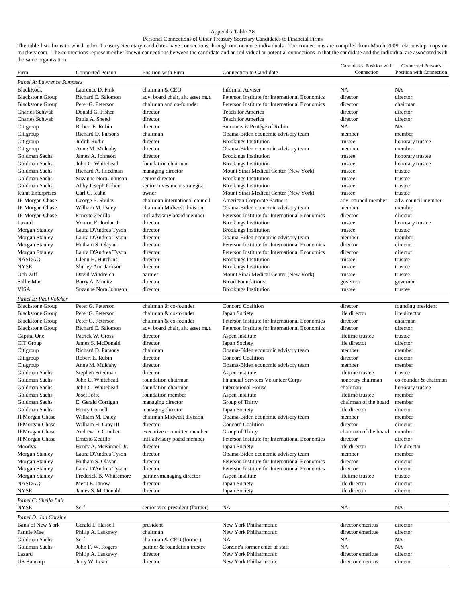#### Appendix Table A8

## Personal Connections of Other Treasury Secretary Candidates to Financial Firms

The table lists firms to which other Treasury Secretary candidates have connections through one or more individuals. The connections are compiled from March 2009 relationship maps on muckety.com. The connections represent either known connections between the candidate and an individual or potential connections in that the candidate and the individual are associated with the same organization.

| Firm                                            | <b>Connected Person</b>               | Position with Firm                | Connection to Candidate                               | Candidates' Position with<br>Connection | Connected Person's<br>Position with Connection |
|-------------------------------------------------|---------------------------------------|-----------------------------------|-------------------------------------------------------|-----------------------------------------|------------------------------------------------|
| Panel A: Lawrence Summers                       |                                       |                                   |                                                       |                                         |                                                |
| <b>BlackRock</b>                                | Laurence D. Fink                      | chairman & CEO                    | <b>Informal Adviser</b>                               | <b>NA</b>                               | <b>NA</b>                                      |
| <b>Blackstone Group</b>                         | Richard E. Salomon                    | adv. board chair, alt. asset mgt. | Peterson Institute for International Economics        | director                                | director                                       |
| <b>Blackstone Group</b>                         | Peter G. Peterson                     | chairman and co-founder           | Peterson Institute for International Economics        | director                                | chairman                                       |
| Charles Schwab                                  | Donald G. Fisher                      | director                          | Teach for America                                     | director                                | director                                       |
| Charles Schwab                                  | Paula A. Sneed                        | director                          | Teach for America                                     | director                                | director                                       |
| Citigroup                                       | Robert E. Rubin                       | director                          | Summers is Protégé of Rubin                           | NA                                      | NA                                             |
| Citigroup                                       | Richard D. Parsons                    | chairman                          | Obama-Biden economic advisory team                    | member                                  | member                                         |
| Citigroup                                       | Judith Rodin                          | director                          | <b>Brookings Institution</b>                          | trustee                                 | honorary trustee                               |
| Citigroup                                       | Anne M. Mulcahy                       | director                          | Obama-Biden economic advisory team                    | member                                  | member                                         |
| Goldman Sachs                                   | James A. Johnson                      | director                          | <b>Brookings Institution</b>                          | trustee                                 | honorary trustee                               |
| Goldman Sachs                                   | John C. Whitehead                     | foundation chairman               | <b>Brookings Institution</b>                          | trustee                                 | honorary trustee                               |
| Goldman Sachs                                   | Richard A. Friedman                   | managing director                 | Mount Sinai Medical Center (New York)                 | trustee                                 | trustee                                        |
| Goldman Sachs                                   | Suzanne Nora Johnson                  | senior director                   | <b>Brookings Institution</b>                          | trustee                                 | trustee                                        |
| Goldman Sachs                                   | Abby Joseph Cohen                     | senior investment strategist      | <b>Brookings Institution</b>                          | trustee                                 | trustee                                        |
| <b>Icahn Enterprises</b>                        | Carl C. Icahn                         | owner                             | Mount Sinai Medical Center (New York)                 | trustee                                 | trustee                                        |
| JP Morgan Chase                                 | George P. Shultz                      | chairman international council    | American Corporate Partners                           | adv. council member                     | adv. council member                            |
| JP Morgan Chase                                 | William M. Daley                      | chairman Midwest division         | Obama-Biden economic advisory team                    | member                                  | member                                         |
| JP Morgan Chase                                 | Ernesto Zedillo                       | int'l advisory board member       | Peterson Institute for International Economics        | director                                | director                                       |
| Lazard                                          | Vernon E. Jordan Jr.                  | director                          | <b>Brookings Institution</b>                          | trustee                                 | honorary trustee                               |
| Morgan Stanley                                  | Laura D'Andrea Tyson                  | director                          | <b>Brookings Institution</b>                          | trustee                                 | trustee                                        |
| Morgan Stanley                                  | Laura D'Andrea Tyson                  | director                          | Obama-Biden economic advisory team                    | member                                  | member                                         |
| Morgan Stanley                                  | Hutham S. Olayan                      | director                          | Peterson Institute for International Economics        | director                                | director                                       |
| Morgan Stanley                                  | Laura D'Andrea Tyson                  | director                          | Peterson Institute for International Economics        | director                                | director                                       |
| <b>NASDAQ</b>                                   | Glenn H. Hutchins                     | director                          | <b>Brookings Institution</b>                          | trustee                                 | trustee                                        |
| <b>NYSE</b>                                     | Shirley Ann Jackson                   | director                          | <b>Brookings Institution</b>                          | trustee                                 | trustee                                        |
| Och-Ziff                                        | David Windreich                       | partner                           | Mount Sinai Medical Center (New York)                 | trustee                                 | trustee                                        |
| Sallie Mae                                      | Barry A. Munitz                       | director                          | <b>Broad Foundations</b>                              | governor                                | governor                                       |
| <b>VISA</b>                                     | Suzanne Nora Johnson                  | director                          | <b>Brookings Institution</b>                          | trustee                                 | trustee                                        |
| Panel B: Paul Volcker                           |                                       |                                   |                                                       |                                         |                                                |
| <b>Blackstone Group</b>                         | Peter G. Peterson                     | chairman & co-founder             | Concord Coalition                                     | director                                | founding president                             |
| <b>Blackstone Group</b>                         | Peter G. Peterson                     | chairman & co-founder             | Japan Society                                         | life director                           | life director                                  |
| <b>Blackstone Group</b>                         | Peter G. Peterson                     | chairman & co-founder             | Peterson Institute for International Economics        | director                                | chairman                                       |
| <b>Blackstone Group</b>                         | Richard E. Salomon                    | adv. board chair, alt. asset mgt. | Peterson Institute for International Economics        | director                                | director                                       |
| Capital One                                     | Patrick W. Gross                      | director                          | Aspen Institute                                       | lifetime trustee                        | trustee                                        |
| CIT Group                                       | James S. McDonald                     | director                          | Japan Society                                         | life director                           | director                                       |
| Citigroup                                       | Richard D. Parsons                    | chairman                          | Obama-Biden economic advisory team                    | member                                  | member                                         |
| Citigroup                                       | Robert E. Rubin                       | director                          | <b>Concord Coalition</b>                              | director<br>member                      | director<br>member                             |
| Citigroup<br>Goldman Sachs                      | Anne M. Mulcahy                       | director<br>director              | Obama-Biden economic advisory team<br>Aspen Institute | lifetime trustee                        | trustee                                        |
| Goldman Sachs                                   | Stephen Friedman<br>John C. Whitehead | foundation chairman               | Financial Services Volunteer Corps                    | honorary chairman                       | co-founder & chairman                          |
| Goldman Sachs                                   | John C. Whitehead                     | foundation chairman               | <b>International House</b>                            | chairman                                | honorary trustee                               |
| Goldman Sachs                                   | Josef Joffe                           | foundation member                 | Aspen Institute                                       | lifetime trustee                        | member                                         |
| Goldman Sachs                                   | E. Gerald Corrigan                    | managing director                 | Group of Thirty                                       | chairman of the board                   | member                                         |
| Goldman Sachs                                   | Henry Cornell                         | managing director                 | Japan Society                                         | life director                           | director                                       |
| JPMorgan Chase                                  | William M. Daley                      | chairman Midwest division         | Obama-Biden economic advisory team                    | member                                  | member                                         |
| JPMorgan Chase                                  | William H. Gray III                   | director                          | <b>Concord Coalition</b>                              | director                                | director                                       |
| <b>JPMorgan Chase</b>                           | Andrew D. Crockett                    | executive committee member        | Group of Thirty                                       | chairman of the board                   | member                                         |
| JPMorgan Chase                                  | Ernesto Zedillo                       | int'l advisory board member       | Peterson Institute for International Economics        | director                                | director                                       |
| Moody's                                         | Henry A. McKinnell Jr.                | director                          | Japan Society                                         | life director                           | life director                                  |
| Morgan Stanley                                  | Laura D'Andrea Tyson                  | director                          | Obama-Biden economic advisory team                    | member                                  | member                                         |
| Morgan Stanley                                  | Hutham S. Olayan                      | director                          | Peterson Institute for International Economics        | director                                | director                                       |
| Morgan Stanley                                  | Laura D'Andrea Tyson                  | director                          | Peterson Institute for International Economics        | director                                | director                                       |
| Morgan Stanley                                  | Frederick B. Whittemore               | partner/managing director         | Aspen Institute                                       | lifetime trustee                        | trustee                                        |
| NASDAQ                                          | Merit E. Janow                        | director                          | Japan Society                                         | life director                           | director                                       |
| <b>NYSE</b>                                     | James S. McDonald                     | director                          | Japan Society                                         | life director                           | director                                       |
| Panel C: Sheila Bair                            |                                       |                                   |                                                       |                                         |                                                |
| <b>NYSE</b>                                     | Self                                  | senior vice president (former)    | NA                                                    | NA                                      | NA                                             |
|                                                 |                                       |                                   |                                                       |                                         |                                                |
| Panel D: Jon Corzine<br><b>Bank of New York</b> | Gerald L. Hassell                     | president                         | New York Philharmonic                                 | director emeritus                       | director                                       |
| Fannie Mae                                      | Philip A. Laskawy                     | chairman                          | New York Philharmonic                                 | director emeritus                       | director                                       |
| Goldman Sachs                                   | Self                                  | chairman & CEO (former)           | NA                                                    | NA                                      | NA                                             |
| Goldman Sachs                                   | John F. W. Rogers                     | partner & foundation trustee      | Corzine's former chief of staff                       | NA                                      | NA                                             |
| Lazard                                          | Philip A. Laskawy                     | director                          | New York Philharmonic                                 | director emeritus                       | director                                       |
| <b>US</b> Bancorp                               | Jerry W. Levin                        | director                          | New York Philharmonic                                 | director emeritus                       | director                                       |
|                                                 |                                       |                                   |                                                       |                                         |                                                |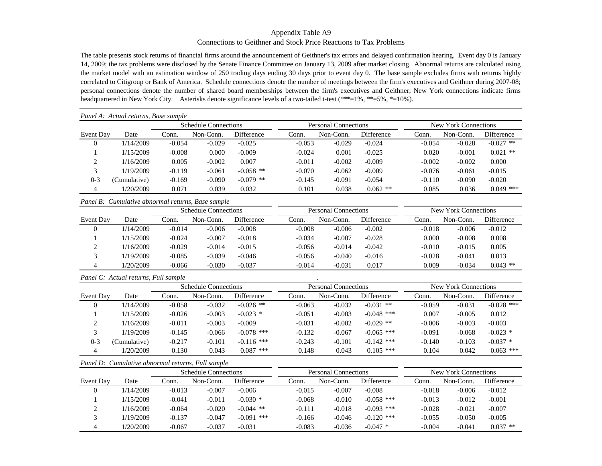## Appendix Table A9 Connections to Geithner and Stock Price Reactions to Tax Problems

The table presents stock returns of financial firms around the announcement of Geithner's tax errors and delayed confirmation hearing. Event day 0 is January 14, 2009; the tax problems were disclosed by the Senate Finance Committee on January 13, 2009 after market closing. Abnormal returns are calculated using the market model with an estimation window of 250 trading days ending 30 days prior to event day 0. The base sample excludes firms with returns highly correlated to Citigroup or Bank of America. Schedule connections denote the number of meetings between the firm's executives and Geithner during 2007-08; personal connections denote the number of shared board memberships between the firm's executives and Geithner; New York connections indicate firms headquartered in New York City. Asterisks denote significance levels of a two-tailed t-test (\*\*\*=1%, \*\*=5%, \*=10%).

|                | Panel A: Actual returns, Base sample |          |                             |                   |                             |                      |                   |          |           |             |
|----------------|--------------------------------------|----------|-----------------------------|-------------------|-----------------------------|----------------------|-------------------|----------|-----------|-------------|
|                |                                      |          | <b>Schedule Connections</b> |                   | <b>Personal Connections</b> | New York Connections |                   |          |           |             |
| Event Day      | Date                                 | Conn.    | Non-Conn.                   | <b>Difference</b> | Conn.                       | Non-Conn.            | <b>Difference</b> | Conn.    | Non-Conn. | Difference  |
| $\theta$       | 1/14/2009                            | $-0.054$ | $-0.029$                    | $-0.025$          | $-0.053$                    | $-0.029$             | $-0.024$          | $-0.054$ | $-0.028$  | $-0.027$ ** |
|                | 1/15/2009                            | $-0.008$ | 0.000                       | $-0.009$          | $-0.024$                    | 0.001                | $-0.025$          | 0.020    | $-0.001$  | $0.021$ **  |
| ◠              | 1/16/2009                            | 0.005    | $-0.002$                    | 0.007             | $-0.011$                    | $-0.002$             | $-0.009$          | $-0.002$ | $-0.002$  | 0.000       |
| 3              | 1/19/2009                            | $-0.119$ | $-0.061$                    | $-0.058$ **       | $-0.070$                    | $-0.062$             | $-0.009$          | $-0.076$ | $-0.061$  | $-0.015$    |
| $0 - 3$        | (Cumulative)                         | $-0.169$ | $-0.090$                    | $-0.079$ **       | $-0.145$                    | $-0.091$             | $-0.054$          | $-0.110$ | $-0.090$  | $-0.020$    |
| $\overline{4}$ | 1/20/2009                            | 0.071    | 0.039                       | 0.032             | 0.101                       | 0.038                | $0.062$ **        | 0.085    | 0.036     | $0.049$ *** |

*Panel B: Cumulative abnormal returns, Base sample*

|           |           |          | <b>Schedule Connections</b> |                   |          | <b>Personal Connections</b> |                   | New York Connections |           |            |  |
|-----------|-----------|----------|-----------------------------|-------------------|----------|-----------------------------|-------------------|----------------------|-----------|------------|--|
| Event Day | Date      | .`onn.   | Non-Conn.                   | <b>Difference</b> | Conn.    | Non-Conn.                   | <b>Difference</b> | Conn.                | Non-Conn. | Difference |  |
|           | 1/14/2009 | $-0.014$ | $-0.006$                    | $-0.008$          | $-0.008$ | $-0.006$                    | $-0.002$          | $-0.018$             | $-0.006$  | $-0.012$   |  |
|           | 1/15/2009 | $-0.024$ | $-0.007$                    | $-0.018$          | $-0.034$ | $-0.007$                    | $-0.028$          | 0.000                | $-0.008$  | 0.008      |  |
|           | 1/16/2009 | $-0.029$ | $-0.014$                    | $-0.015$          | $-0.056$ | $-0.014$                    | $-0.042$          | $-0.010$             | $-0.015$  | 0.005      |  |
|           | 1/19/2009 | $-0.085$ | $-0.039$                    | $-0.046$          | $-0.056$ | $-0.040$                    | $-0.016$          | $-0.028$             | $-0.041$  | 0.013      |  |
| 4         | 1/20/2009 | $-0.066$ | $-0.030$                    | $-0.037$          | $-0.014$ | $-0.031$                    | 0.017             | 0.009                | $-0.034$  | $0.043$ ** |  |

#### *Panel C: Actual returns, Full sample* .

|           |              |          | <b>Schedule Connections</b> |              |          | <b>Personal Connections</b> |                   | New York Connections |           |                   |  |
|-----------|--------------|----------|-----------------------------|--------------|----------|-----------------------------|-------------------|----------------------|-----------|-------------------|--|
| Event Day | Date         | .`onn.   | Non-Conn.                   | Difference   | Conn.    | Non-Conn.                   | <b>Difference</b> | Conn.                | Non-Conn. | <b>Difference</b> |  |
|           | 1/14/2009    | $-0.058$ | $-0.032$                    | $-0.026$ **  | $-0.063$ | $-0.032$                    | $-0.031$ **       | $-0.059$             | $-0.031$  | $-0.028$ ***      |  |
|           | 1/15/2009    | $-0.026$ | $-0.003$                    | $-0.023$ *   | $-0.051$ | $-0.003$                    | $-0.048$ ***      | 0.007                | $-0.005$  | 0.012             |  |
|           | 1/16/2009    | $-0.011$ | $-0.003$                    | $-0.009$     | $-0.031$ | $-0.002$                    | $-0.029$ **       | $-0.006$             | $-0.003$  | $-0.003$          |  |
|           | 1/19/2009    | $-0.145$ | $-0.066$                    | $-0.078$ *** | $-0.132$ | $-0.067$                    | $-0.065$ ***      | $-0.091$             | $-0.068$  | $-0.023$ *        |  |
| $0 - 3$   | (Cumulative) | $-0.217$ | $-0.101$                    | $-0.116$ *** | $-0.243$ | $-0.101$                    | $-0.142$ ***      | $-0.140$             | $-0.103$  | $-0.037$ *        |  |
|           | 1/20/2009    | 0.130    | 0.043                       | $0.087$ ***  | 0.148    | 0.043                       | $0.105$ ***       | 0.104                | 0.042     | $0.063$ ***       |  |

|  | Panel D: Cumulative abnormal returns, Full sample |  |  |  |  |
|--|---------------------------------------------------|--|--|--|--|
|--|---------------------------------------------------|--|--|--|--|

|           |           |          | <b>Schedule Connections</b> |              |          | <b>Personal Connections</b> |                   | New York Connections |           |                   |  |
|-----------|-----------|----------|-----------------------------|--------------|----------|-----------------------------|-------------------|----------------------|-----------|-------------------|--|
| Event Day | Date      | .`onn.   | Non-Conn.                   | Difference   | Conn.    | Non-Conn.                   | <b>Difference</b> | Conn.                | Non-Conn. | <b>Difference</b> |  |
|           | 1/14/2009 | $-0.013$ | $-0.007$                    | $-0.006$     | $-0.015$ | $-0.007$                    | $-0.008$          | $-0.018$             | $-0.006$  | $-0.012$          |  |
|           | 1/15/2009 | $-0.041$ | $-0.011$                    | $-0.030*$    | $-0.068$ | $-0.010$                    | $-0.058$ ***      | $-0.013$             | $-0.012$  | $-0.001$          |  |
|           | 1/16/2009 | $-0.064$ | $-0.020$                    | $-0.044$ **  | $-0.111$ | $-0.018$                    | $-0.093$ ***      | $-0.028$             | $-0.021$  | $-0.007$          |  |
|           | 1/19/2009 | $-0.137$ | $-0.047$                    | $-0.091$ *** | $-0.166$ | $-0.046$                    | $-0.120$ ***      | $-0.055$             | $-0.050$  | $-0.005$          |  |
|           | 1/20/2009 | $-0.067$ | $-0.037$                    | $-0.031$     | $-0.083$ | $-0.036$                    | $-0.047$ *        | $-0.004$             | $-0.041$  | $0.037$ **        |  |